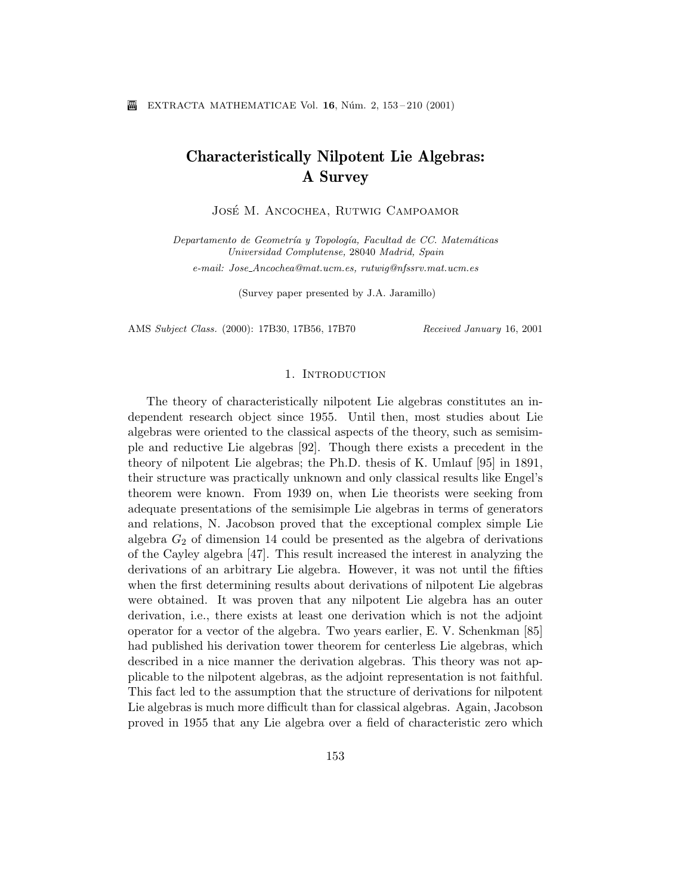# Characteristically Nilpotent Lie Algebras: A Survey

JOSÉ M. ANCOCHEA, RUTWIG CAMPOAMOR

Departamento de Geometría y Topología, Facultad de CC. Matemáticas Universidad Complutense, 28040 Madrid, Spain e-mail: Jose Ancochea@mat.ucm.es, rutwig@nfssrv.mat.ucm.es

(Survey paper presented by J.A. Jaramillo)

AMS Subject Class. (2000): 17B30, 17B56, 17B70 Received January 16, 2001

#### 1. Introduction

The theory of characteristically nilpotent Lie algebras constitutes an independent research object since 1955. Until then, most studies about Lie algebras were oriented to the classical aspects of the theory, such as semisimple and reductive Lie algebras [92]. Though there exists a precedent in the theory of nilpotent Lie algebras; the Ph.D. thesis of K. Umlauf [95] in 1891, their structure was practically unknown and only classical results like Engel's theorem were known. From 1939 on, when Lie theorists were seeking from adequate presentations of the semisimple Lie algebras in terms of generators and relations, N. Jacobson proved that the exceptional complex simple Lie algebra  $G_2$  of dimension 14 could be presented as the algebra of derivations of the Cayley algebra [47]. This result increased the interest in analyzing the derivations of an arbitrary Lie algebra. However, it was not until the fifties when the first determining results about derivations of nilpotent Lie algebras were obtained. It was proven that any nilpotent Lie algebra has an outer derivation, i.e., there exists at least one derivation which is not the adjoint operator for a vector of the algebra. Two years earlier, E. V. Schenkman [85] had published his derivation tower theorem for centerless Lie algebras, which described in a nice manner the derivation algebras. This theory was not applicable to the nilpotent algebras, as the adjoint representation is not faithful. This fact led to the assumption that the structure of derivations for nilpotent Lie algebras is much more difficult than for classical algebras. Again, Jacobson proved in 1955 that any Lie algebra over a field of characteristic zero which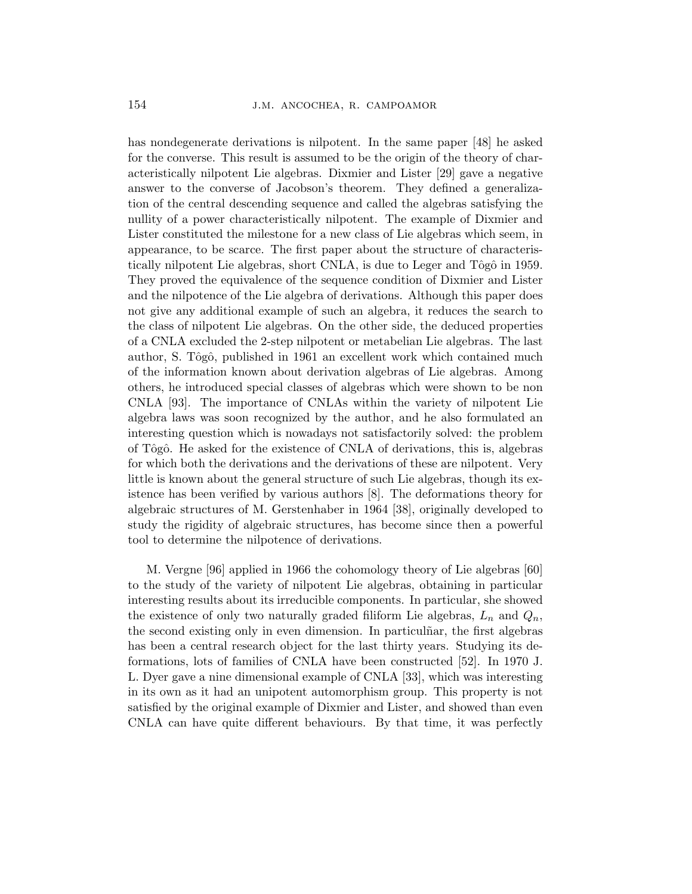has nondegenerate derivations is nilpotent. In the same paper [48] he asked for the converse. This result is assumed to be the origin of the theory of characteristically nilpotent Lie algebras. Dixmier and Lister [29] gave a negative answer to the converse of Jacobson's theorem. They defined a generalization of the central descending sequence and called the algebras satisfying the nullity of a power characteristically nilpotent. The example of Dixmier and Lister constituted the milestone for a new class of Lie algebras which seem, in appearance, to be scarce. The first paper about the structure of characteristically nilpotent Lie algebras, short CNLA, is due to Leger and Tôgô in 1959. They proved the equivalence of the sequence condition of Dixmier and Lister and the nilpotence of the Lie algebra of derivations. Although this paper does not give any additional example of such an algebra, it reduces the search to the class of nilpotent Lie algebras. On the other side, the deduced properties of a CNLA excluded the 2-step nilpotent or metabelian Lie algebras. The last author, S. Tôgô, published in 1961 an excellent work which contained much of the information known about derivation algebras of Lie algebras. Among others, he introduced special classes of algebras which were shown to be non CNLA [93]. The importance of CNLAs within the variety of nilpotent Lie algebra laws was soon recognized by the author, and he also formulated an interesting question which is nowadays not satisfactorily solved: the problem of Tˆogˆo. He asked for the existence of CNLA of derivations, this is, algebras for which both the derivations and the derivations of these are nilpotent. Very little is known about the general structure of such Lie algebras, though its existence has been verified by various authors [8]. The deformations theory for algebraic structures of M. Gerstenhaber in 1964 [38], originally developed to study the rigidity of algebraic structures, has become since then a powerful tool to determine the nilpotence of derivations.

M. Vergne [96] applied in 1966 the cohomology theory of Lie algebras [60] to the study of the variety of nilpotent Lie algebras, obtaining in particular interesting results about its irreducible components. In particular, she showed the existence of only two naturally graded filiform Lie algebras,  $L_n$  and  $Q_n$ , the second existing only in even dimension. In particular, the first algebras has been a central research object for the last thirty years. Studying its deformations, lots of families of CNLA have been constructed [52]. In 1970 J. L. Dyer gave a nine dimensional example of CNLA [33], which was interesting in its own as it had an unipotent automorphism group. This property is not satisfied by the original example of Dixmier and Lister, and showed than even CNLA can have quite different behaviours. By that time, it was perfectly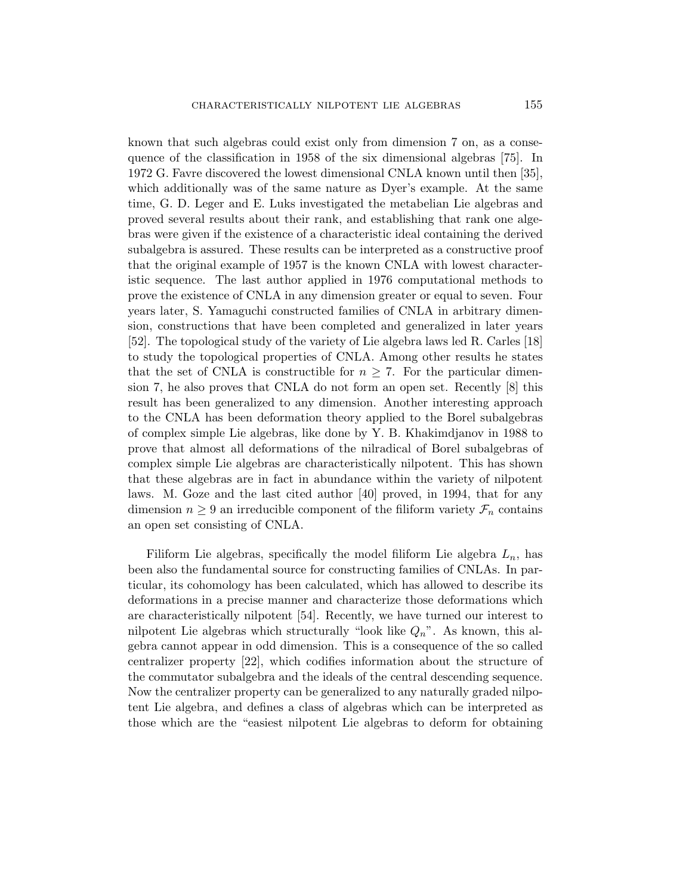known that such algebras could exist only from dimension 7 on, as a consequence of the classification in 1958 of the six dimensional algebras [75]. In 1972 G. Favre discovered the lowest dimensional CNLA known until then [35], which additionally was of the same nature as Dyer's example. At the same time, G. D. Leger and E. Luks investigated the metabelian Lie algebras and proved several results about their rank, and establishing that rank one algebras were given if the existence of a characteristic ideal containing the derived subalgebra is assured. These results can be interpreted as a constructive proof that the original example of 1957 is the known CNLA with lowest characteristic sequence. The last author applied in 1976 computational methods to prove the existence of CNLA in any dimension greater or equal to seven. Four years later, S. Yamaguchi constructed families of CNLA in arbitrary dimension, constructions that have been completed and generalized in later years [52]. The topological study of the variety of Lie algebra laws led R. Carles [18] to study the topological properties of CNLA. Among other results he states that the set of CNLA is constructible for  $n \geq 7$ . For the particular dimension 7, he also proves that CNLA do not form an open set. Recently [8] this result has been generalized to any dimension. Another interesting approach to the CNLA has been deformation theory applied to the Borel subalgebras of complex simple Lie algebras, like done by Y. B. Khakimdjanov in 1988 to prove that almost all deformations of the nilradical of Borel subalgebras of complex simple Lie algebras are characteristically nilpotent. This has shown that these algebras are in fact in abundance within the variety of nilpotent laws. M. Goze and the last cited author [40] proved, in 1994, that for any dimension  $n \geq 9$  an irreducible component of the filiform variety  $\mathcal{F}_n$  contains an open set consisting of CNLA.

Filiform Lie algebras, specifically the model filiform Lie algebra  $L_n$ , has been also the fundamental source for constructing families of CNLAs. In particular, its cohomology has been calculated, which has allowed to describe its deformations in a precise manner and characterize those deformations which are characteristically nilpotent [54]. Recently, we have turned our interest to nilpotent Lie algebras which structurally "look like  $Q_n$ ". As known, this algebra cannot appear in odd dimension. This is a consequence of the so called centralizer property [22], which codifies information about the structure of the commutator subalgebra and the ideals of the central descending sequence. Now the centralizer property can be generalized to any naturally graded nilpotent Lie algebra, and defines a class of algebras which can be interpreted as those which are the "easiest nilpotent Lie algebras to deform for obtaining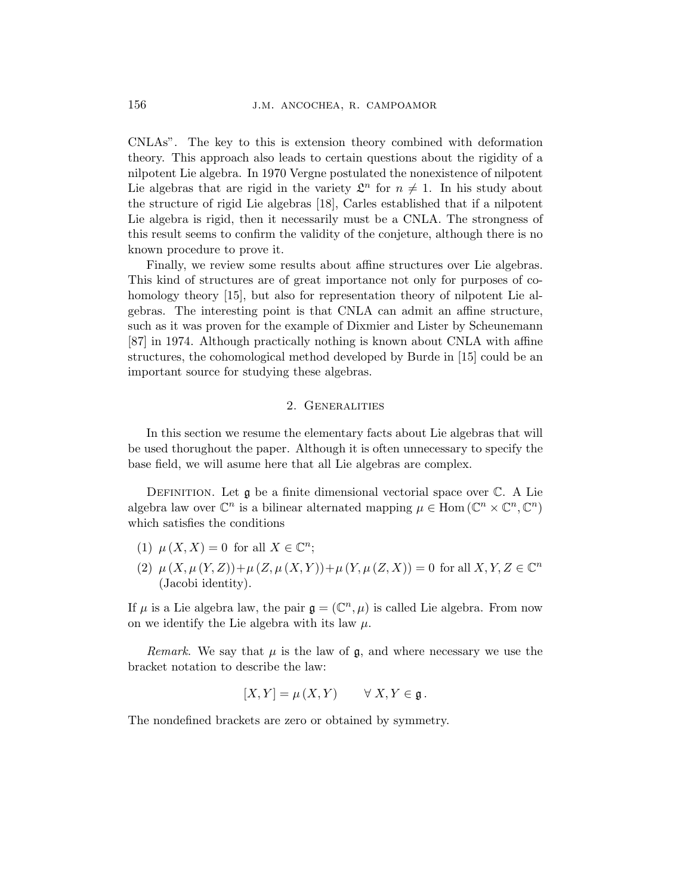CNLAs". The key to this is extension theory combined with deformation theory. This approach also leads to certain questions about the rigidity of a nilpotent Lie algebra. In 1970 Vergne postulated the nonexistence of nilpotent Lie algebras that are rigid in the variety  $\mathcal{L}^n$  for  $n \neq 1$ . In his study about the structure of rigid Lie algebras [18], Carles established that if a nilpotent Lie algebra is rigid, then it necessarily must be a CNLA. The strongness of this result seems to confirm the validity of the conjeture, although there is no known procedure to prove it.

Finally, we review some results about affine structures over Lie algebras. This kind of structures are of great importance not only for purposes of cohomology theory [15], but also for representation theory of nilpotent Lie algebras. The interesting point is that CNLA can admit an affine structure, such as it was proven for the example of Dixmier and Lister by Scheunemann [87] in 1974. Although practically nothing is known about CNLA with affine structures, the cohomological method developed by Burde in [15] could be an important source for studying these algebras.

# 2. Generalities

In this section we resume the elementary facts about Lie algebras that will be used thorughout the paper. Although it is often unnecessary to specify the base field, we will asume here that all Lie algebras are complex.

DEFINITION. Let  $\mathfrak g$  be a finite dimensional vectorial space over  $\mathbb C$ . A Lie algebra law over  $\mathbb{C}^n$  is a bilinear alternated mapping  $\mu \in \text{Hom}(\mathbb{C}^n \times \mathbb{C}^n, \mathbb{C}^n)$ which satisfies the conditions

- (1)  $\mu(X, X) = 0$  for all  $X \in \mathbb{C}^n$ ;
- (2)  $\mu(X, \mu(Y, Z)) + \mu(Z, \mu(X, Y)) + \mu(Y, \mu(Z, X)) = 0$  for all  $X, Y, Z \in \mathbb{C}^n$ (Jacobi identity).

If  $\mu$  is a Lie algebra law, the pair  $\mathfrak{g} = (\mathbb{C}^n, \mu)$  is called Lie algebra. From now on we identify the Lie algebra with its law  $\mu$ .

*Remark.* We say that  $\mu$  is the law of  $\mathfrak{g}$ , and where necessary we use the bracket notation to describe the law:

$$
[X, Y] = \mu(X, Y) \qquad \forall X, Y \in \mathfrak{g}.
$$

The nondefined brackets are zero or obtained by symmetry.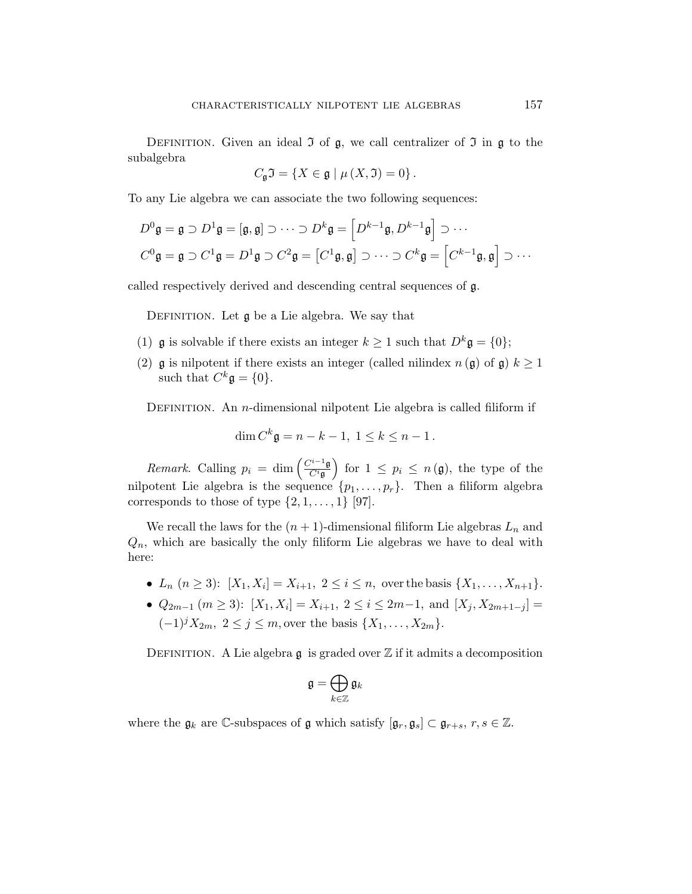DEFINITION. Given an ideal  $\mathfrak I$  of  $\mathfrak g$ , we call centralizer of  $\mathfrak I$  in  $\mathfrak g$  to the subalgebra

$$
C_{\mathfrak{g}}\mathfrak{I} = \{ X \in \mathfrak{g} \mid \mu \left( X, \mathfrak{I} \right) = 0 \}.
$$

To any Lie algebra we can associate the two following sequences:

$$
D^0 \mathfrak{g} = \mathfrak{g} \supset D^1 \mathfrak{g} = [\mathfrak{g}, \mathfrak{g}] \supset \cdots \supset D^k \mathfrak{g} = \left[ D^{k-1} \mathfrak{g}, D^{k-1} \mathfrak{g} \right] \supset \cdots
$$
  

$$
C^0 \mathfrak{g} = \mathfrak{g} \supset C^1 \mathfrak{g} = D^1 \mathfrak{g} \supset C^2 \mathfrak{g} = \left[ C^1 \mathfrak{g}, \mathfrak{g} \right] \supset \cdots \supset C^k \mathfrak{g} = \left[ C^{k-1} \mathfrak{g}, \mathfrak{g} \right] \supset \cdots
$$

called respectively derived and descending central sequences of g.

DEFINITION. Let  $\mathfrak g$  be a Lie algebra. We say that

- (1)  $\mathfrak g$  is solvable if there exists an integer  $k \geq 1$  such that  $D^k \mathfrak g = \{0\};$
- (2) g is nilpotent if there exists an integer (called nilindex  $n(\mathfrak{g})$  of  $\mathfrak{g})$ )  $k \geq 1$ such that  $C^k \mathfrak{g} = \{0\}.$

DEFINITION. An *n*-dimensional nilpotent Lie algebra is called filiform if

$$
\dim C^k \mathfrak{g} = n - k - 1, \ 1 \le k \le n - 1.
$$

*Remark.* Calling  $p_i = \dim \left( \frac{C^{i-1}g}{C^{i}g} \right)$  $\overline{C^i \mathfrak{g}}$ ´ for  $1 \leq p_i \leq n(\mathfrak{g})$ , the type of the nilpotent Lie algebra is the sequence  $\{p_1, \ldots, p_r\}$ . Then a filiform algebra corresponds to those of type  $\{2, 1, \ldots, 1\}$  [97].

We recall the laws for the  $(n + 1)$ -dimensional filiform Lie algebras  $L_n$  and  $Q_n$ , which are basically the only filiform Lie algebras we have to deal with here:

- $L_n$   $(n \geq 3)$ :  $[X_1, X_i] = X_{i+1}, 2 \leq i \leq n$ , over the basis  $\{X_1, \ldots, X_{n+1}\}.$
- $Q_{2m-1}$   $(m \ge 3)$ :  $[X_1, X_i] = X_{i+1}, 2 \le i \le 2m-1$ , and  $[X_j, X_{2m+1-j}] =$  $(-1)^j X_{2m}, 2 \le j \le m$ , over the basis  $\{X_1, \ldots, X_{2m}\}.$

DEFINITION. A Lie algebra  $\mathfrak g$  is graded over  $\mathbb Z$  if it admits a decomposition

$$
\mathfrak{g}=\bigoplus_{k\in\mathbb{Z}}\mathfrak{g}_k
$$

where the  $\mathfrak{g}_k$  are C-subspaces of  $\mathfrak g$  which satisfy  $[\mathfrak{g}_r, \mathfrak{g}_s] \subset \mathfrak{g}_{r+s}, r, s \in \mathbb{Z}$ .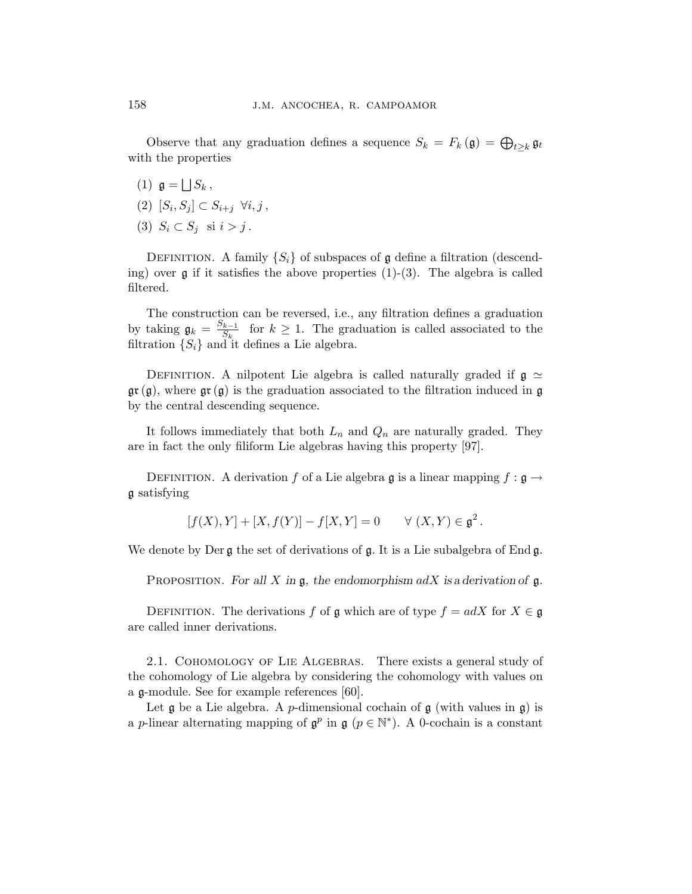Observe that any graduation defines a sequence  $S_k = F_k(\mathfrak{g}) = \bigoplus_{t \geq k} \mathfrak{g}_t$ with the properties

- $(1)$   $\mathfrak{g} =$ F  $S_k$  ,
- $(2)$   $[S_i, S_j] \subset S_{i+j} \ \forall i, j$ ,
- (3)  $S_i \subset S_j$  si  $i > j$ .

DEFINITION. A family  $\{S_i\}$  of subspaces of g define a filtration (descending) over  $\mathfrak g$  if it satisfies the above properties (1)-(3). The algebra is called filtered.

The construction can be reversed, i.e., any filtration defines a graduation by taking  $\mathfrak{g}_k = \frac{S_{k-1}}{S_k}$  $\frac{k-1}{S_k}$  for  $k \geq 1$ . The graduation is called associated to the filtration  $\{S_i\}$  and it defines a Lie algebra.

DEFINITION. A nilpotent Lie algebra is called naturally graded if  $g \simeq$  $\mathfrak{gr}(\mathfrak{g})$ , where  $\mathfrak{gr}(\mathfrak{g})$  is the graduation associated to the filtration induced in  $\mathfrak{g}$ by the central descending sequence.

It follows immediately that both  $L_n$  and  $Q_n$  are naturally graded. They are in fact the only filiform Lie algebras having this property [97].

DEFINITION. A derivation f of a Lie algebra g is a linear mapping  $f : \mathfrak{g} \to$ g satisfying

$$
[f(X), Y] + [X, f(Y)] - f[X, Y] = 0 \quad \forall (X, Y) \in \mathfrak{g}^2.
$$

We denote by Der  $\mathfrak g$  the set of derivations of  $\mathfrak g$ . It is a Lie subalgebra of End  $\mathfrak g$ .

PROPOSITION. For all X in  $\mathfrak{g}$ , the endomorphism adX is a derivation of  $\mathfrak{g}$ .

DEFINITION. The derivations f of g which are of type  $f = adX$  for  $X \in \mathfrak{g}$ are called inner derivations.

2.1. Cohomology of Lie Algebras. There exists a general study of the cohomology of Lie algebra by considering the cohomology with values on a g-module. See for example references [60].

Let  $\mathfrak g$  be a Lie algebra. A *p*-dimensional cochain of  $\mathfrak g$  (with values in  $\mathfrak g$ ) is a p-linear alternating mapping of  $\mathfrak{g}^p$  in  $\mathfrak{g}$  ( $p \in \mathbb{N}^*$ ). A 0-cochain is a constant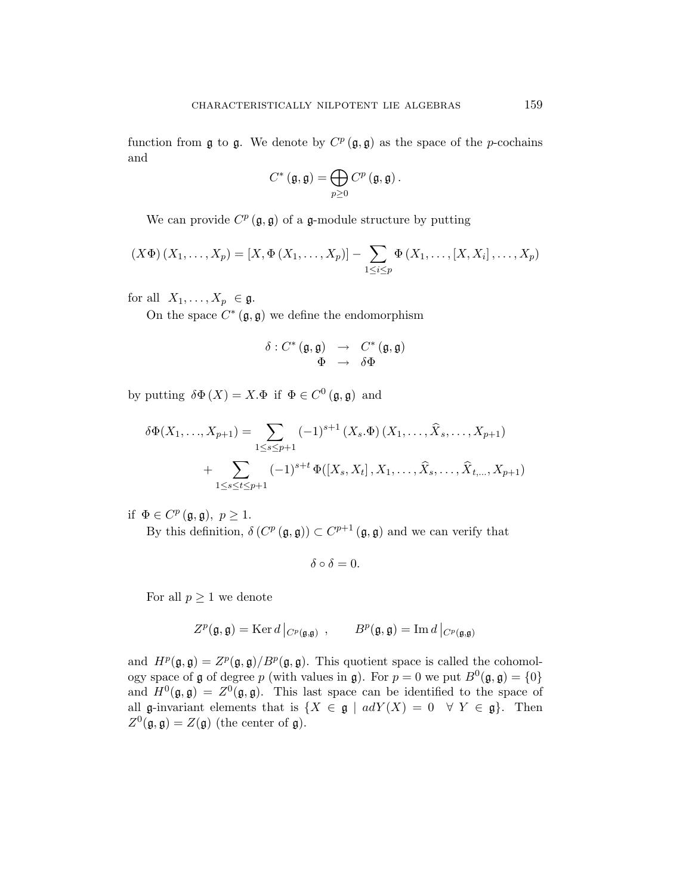function from  $\mathfrak g$  to  $\mathfrak g$ . We denote by  $C^p(\mathfrak g, \mathfrak g)$  as the space of the p-cochains and

$$
C^{\ast}\left(\mathfrak{g},\mathfrak{g}\right)=\bigoplus_{p\geq0}C^{p}\left(\mathfrak{g},\mathfrak{g}\right).
$$

We can provide  $C^p(\mathfrak{g}, \mathfrak{g})$  of a g-module structure by putting

$$
(X\Phi)(X_1,\ldots,X_p) = [X, \Phi(X_1,\ldots,X_p)] - \sum_{1 \leq i \leq p} \Phi(X_1,\ldots,[X,X_i],\ldots,X_p)
$$

for all  $X_1, \ldots, X_p \in \mathfrak{g}.$ 

On the space  $C^*(\mathfrak{g}, \mathfrak{g})$  we define the endomorphism

$$
\begin{array}{rcl} \delta: C^{*}\left(\mathfrak{g},\mathfrak{g}\right) & \rightarrow & C^{*}\left(\mathfrak{g},\mathfrak{g}\right) \\ \Phi & \rightarrow & \delta\Phi \end{array}
$$

by putting  $\delta \Phi(X) = X \Phi$  if  $\Phi \in C^0(\mathfrak{g}, \mathfrak{g})$  and

$$
\delta\Phi(X_1, ..., X_{p+1}) = \sum_{1 \le s \le p+1} (-1)^{s+1} (X_s.\Phi)(X_1, ..., \hat{X}_s, ..., X_{p+1})
$$
  
+ 
$$
\sum_{1 \le s \le t \le p+1} (-1)^{s+t} \Phi([X_s, X_t], X_1, ..., \hat{X}_s, ..., \hat{X}_{t, ..., X_{p+1}})
$$

if  $\Phi \in C^p(\mathfrak{g}, \mathfrak{g}), p \geq 1$ .

By this definition,  $\delta(C^p(\mathfrak{g}, \mathfrak{g})) \subset C^{p+1}(\mathfrak{g}, \mathfrak{g})$  and we can verify that

$$
\delta\circ\delta=0.
$$

For all  $p \geq 1$  we denote

$$
Z^p(\mathfrak{g}, \mathfrak{g}) = \text{Ker} \, d \, \big|_{C^p(\mathfrak{g}, \mathfrak{g})} \, , \qquad B^p(\mathfrak{g}, \mathfrak{g}) = \text{Im} \, d \, \big|_{C^p(\mathfrak{g}, \mathfrak{g})}
$$

and  $H^p(\mathfrak{g}, \mathfrak{g}) = Z^p(\mathfrak{g}, \mathfrak{g})/B^p(\mathfrak{g}, \mathfrak{g})$ . This quotient space is called the cohomology space of **g** of degree p (with values in **g**). For  $p = 0$  we put  $B^0(\mathfrak{g}, \mathfrak{g}) = \{0\}$ and  $H^0(\mathfrak{g}, \mathfrak{g}) = Z^0(\mathfrak{g}, \mathfrak{g})$ . This last space can be identified to the space of all g-invariant elements that is  $\{X \in \mathfrak{g} \mid adY(X) = 0 \quad \forall Y \in \mathfrak{g}\}.$  Then  $Z^0(\mathfrak{g}, \mathfrak{g}) = Z(\mathfrak{g})$  (the center of  $\mathfrak{g}$ ).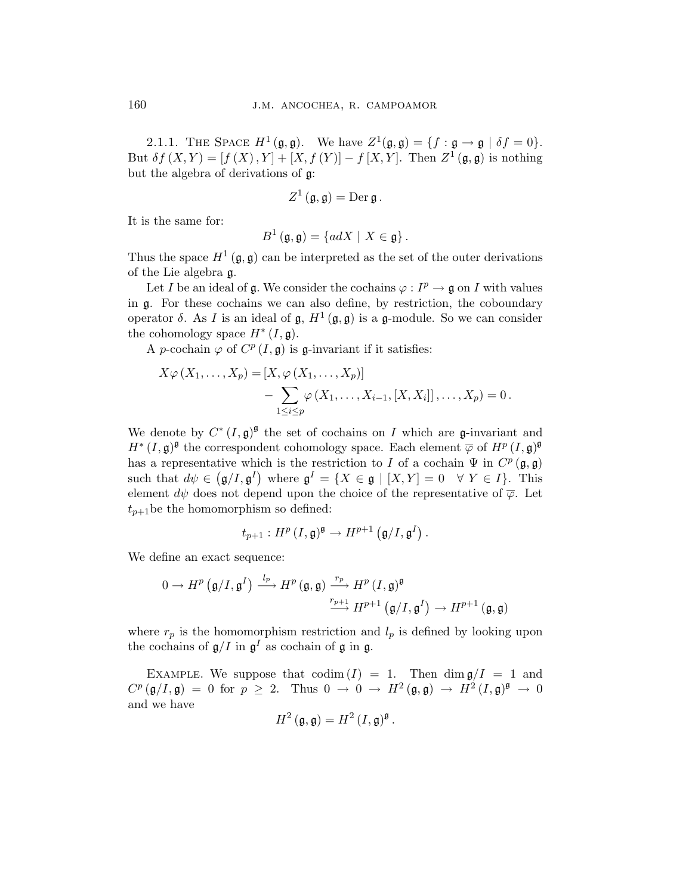2.1.1. THE SPACE  $H^1(\mathfrak{g}, \mathfrak{g})$ . We have  $Z^1(\mathfrak{g}, \mathfrak{g}) = \{f : \mathfrak{g} \to \mathfrak{g} \mid \delta f = 0\}.$ But  $\delta f(X,Y) = [f(X), Y] + [X, f(Y)] - f[X, Y]$ . Then  $Z^1(\mathfrak{g}, \mathfrak{g})$  is nothing but the algebra of derivations of g:

$$
Z^1(\mathfrak{g},\mathfrak{g})=\mathrm{Der}\,\mathfrak{g}\,.
$$

It is the same for:

$$
B^{1}(\mathfrak{g},\mathfrak{g})=\{adX \mid X\in\mathfrak{g}\}.
$$

Thus the space  $H^1(\mathfrak{g}, \mathfrak{g})$  can be interpreted as the set of the outer derivations of the Lie algebra g.

Let I be an ideal of g. We consider the cochains  $\varphi: I^p \to \mathfrak{g}$  on I with values in g. For these cochains we can also define, by restriction, the coboundary operator  $\delta$ . As I is an ideal of  $\mathfrak{g}, H^1(\mathfrak{g}, \mathfrak{g})$  is a g-module. So we can consider the cohomology space  $H^*(I,\mathfrak{g})$ .

A p-cochain  $\varphi$  of  $C^p(I, \mathfrak{g})$  is g-invariant if it satisfies:

$$
X\varphi(X_1,\ldots,X_p) = [X,\varphi(X_1,\ldots,X_p)]
$$
  

$$
-\sum_{1\leq i\leq p}\varphi(X_1,\ldots,X_{i-1},[X,X_i]],\ldots,X_p) = 0.
$$

We denote by  $C^*(I, \mathfrak{g})^{\mathfrak{g}}$  the set of cochains on I which are g-invariant and  $H^*(I, \mathfrak{g})^{\mathfrak{g}}$  the correspondent cohomology space. Each element  $\overline{\varphi}$  of  $H^p(I, \mathfrak{g})^{\mathfrak{g}}$ has a representative which is the restriction to I of a cochain  $\Psi$  in  $C^p(\mathfrak{g}, \mathfrak{g})$ such that  $d\psi \in (\mathfrak{g}/I, \mathfrak{g}^I)$  where  $\mathfrak{g}^I = \{X \in \mathfrak{g} \mid [X, Y] = 0 \quad \forall Y \in I\}$ . This element  $d\psi$  does not depend upon the choice of the representative of  $\overline{\varphi}$ . Let  $t_{p+1}$ be the homomorphism so defined:

$$
t_{p+1}: H^p(I,\mathfrak{g})^{\mathfrak{g}} \to H^{p+1}(\mathfrak{g}/I,\mathfrak{g}^I).
$$

We define an exact sequence:

$$
0 \to H^p(\mathfrak{g}/I, \mathfrak{g}^I) \xrightarrow{l_p} H^p(\mathfrak{g}, \mathfrak{g}) \xrightarrow{r_p} H^p(I, \mathfrak{g})^{\mathfrak{g}}
$$

$$
\xrightarrow{r_{p+1}} H^{p+1}(\mathfrak{g}/I, \mathfrak{g}^I) \to H^{p+1}(\mathfrak{g}, \mathfrak{g})
$$

where  $r_p$  is the homomorphism restriction and  $l_p$  is defined by looking upon the cochains of  $\mathfrak{g}/I$  in  $\mathfrak{g}^I$  as cochain of  $\mathfrak{g}$  in  $\mathfrak{g}$ .

EXAMPLE. We suppose that  $\text{codim}(I) = 1$ . Then  $\dim \mathfrak{g}/I = 1$  and  $C^p(\mathfrak{g}/I, \mathfrak{g}) = 0$  for  $p \geq 2$ . Thus  $0 \to 0 \to H^2(\mathfrak{g}, \mathfrak{g}) \to H^2(I, \mathfrak{g})^{\mathfrak{g}} \to 0$ and we have

$$
H^2(\mathfrak{g},\mathfrak{g})=H^2(I,\mathfrak{g})^{\mathfrak{g}}.
$$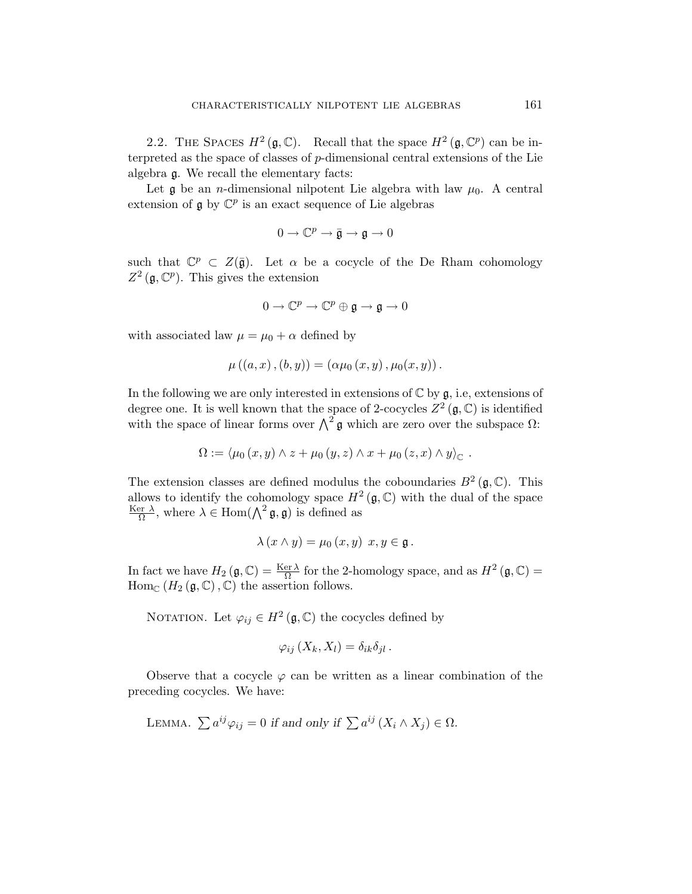2.2. THE SPACES  $H^2(\mathfrak{g}, \mathbb{C})$ . Recall that the space  $H^2(\mathfrak{g}, \mathbb{C}^p)$  can be interpreted as the space of classes of p-dimensional central extensions of the Lie algebra g. We recall the elementary facts:

Let  $\mathfrak g$  be an *n*-dimensional nilpotent Lie algebra with law  $\mu_0$ . A central extension of  $\mathfrak g$  by  $\mathbb C^p$  is an exact sequence of Lie algebras

$$
0\to \mathbb{C}^p\to \bar{\mathfrak{g}}\to \mathfrak{g}\to 0
$$

such that  $\mathbb{C}^p \subset Z(\bar{\mathfrak{g}})$ . Let  $\alpha$  be a cocycle of the De Rham cohomology  $Z^2$  (g,  $\mathbb{C}^p$ ). This gives the extension

$$
0\to \mathbb{C}^p\to \mathbb{C}^p\oplus \mathfrak{g}\to \mathfrak{g}\to 0
$$

with associated law  $\mu = \mu_0 + \alpha$  defined by

$$
\mu ((a, x), (b, y)) = (\alpha \mu_0 (x, y), \mu_0 (x, y)).
$$

In the following we are only interested in extensions of  $\mathbb C$  by  $\mathfrak g$ , i.e, extensions of degree one. It is well known that the space of 2-cocycles  $Z^2(\mathfrak{g}, \mathbb{C})$  is identified degree one. It is went known that the space of 2-cocycles  $\angle$  ( $\bf{y}, \angle$ ) is identified with the space of linear forms over  $\wedge^2$  g which are zero over the subspace  $\Omega$ :

$$
\Omega := \langle \mu_0(x, y) \wedge z + \mu_0(y, z) \wedge x + \mu_0(z, x) \wedge y \rangle_{\mathbb{C}}.
$$

The extension classes are defined modulus the coboundaries  $B^2(\mathfrak{g},\mathbb{C})$ . This allows to identify the cohomology space  $H^2(\mathfrak{g},\mathbb{C})$  with the dual of the space Ker  $\lambda$  $\frac{\text{ar } \lambda}{\Omega}$ , where  $\lambda \in \text{Hom}(\Lambda^2 \mathfrak{g}, \mathfrak{g})$  is defined as

$$
\lambda (x \wedge y) = \mu_0 (x, y) \ x, y \in \mathfrak{g} \ .
$$

In fact we have  $H_2(\mathfrak{g},\mathbb{C})=\frac{\text{Ker }\lambda}{\Omega}$  for the 2-homology space, and as  $H^2(\mathfrak{g},\mathbb{C})=$  $\text{Hom}_{\mathbb{C}}(H_2(\mathfrak{g},\mathbb{C}),\mathbb{C})$  the assertion follows.

NOTATION. Let  $\varphi_{ij} \in H^2(\mathfrak{g}, \mathbb{C})$  the cocycles defined by

$$
\varphi_{ij}(X_k, X_l) = \delta_{ik}\delta_{jl}.
$$

Observe that a cocycle  $\varphi$  can be written as a linear combination of the preceding cocycles. We have:

LEMMA. 
$$
\sum a^{ij} \varphi_{ij} = 0
$$
 if and only if  $\sum a^{ij} (X_i \wedge X_j) \in \Omega$ .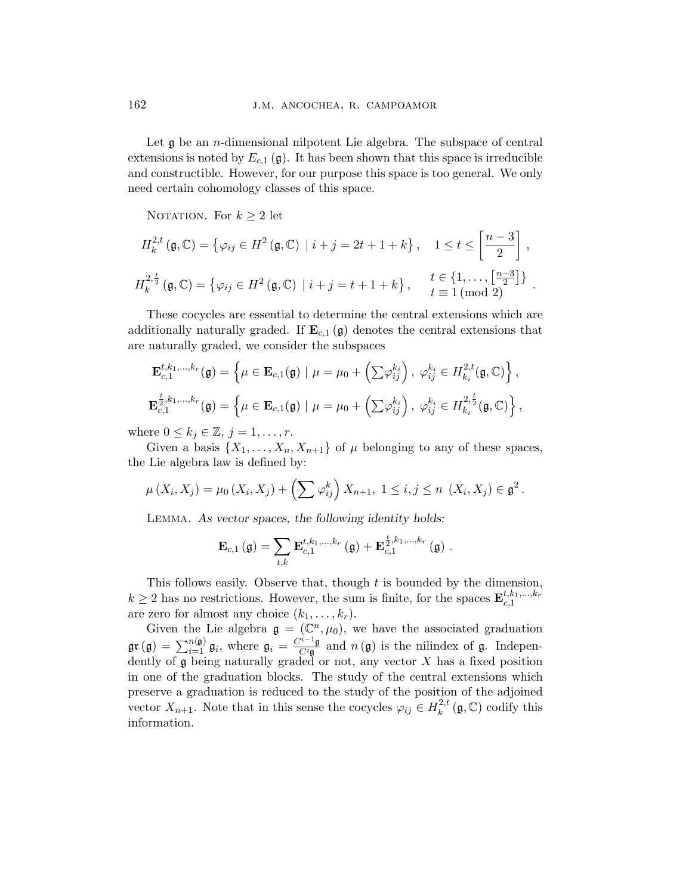Let  $\mathfrak g$  be an *n*-dimensional nilpotent Lie algebra. The subspace of central extensions is noted by  $E_{c,1}(\mathfrak{g})$ . It has been shown that this space is irreducible and constructible. However, for our purpose this space is too general. We only need certain cohomology classes of this space.

NOTATION. For  $k \geq 2$  let

$$
H_k^{2,t}(\mathfrak{g}, \mathbb{C}) = \left\{ \varphi_{ij} \in H^2(\mathfrak{g}, \mathbb{C}) \mid i+j = 2t+1+k \right\}, \quad 1 \le t \le \left[ \frac{n-3}{2} \right],
$$
  

$$
H_k^{2, \frac{t}{2}}(\mathfrak{g}, \mathbb{C}) = \left\{ \varphi_{ij} \in H^2(\mathfrak{g}, \mathbb{C}) \mid i+j = t+1+k \right\}, \quad \begin{array}{c} t \in \{1, \ldots, \left[ \frac{n-3}{2} \right] \} \\ t \equiv 1 \pmod{2} \end{array}.
$$

These cocycles are essential to determine the central extensions which are additionally naturally graded. If  $\mathbf{E}_{c,1}(\mathfrak{g})$  denotes the central extensions that are naturally graded, we consider the subspaces

$$
\mathbf{E}_{c,1}^{t,k_1,...,k_r}(\mathfrak{g}) = \left\{ \mu \in \mathbf{E}_{c,1}(\mathfrak{g}) \mid \mu = \mu_0 + \left( \sum \varphi_{ij}^{k_i} \right), \ \varphi_{ij}^{k_i} \in H_{k_i}^{2,t}(\mathfrak{g}, \mathbb{C}) \right\},
$$
  

$$
\mathbf{E}_{c,1}^{\frac{t}{2},k_1,...,k_r}(\mathfrak{g}) = \left\{ \mu \in \mathbf{E}_{c,1}(\mathfrak{g}) \mid \mu = \mu_0 + \left( \sum \varphi_{ij}^{k_i} \right), \ \varphi_{ij}^{k_i} \in H_{k_i}^{2,\frac{t}{2}}(\mathfrak{g}, \mathbb{C}) \right\},
$$

where  $0 \leq k_j \in \mathbb{Z}, j = 1, \ldots, r$ .

Given a basis  $\{X_1, \ldots, X_n, X_{n+1}\}\$  of  $\mu$  belonging to any of these spaces, the Lie algebra law is defined by:

$$
\mu(X_i, X_j) = \mu_0(X_i, X_j) + \left(\sum \varphi_{ij}^k\right) X_{n+1}, \ 1 \le i, j \le n \ (X_i, X_j) \in \mathfrak{g}^2.
$$

Lemma. As vector spaces, the following identity holds:

$$
\mathbf{E}_{c,1}\left(\mathfrak{g}\right)=\sum_{t,k}\mathbf{E}_{c,1}^{t,k_{1},\ldots,k_{r}}\left(\mathfrak{g}\right)+\mathbf{E}_{c,1}^{\frac{t}{2},k_{1},\ldots,k_{r}}\left(\mathfrak{g}\right).
$$

This follows easily. Observe that, though  $t$  is bounded by the dimension,  $k \geq 2$  has no restrictions. However, the sum is finite, for the spaces  $\mathbf{E}_{c,1}^{t,k_1,\dots,k_r}$ are zero for almost any choice  $(k_1, \ldots, k_r)$ .

Given the Lie algebra  $\mathfrak{g} = (\mathbb{C}^n, \mu_0)$ , we have the associated graduation gr(g) =  $\sum_{i=1}^{n(g)}$  g<sub>i</sub>, where  $g_i = \frac{C^{i-1}g}{C^i g}$  $\frac{C^{i-1} \mathfrak{g}}{C^{i} \mathfrak{g}}$  and  $n(\mathfrak{g})$  is the nilindex of  $\mathfrak{g}$ . Independently of g being naturally graded or not, any vector X has a fixed position in one of the graduation blocks. The study of the central extensions which preserve a graduation is reduced to the study of the position of the adjoined vector  $X_{n+1}$ . Note that in this sense the cocycles  $\varphi_{ij} \in H_k^{2,t}$  $\kappa_k^{2,t}(\mathfrak{g},\mathbb{C})$  codify this information.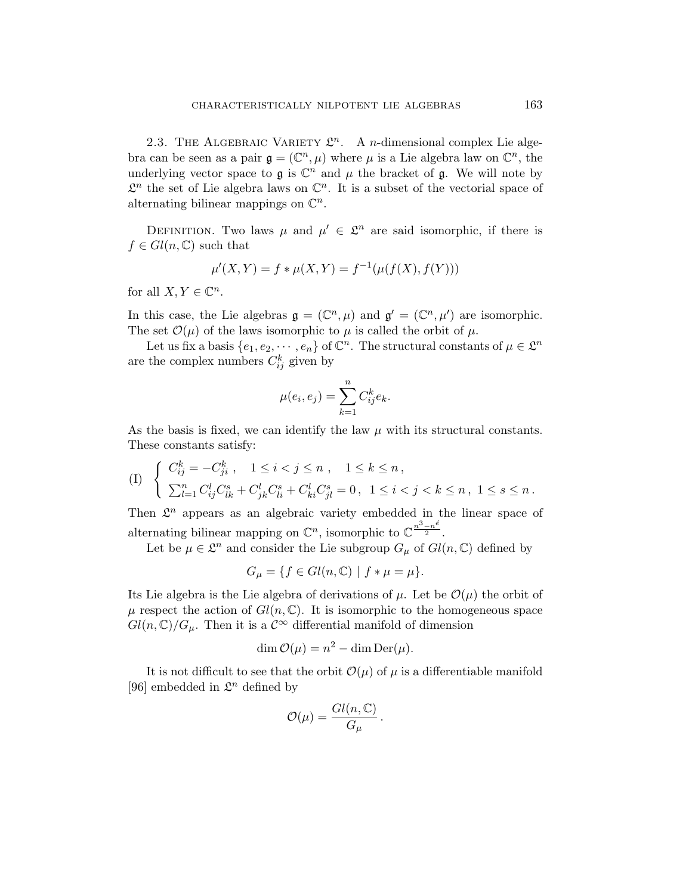2.3. THE ALGEBRAIC VARIETY  $\mathcal{L}^n$ . A *n*-dimensional complex Lie algebra can be seen as a pair  $\mathfrak{g} = (\mathbb{C}^n, \mu)$  where  $\mu$  is a Lie algebra law on  $\mathbb{C}^n$ , the underlying vector space to  $\mathfrak g$  is  $\mathbb C^n$  and  $\mu$  the bracket of  $\mathfrak g$ . We will note by  $\mathcal{L}^n$  the set of Lie algebra laws on  $\mathbb{C}^n$ . It is a subset of the vectorial space of alternating bilinear mappings on  $\mathbb{C}^n$ .

DEFINITION. Two laws  $\mu$  and  $\mu' \in \mathcal{L}^n$  are said isomorphic, if there is  $f \in Gl(n,\mathbb{C})$  such that

$$
\mu'(X,Y) = f * \mu(X,Y) = f^{-1}(\mu(f(X), f(Y)))
$$

for all  $X, Y \in \mathbb{C}^n$ .

In this case, the Lie algebras  $\mathfrak{g} = (\mathbb{C}^n, \mu)$  and  $\mathfrak{g}' = (\mathbb{C}^n, \mu')$  are isomorphic. The set  $\mathcal{O}(\mu)$  of the laws isomorphic to  $\mu$  is called the orbit of  $\mu$ .

Let us fix a basis  $\{e_1, e_2, \dots, e_n\}$  of  $\mathbb{C}^n$ . The structural constants of  $\mu \in \mathcal{L}^n$ are the complex numbers  $C_{ij}^k$  given by

$$
\mu(e_i, e_j) = \sum_{k=1}^n C_{ij}^k e_k.
$$

As the basis is fixed, we can identify the law  $\mu$  with its structural constants. These constants satisfy:

$$
(I) \begin{cases} C_{ij}^k = -C_{ji}^k \ , \quad 1 \leq i < j \leq n \ , \quad 1 \leq k \leq n \ , \\ \sum_{l=1}^n C_{ij}^l C_{lk}^s + C_{jk}^l C_{li}^s + C_{ki}^l C_{jl}^s = 0 \ , \ \ 1 \leq i < j < k \leq n \ , \ 1 \leq s \leq n \ . \end{cases}
$$

Then  $\mathcal{L}^n$  appears as an algebraic variety embedded in the linear space of alternating bilinear mapping on  $\mathbb{C}^n$ , isomorphic to  $\mathbb{C}^{\frac{n^3-n^6}{2}}$ .

Let be  $\mu \in \mathcal{L}^n$  and consider the Lie subgroup  $G_{\mu}$  of  $Gl(n,\mathbb{C})$  defined by

$$
G_{\mu} = \{ f \in Gl(n, \mathbb{C}) \mid f * \mu = \mu \}.
$$

Its Lie algebra is the Lie algebra of derivations of  $\mu$ . Let be  $\mathcal{O}(\mu)$  the orbit of  $\mu$  respect the action of  $Gl(n,\mathbb{C})$ . It is isomorphic to the homogeneous space  $Gl(n,\mathbb{C})/G_{\mu}$ . Then it is a  $\mathcal{C}^{\infty}$  differential manifold of dimension

$$
\dim \mathcal{O}(\mu) = n^2 - \dim \mathrm{Der}(\mu).
$$

It is not difficult to see that the orbit  $\mathcal{O}(\mu)$  of  $\mu$  is a differentiable manifold [96] embedded in  $\mathfrak{L}^n$  defined by

$$
\mathcal{O}(\mu) = \frac{Gl(n,\mathbb{C})}{G_{\mu}}.
$$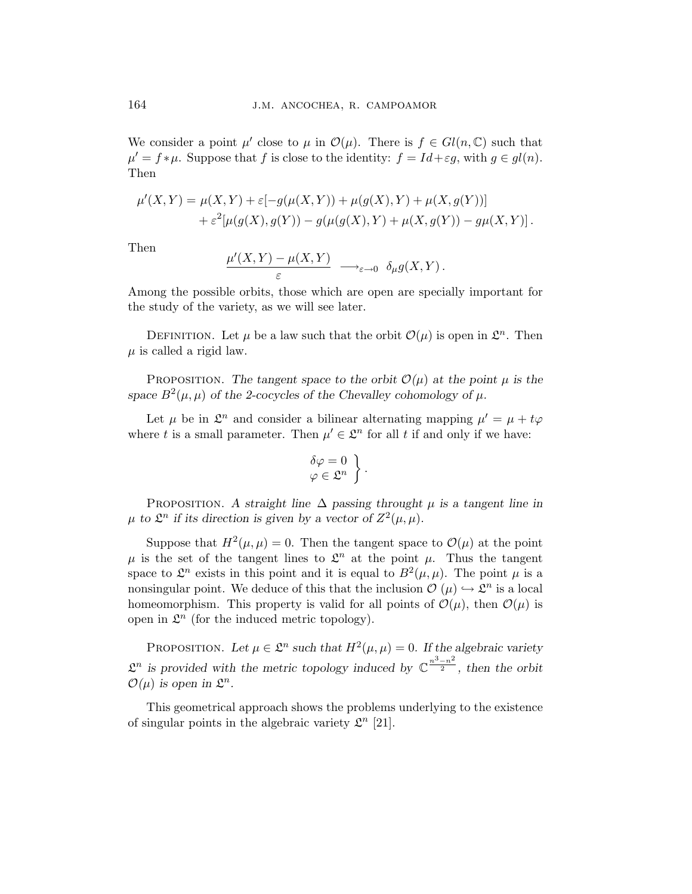We consider a point  $\mu'$  close to  $\mu$  in  $\mathcal{O}(\mu)$ . There is  $f \in Gl(n,\mathbb{C})$  such that  $\mu' = f * \mu$ . Suppose that f is close to the identity:  $f = Id + \varepsilon g$ , with  $g \in gl(n)$ . Then

$$
\mu'(X,Y) = \mu(X,Y) + \varepsilon[-g(\mu(X,Y)) + \mu(g(X),Y) + \mu(X,g(Y))]
$$
  
+ 
$$
\varepsilon^2[\mu(g(X),g(Y)) - g(\mu(g(X),Y) + \mu(X,g(Y)) - g\mu(X,Y)].
$$

Then

$$
\frac{\mu'(X,Y) - \mu(X,Y)}{\varepsilon} \longrightarrow_{\varepsilon \to 0} \delta_{\mu}g(X,Y).
$$

Among the possible orbits, those which are open are specially important for the study of the variety, as we will see later.

DEFINITION. Let  $\mu$  be a law such that the orbit  $\mathcal{O}(\mu)$  is open in  $\mathcal{L}^n$ . Then  $\mu$  is called a rigid law.

PROPOSITION. The tangent space to the orbit  $\mathcal{O}(\mu)$  at the point  $\mu$  is the space  $B^2(\mu, \mu)$  of the 2-cocycles of the Chevalley cohomology of  $\mu$ .

Let  $\mu$  be in  $\mathcal{L}^n$  and consider a bilinear alternating mapping  $\mu' = \mu + t\varphi$ where t is a small parameter. Then  $\mu' \in \mathcal{L}^n$  for all t if and only if we have:

$$
\begin{aligned}\n\delta \varphi &= 0 \\
\varphi &\in \mathfrak{L}^n\n\end{aligned}\n\bigg\}.
$$

PROPOSITION. A straight line  $\Delta$  passing throught  $\mu$  is a tangent line in  $\mu$  to  $\mathfrak{L}^n$  if its direction is given by a vector of  $Z^2(\mu,\mu)$ .

Suppose that  $H^2(\mu,\mu) = 0$ . Then the tangent space to  $\mathcal{O}(\mu)$  at the point  $\mu$  is the set of the tangent lines to  $\mathcal{L}^n$  at the point  $\mu$ . Thus the tangent space to  $\mathcal{L}^n$  exists in this point and it is equal to  $B^2(\mu,\mu)$ . The point  $\mu$  is a nonsingular point. We deduce of this that the inclusion  $\mathcal{O}(\mu) \hookrightarrow \mathcal{L}^n$  is a local homeomorphism. This property is valid for all points of  $\mathcal{O}(\mu)$ , then  $\mathcal{O}(\mu)$  is open in  $\mathcal{L}^n$  (for the induced metric topology).

PROPOSITION. Let  $\mu \in \mathcal{L}^n$  such that  $H^2(\mu, \mu) = 0$ . If the algebraic variety  $\mathcal{L}^n$  is provided with the metric topology induced by  $\mathbb{C}^{\frac{n^3-n^2}{2}}$ , then the orbit  $\mathcal{O}(\mu)$  is open in  $\mathfrak{L}^n$ .

This geometrical approach shows the problems underlying to the existence of singular points in the algebraic variety  $\mathcal{L}^n$  [21].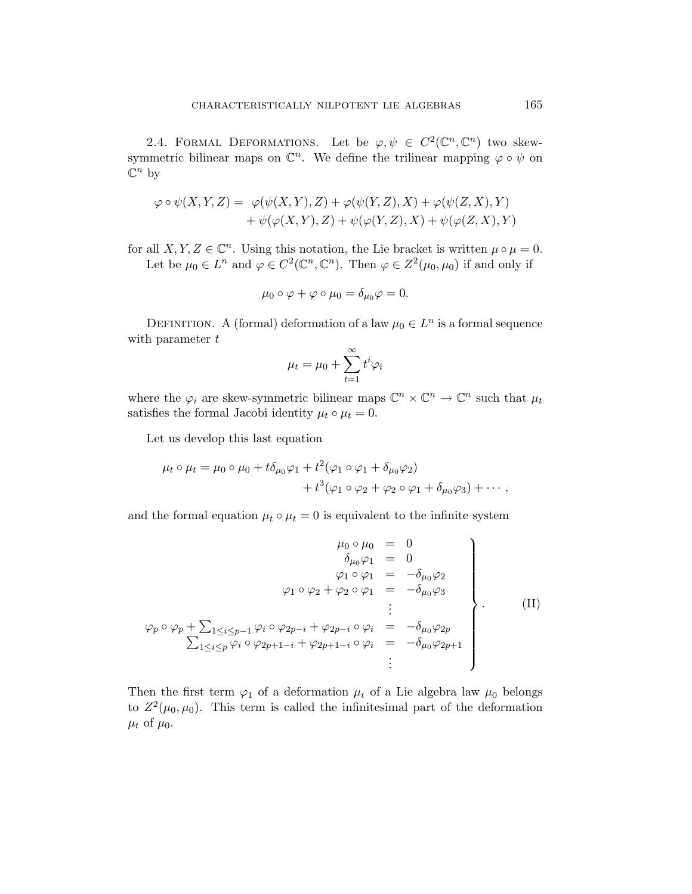2.4. FORMAL DEFORMATIONS. Let be  $\varphi, \psi \in C^2(\mathbb{C}^n, \mathbb{C}^n)$  two skewsymmetric bilinear maps on  $\mathbb{C}^n$ . We define the trilinear mapping  $\varphi \circ \psi$  on  $\mathbb{C}^n$  by

$$
\varphi \circ \psi(X, Y, Z) = \varphi(\psi(X, Y), Z) + \varphi(\psi(Y, Z), X) + \varphi(\psi(Z, X), Y) + \psi(\varphi(X, Y), Z) + \psi(\varphi(Y, Z), X) + \psi(\varphi(Z, X), Y)
$$

for all  $X, Y, Z \in \mathbb{C}^n$ . Using this notation, the Lie bracket is written  $\mu \circ \mu = 0$ . Let be  $\mu_0 \in L^n$  and  $\varphi \in C^2(\mathbb{C}^n, \mathbb{C}^n)$ . Then  $\varphi \in Z^2(\mu_0, \mu_0)$  if and only if

$$
\mu_0 \circ \varphi + \varphi \circ \mu_0 = \delta_{\mu_0} \varphi = 0.
$$

DEFINITION. A (formal) deformation of a law  $\mu_0 \in L^n$  is a formal sequence with parameter  $t$ 

$$
\mu_t = \mu_0 + \sum_{t=1}^{\infty} t^i \varphi_i
$$

where the  $\varphi_i$  are skew-symmetric bilinear maps  $\mathbb{C}^n \times \mathbb{C}^n \to \mathbb{C}^n$  such that  $\mu_t$ satisfies the formal Jacobi identity  $\mu_t \circ \mu_t = 0$ .

Let us develop this last equation

$$
\mu_t \circ \mu_t = \mu_0 \circ \mu_0 + t \delta_{\mu_0} \varphi_1 + t^2 (\varphi_1 \circ \varphi_1 + \delta_{\mu_0} \varphi_2)
$$
  
+ 
$$
t^3 (\varphi_1 \circ \varphi_2 + \varphi_2 \circ \varphi_1 + \delta_{\mu_0} \varphi_3) + \cdots,
$$

and the formal equation  $\mu_t \circ \mu_t = 0$  is equivalent to the infinite system

$$
\mu_0 \circ \mu_0 = 0
$$
\n
$$
\delta_{\mu_0} \varphi_1 = 0
$$
\n
$$
\varphi_1 \circ \varphi_1 = -\delta_{\mu_0} \varphi_2
$$
\n
$$
\varphi_1 \circ \varphi_2 + \varphi_2 \circ \varphi_1 = -\delta_{\mu_0} \varphi_3
$$
\n
$$
\vdots
$$
\n
$$
\varphi_p \circ \varphi_p + \sum_{1 \leq i \leq p-1} \varphi_i \circ \varphi_{2p-i} + \varphi_{2p-i} \circ \varphi_i = -\delta_{\mu_0} \varphi_{2p}
$$
\n
$$
\sum_{1 \leq i \leq p} \varphi_i \circ \varphi_{2p+1-i} + \varphi_{2p+1-i} \circ \varphi_i = -\delta_{\mu_0} \varphi_{2p+1}
$$
\n
$$
\vdots
$$
\n(II)

Then the first term  $\varphi_1$  of a deformation  $\mu_t$  of a Lie algebra law  $\mu_0$  belongs to  $Z^2(\mu_0, \mu_0)$ . This term is called the infinitesimal part of the deformation  $\mu_t$  of  $\mu_0$ .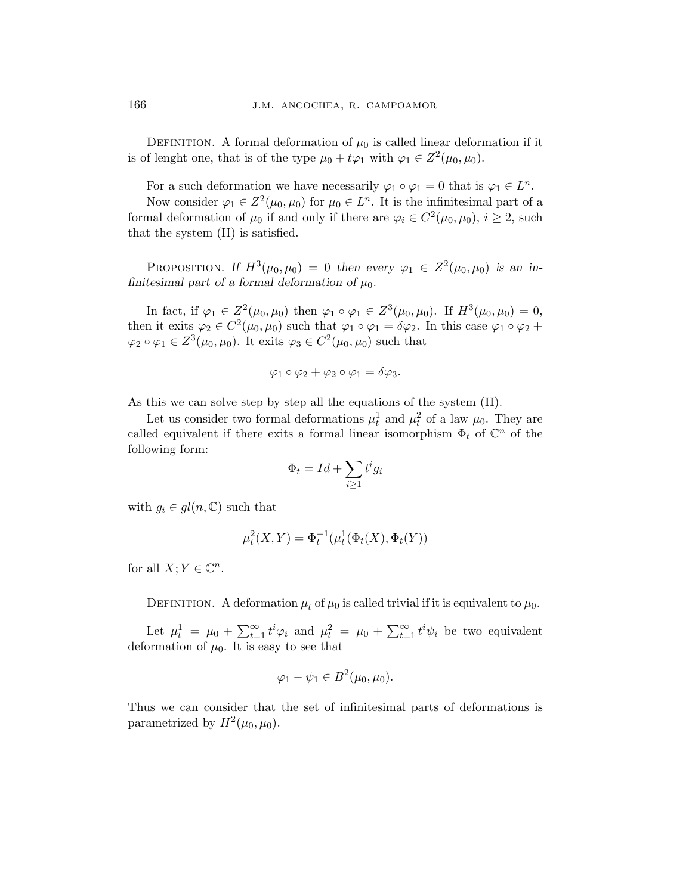DEFINITION. A formal deformation of  $\mu_0$  is called linear deformation if it is of lenght one, that is of the type  $\mu_0 + t\varphi_1$  with  $\varphi_1 \in Z^2(\mu_0, \mu_0)$ .

For a such deformation we have necessarily  $\varphi_1 \circ \varphi_1 = 0$  that is  $\varphi_1 \in L^n$ .

Now consider  $\varphi_1 \in Z^2(\mu_0, \mu_0)$  for  $\mu_0 \in L^n$ . It is the infinitesimal part of a formal deformation of  $\mu_0$  if and only if there are  $\varphi_i \in C^2(\mu_0, \mu_0)$ ,  $i \geq 2$ , such that the system (II) is satisfied.

PROPOSITION. If  $H^3(\mu_0, \mu_0) = 0$  then every  $\varphi_1 \in Z^2(\mu_0, \mu_0)$  is an infinitesimal part of a formal deformation of  $\mu_0$ .

In fact, if  $\varphi_1 \in Z^2(\mu_0, \mu_0)$  then  $\varphi_1 \circ \varphi_1 \in Z^3(\mu_0, \mu_0)$ . If  $H^3(\mu_0, \mu_0) = 0$ , then it exits  $\varphi_2 \in C^2(\mu_0, \mu_0)$  such that  $\varphi_1 \circ \varphi_1 = \delta \varphi_2$ . In this case  $\varphi_1 \circ \varphi_2 +$  $\varphi_2 \circ \varphi_1 \in Z^3(\mu_0, \mu_0)$ . It exits  $\varphi_3 \in C^2(\mu_0, \mu_0)$  such that

$$
\varphi_1 \circ \varphi_2 + \varphi_2 \circ \varphi_1 = \delta \varphi_3.
$$

As this we can solve step by step all the equations of the system (II).

Let us consider two formal deformations  $\mu_t^1$  and  $\mu_t^2$  of a law  $\mu_0$ . They are called equivalent if there exits a formal linear isomorphism  $\Phi_t$  of  $\mathbb{C}^n$  of the following form:  $\overline{\phantom{a}}$ 

$$
\Phi_t = Id + \sum_{i \ge 1} t^i g_i
$$

with  $g_i \in gl(n, \mathbb{C})$  such that

$$
\mu_t^2(X, Y) = \Phi_t^{-1}(\mu_t^1(\Phi_t(X), \Phi_t(Y))
$$

for all  $X; Y \in \mathbb{C}^n$ .

DEFINITION. A deformation  $\mu_t$  of  $\mu_0$  is called trivial if it is equivalent to  $\mu_0$ .

Let  $\mu_t^1 = \mu_0 + \sum_{t=1}^{\infty}$  $\sum_{t=1}^{\infty} t^i \varphi_i$  and  $\mu_t^2 = \mu_0 + \sum_{t=1}^{\infty}$  $\sum_{t=1}^{\infty} t^i \psi_i$  be two equivalent deformation of  $\mu_0$ . It is easy to see that

$$
\varphi_1 - \psi_1 \in B^2(\mu_0, \mu_0).
$$

Thus we can consider that the set of infinitesimal parts of deformations is parametrized by  $H^2(\mu_0, \mu_0)$ .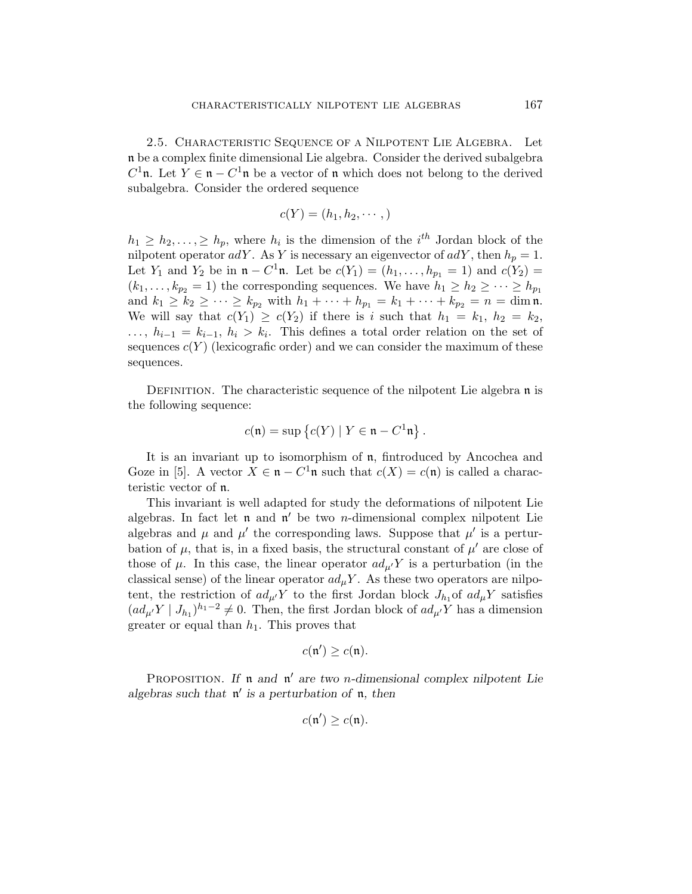2.5. Characteristic Sequence of a Nilpotent Lie Algebra. Let n be a complex finite dimensional Lie algebra. Consider the derived subalgebra  $C^1$ n. Let  $Y \in \mathfrak{n} - C^1$ n be a vector of n which does not belong to the derived subalgebra. Consider the ordered sequence

$$
c(Y) = (h_1, h_2, \cdots, )
$$

 $h_1 \geq h_2, \ldots, \geq h_p$ , where  $h_i$  is the dimension of the  $i^{th}$  Jordan block of the nilpotent operator  $adY$ . As Y is necessary an eigenvector of  $adY$ , then  $h_p = 1$ . Let  $Y_1$  and  $Y_2$  be in  $\mathfrak{n} - C^1 \mathfrak{n}$ . Let be  $c(Y_1) = (h_1, \ldots, h_{p_1} = 1)$  and  $c(Y_2) =$  $(k_1, \ldots, k_{p_2} = 1)$  the corresponding sequences. We have  $h_1 \geq h_2 \geq \cdots \geq h_{p_1}$ and  $k_1 \geq k_2 \geq \cdots \geq k_{p_2}$  with  $h_1 + \cdots + h_{p_1} = k_1 + \cdots + k_{p_2} = n = \dim \mathfrak{n}$ . We will say that  $c(Y_1) \geq c(Y_2)$  if there is i such that  $h_1 = k_1$ ,  $h_2 = k_2$ ,  $\ldots, h_{i-1} = k_{i-1}, h_i > k_i$ . This defines a total order relation on the set of sequences  $c(Y)$  (lexicografic order) and we can consider the maximum of these sequences.

DEFINITION. The characteristic sequence of the nilpotent Lie algebra  $\mathfrak n$  is the following sequence:

$$
c(\mathfrak{n}) = \sup \left\{ c(Y) \mid Y \in \mathfrak{n} - C^1 \mathfrak{n} \right\}.
$$

It is an invariant up to isomorphism of n, fintroduced by Ancochea and Goze in [5]. A vector  $X \in \mathfrak{n} - C^1\mathfrak{n}$  such that  $c(X) = c(\mathfrak{n})$  is called a characteristic vector of n.

This invariant is well adapted for study the deformations of nilpotent Lie algebras. In fact let  $\mathfrak n$  and  $\mathfrak n'$  be two *n*-dimensional complex nilpotent Lie algebras and  $\mu$  and  $\mu'$  the corresponding laws. Suppose that  $\mu'$  is a perturbation of  $\mu$ , that is, in a fixed basis, the structural constant of  $\mu'$  are close of those of  $\mu$ . In this case, the linear operator  $ad_{\mu}Y$  is a perturbation (in the classical sense) of the linear operator  $ad_uY$ . As these two operators are nilpotent, the restriction of  $ad_{\mu'}Y$  to the first Jordan block  $J_{h_1}$  of  $ad_{\mu}Y$  satisfies  $(ad_{\mu'}Y \mid J_{h_1})^{h_1-2} \neq 0$ . Then, the first Jordan block of  $ad_{\mu'}Y$  has a dimension greater or equal than  $h_1$ . This proves that

$$
c(\mathfrak{n}') \geq c(\mathfrak{n}).
$$

PROPOSITION. If  $\mathfrak n$  and  $\mathfrak n'$  are two *n*-dimensional complex nilpotent Lie algebras such that  $\mathfrak{n}'$  is a perturbation of  $\mathfrak{n}$ , then

$$
c(\mathfrak{n}') \geq c(\mathfrak{n}).
$$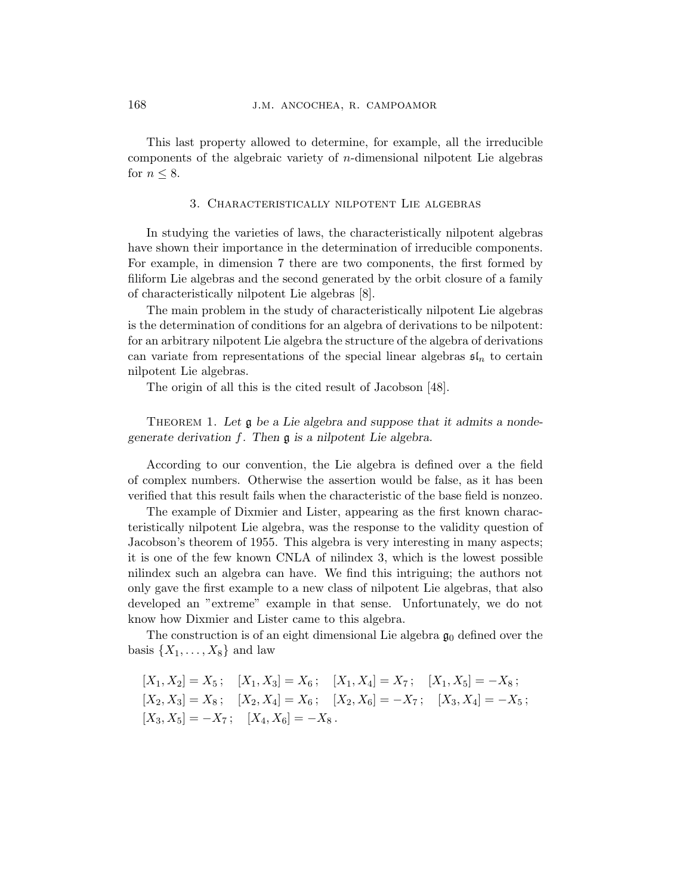This last property allowed to determine, for example, all the irreducible components of the algebraic variety of  $n$ -dimensional nilpotent Lie algebras for  $n \leq 8$ .

# 3. Characteristically nilpotent Lie algebras

In studying the varieties of laws, the characteristically nilpotent algebras have shown their importance in the determination of irreducible components. For example, in dimension 7 there are two components, the first formed by filiform Lie algebras and the second generated by the orbit closure of a family of characteristically nilpotent Lie algebras [8].

The main problem in the study of characteristically nilpotent Lie algebras is the determination of conditions for an algebra of derivations to be nilpotent: for an arbitrary nilpotent Lie algebra the structure of the algebra of derivations can variate from representations of the special linear algebras  $\mathfrak{sl}_n$  to certain nilpotent Lie algebras.

The origin of all this is the cited result of Jacobson [48].

THEOREM 1. Let  $\mathfrak g$  be a Lie algebra and suppose that it admits a nondegenerate derivation f. Then g is a nilpotent Lie algebra.

According to our convention, the Lie algebra is defined over a the field of complex numbers. Otherwise the assertion would be false, as it has been verified that this result fails when the characteristic of the base field is nonzeo.

The example of Dixmier and Lister, appearing as the first known characteristically nilpotent Lie algebra, was the response to the validity question of Jacobson's theorem of 1955. This algebra is very interesting in many aspects; it is one of the few known CNLA of nilindex 3, which is the lowest possible nilindex such an algebra can have. We find this intriguing; the authors not only gave the first example to a new class of nilpotent Lie algebras, that also developed an "extreme" example in that sense. Unfortunately, we do not know how Dixmier and Lister came to this algebra.

The construction is of an eight dimensional Lie algebra  $\mathfrak{g}_0$  defined over the basis  $\{X_1, \ldots, X_8\}$  and law

$$
[X_1, X_2] = X_5; \quad [X_1, X_3] = X_6; \quad [X_1, X_4] = X_7; \quad [X_1, X_5] = -X_8; [X_2, X_3] = X_8; \quad [X_2, X_4] = X_6; \quad [X_2, X_6] = -X_7; \quad [X_3, X_4] = -X_5; [X_3, X_5] = -X_7; \quad [X_4, X_6] = -X_8.
$$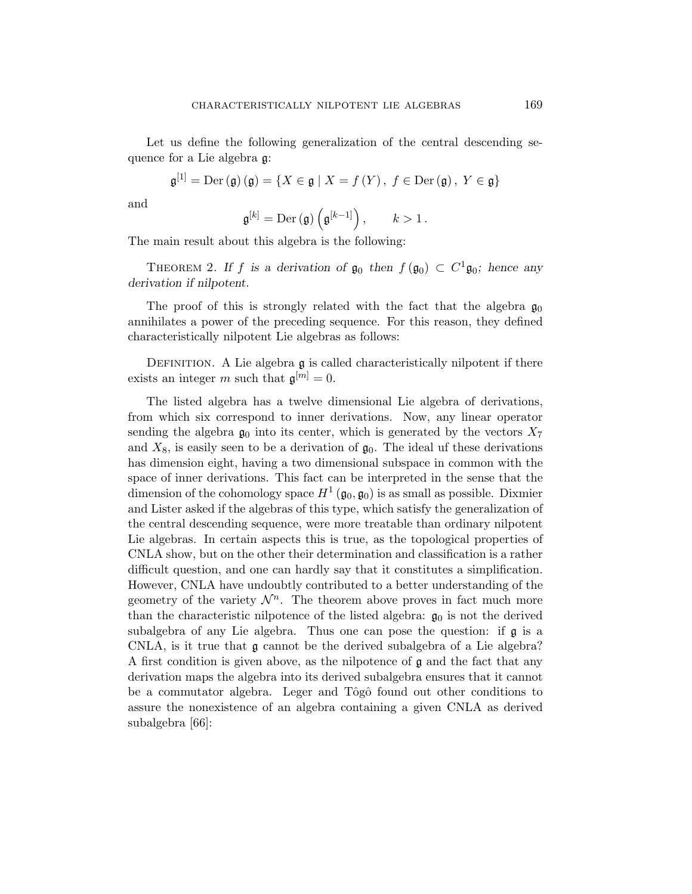Let us define the following generalization of the central descending sequence for a Lie algebra g:

$$
\mathfrak{g}^{[1]} = \mathrm{Der}\left(\mathfrak{g}\right)\left(\mathfrak{g}\right) = \{X \in \mathfrak{g} \mid X = f\left(Y\right), \ f \in \mathrm{Der}\left(\mathfrak{g}\right), \ Y \in \mathfrak{g}\}
$$

and

$$
\mathfrak{g}^{[k]}=\mathrm{Der}\left(\mathfrak{g}\right)\left(\mathfrak{g}^{[k-1]}\right),\qquad k>1\,.
$$

The main result about this algebra is the following:

THEOREM 2. If f is a derivation of  $\mathfrak{g}_0$  then  $f(\mathfrak{g}_0) \subset C^1 \mathfrak{g}_0$ ; hence any derivation if nilpotent.

The proof of this is strongly related with the fact that the algebra  $\mathfrak{g}_0$ annihilates a power of the preceding sequence. For this reason, they defined characteristically nilpotent Lie algebras as follows:

DEFINITION. A Lie algebra  $\mathfrak g$  is called characteristically nilpotent if there exists an integer m such that  $\mathfrak{g}^{[m]}=0$ .

The listed algebra has a twelve dimensional Lie algebra of derivations, from which six correspond to inner derivations. Now, any linear operator sending the algebra  $\mathfrak{g}_0$  into its center, which is generated by the vectors  $X_7$ and  $X_8$ , is easily seen to be a derivation of  $\mathfrak{g}_0$ . The ideal uf these derivations has dimension eight, having a two dimensional subspace in common with the space of inner derivations. This fact can be interpreted in the sense that the dimension of the cohomology space  $H^1(\mathfrak{g}_0, \mathfrak{g}_0)$  is as small as possible. Dixmier and Lister asked if the algebras of this type, which satisfy the generalization of the central descending sequence, were more treatable than ordinary nilpotent Lie algebras. In certain aspects this is true, as the topological properties of CNLA show, but on the other their determination and classification is a rather difficult question, and one can hardly say that it constitutes a simplification. However, CNLA have undoubtly contributed to a better understanding of the geometry of the variety  $\mathcal{N}^n$ . The theorem above proves in fact much more than the characteristic nilpotence of the listed algebra:  $\mathfrak{g}_0$  is not the derived subalgebra of any Lie algebra. Thus one can pose the question: if  $\mathfrak g$  is a CNLA, is it true that  $\mathfrak g$  cannot be the derived subalgebra of a Lie algebra? A first condition is given above, as the nilpotence of  $\mathfrak g$  and the fact that any derivation maps the algebra into its derived subalgebra ensures that it cannot be a commutator algebra. Leger and Tôgô found out other conditions to assure the nonexistence of an algebra containing a given CNLA as derived subalgebra [66]: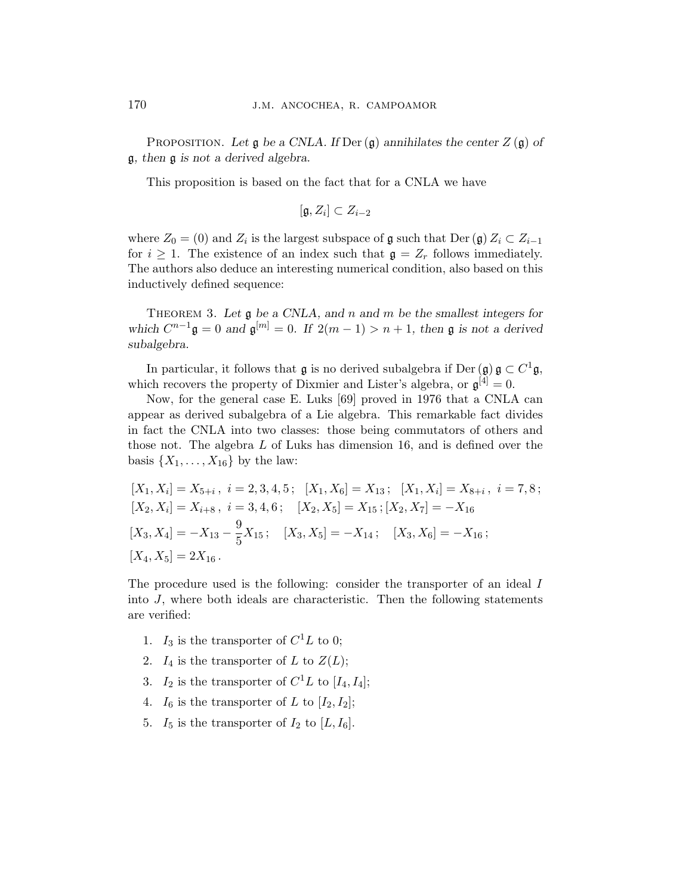PROPOSITION. Let  $\mathfrak g$  be a CNLA. If Der  $(\mathfrak g)$  annihilates the center  $Z(\mathfrak g)$  of g, then g is not a derived algebra.

This proposition is based on the fact that for a CNLA we have

$$
[\mathfrak{g},Z_i]\subset Z_{i-2}
$$

where  $Z_0 = (0)$  and  $Z_i$  is the largest subspace of  $\mathfrak g$  such that  $\mathrm{Der}(\mathfrak g) Z_i \subset Z_{i-1}$ for  $i \geq 1$ . The existence of an index such that  $\mathfrak{g} = Z_r$  follows immediately. The authors also deduce an interesting numerical condition, also based on this inductively defined sequence:

THEOREM 3. Let  $\mathfrak g$  be a CNLA, and n and m be the smallest integers for which  $C^{n-1}\mathfrak{g} = 0$  and  $\mathfrak{g}^{[m]} = 0$ . If  $2(m-1) > n+1$ , then  $\mathfrak{g}$  is not a derived subalgebra.

In particular, it follows that  $\mathfrak g$  is no derived subalgebra if Der  $(\mathfrak g) \mathfrak g \subset C^1 \mathfrak g$ , which recovers the property of Dixmier and Lister's algebra, or  $\mathfrak{g}^{[4]}=0$ .

Now, for the general case E. Luks [69] proved in 1976 that a CNLA can appear as derived subalgebra of a Lie algebra. This remarkable fact divides in fact the CNLA into two classes: those being commutators of others and those not. The algebra L of Luks has dimension 16, and is defined over the basis  $\{X_1, \ldots, X_{16}\}\$  by the law:

$$
[X_1, X_i] = X_{5+i}, \ i = 2, 3, 4, 5; \ [X_1, X_6] = X_{13}; \ [X_1, X_i] = X_{8+i}, \ i = 7, 8; \ [X_2, X_i] = X_{i+8}, \ i = 3, 4, 6; \ [X_2, X_5] = X_{15}; [X_2, X_7] = -X_{16} \ [X_3, X_4] = -X_{13} - \frac{9}{5}X_{15}; \ [X_3, X_5] = -X_{14}; \ [X_3, X_6] = -X_{16}; \ [X_4, X_5] = 2X_{16}.
$$

The procedure used is the following: consider the transporter of an ideal I into J, where both ideals are characteristic. Then the following statements are verified:

- 1.  $I_3$  is the transporter of  $C^1L$  to 0;
- 2.  $I_4$  is the transporter of L to  $Z(L)$ ;
- 3.  $I_2$  is the transporter of  $C^1L$  to  $[I_4, I_4]$ ;
- 4.  $I_6$  is the transporter of L to  $[I_2, I_2]$ ;
- 5.  $I_5$  is the transporter of  $I_2$  to  $[L, I_6]$ .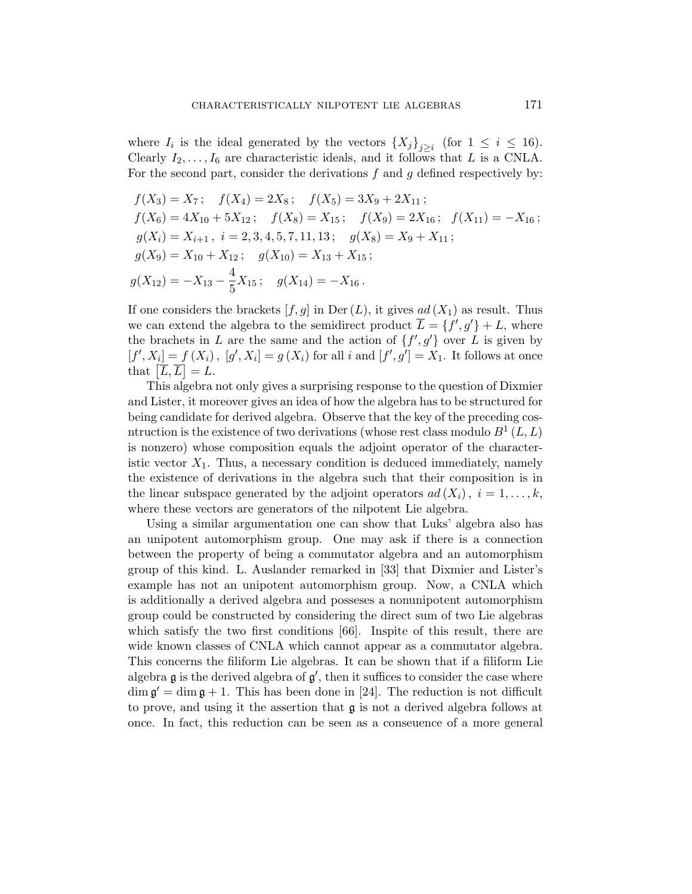where  $I_i$  is the ideal generated by the vectors  $\{X_j\}_{j\geq i}$  (for  $1 \leq i \leq 16$ ). Clearly  $I_2, \ldots, I_6$  are characteristic ideals, and it follows that L is a CNLA. For the second part, consider the derivations  $f$  and  $g$  defined respectively by:

$$
f(X_3) = X_7; \t f(X_4) = 2X_8; \t f(X_5) = 3X_9 + 2X_{11};
$$
  
\n
$$
f(X_6) = 4X_{10} + 5X_{12}; \t f(X_8) = X_{15}; \t f(X_9) = 2X_{16}; \t f(X_{11}) = -X_{16};
$$
  
\n
$$
g(X_i) = X_{i+1}, \t i = 2, 3, 4, 5, 7, 11, 13; \t g(X_8) = X_9 + X_{11};
$$
  
\n
$$
g(X_9) = X_{10} + X_{12}; \t g(X_{10}) = X_{13} + X_{15};
$$
  
\n
$$
g(X_{12}) = -X_{13} - \frac{4}{5}X_{15}; \t g(X_{14}) = -X_{16}.
$$

If one considers the brackets  $[f, g]$  in Der  $(L)$ , it gives  $ad(X_1)$  as result. Thus we can extend the algebra to the semidirect product  $\overline{L} = \{f', g'\} + L$ , where the brachets in L are the same and the action of  $\{f', g'\}$  over L is given by  $[f', X_i] = f(X_i)$ ,  $[g', X_i] = g(X_i)$  for all i and  $[f', g'] = X_1$ . It follows at once  $[I, \Lambda_i] \equiv J(\Lambda_i)$ <br>that  $[\overline{L}, \overline{L}] = L$ .

This algebra not only gives a surprising response to the question of Dixmier and Lister, it moreover gives an idea of how the algebra has to be structured for being candidate for derived algebra. Observe that the key of the preceding cosntruction is the existence of two derivations (whose rest class modulo  $B^1(L,L)$ is nonzero) whose composition equals the adjoint operator of the characteristic vector  $X_1$ . Thus, a necessary condition is deduced immediately, namely the existence of derivations in the algebra such that their composition is in the linear subspace generated by the adjoint operators  $ad(X_i)$ ,  $i = 1, ..., k$ , where these vectors are generators of the nilpotent Lie algebra.

Using a similar argumentation one can show that Luks' algebra also has an unipotent automorphism group. One may ask if there is a connection between the property of being a commutator algebra and an automorphism group of this kind. L. Auslander remarked in [33] that Dixmier and Lister's example has not an unipotent automorphism group. Now, a CNLA which is additionally a derived algebra and posseses a nonunipotent automorphism group could be constructed by considering the direct sum of two Lie algebras which satisfy the two first conditions [66]. Inspite of this result, there are wide known classes of CNLA which cannot appear as a commutator algebra. This concerns the filiform Lie algebras. It can be shown that if a filiform Lie algebra  $\mathfrak g$  is the derived algebra of  $\mathfrak g'$ , then it suffices to consider the case where  $\dim \mathfrak{g}' = \dim \mathfrak{g} + 1$ . This has been done in [24]. The reduction is not difficult to prove, and using it the assertion that g is not a derived algebra follows at once. In fact, this reduction can be seen as a conseuence of a more general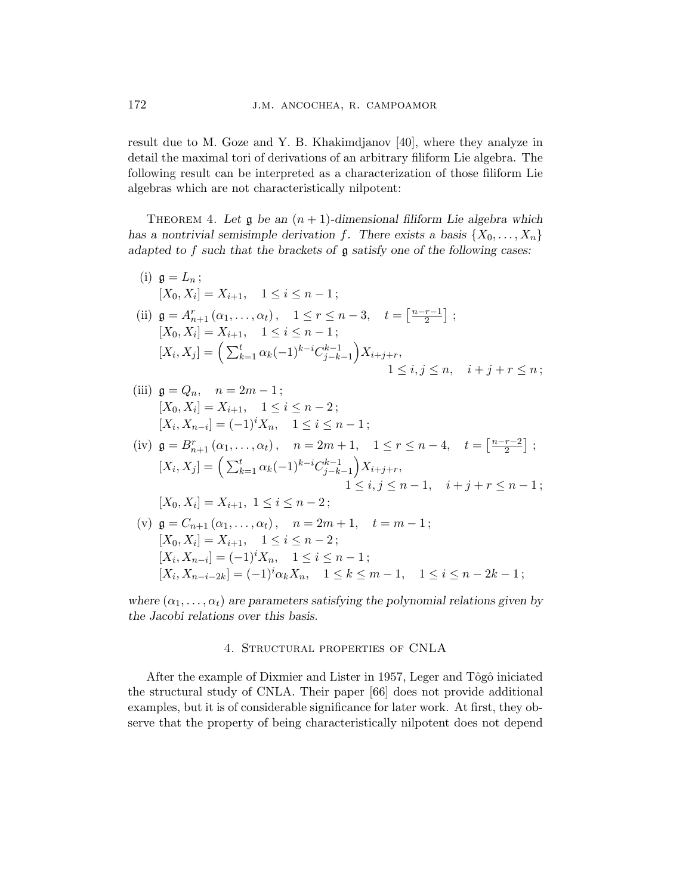result due to M. Goze and Y. B. Khakimdjanov [40], where they analyze in detail the maximal tori of derivations of an arbitrary filiform Lie algebra. The following result can be interpreted as a characterization of those filiform Lie algebras which are not characteristically nilpotent:

THEOREM 4. Let  $\mathfrak g$  be an  $(n+1)$ -dimensional filiform Lie algebra which has a nontrivial semisimple derivation f. There exists a basis  $\{X_0, \ldots, X_n\}$ adapted to  $f$  such that the brackets of  $\mathfrak g$  satisfy one of the following cases:

(i) 
$$
\mathfrak{g} = L_n
$$
;  
\n $[X_0, X_i] = X_{i+1}, \quad 1 \le i \le n-1$ ;  
\n(ii)  $\mathfrak{g} = A_{n+1}^r(\alpha_1, ..., \alpha_t), \quad 1 \le r \le n-3, \quad t = \left[\frac{n-r-1}{2}\right]$ ;  
\n $[X_0, X_i] = X_{i+1}, \quad 1 \le i \le n-1$ ;  
\n $[X_i, X_j] = \left(\sum_{k=1}^t \alpha_k (-1)^{k-i} C_{j-k-1}^{k-1}\right) X_{i+j+r}, \quad 1 \le i, j \le n, \quad i+j+r \le n$ ;

(iii) 
$$
\mathfrak{g} = Q_n, \quad n = 2m - 1;
$$
  
\n $[X_0, X_i] = X_{i+1}, \quad 1 \le i \le n - 2;$   
\n $[X_i, X_{n-i}] = (-1)^i X_n, \quad 1 \le i \le n - 1;$ 

(iv) 
$$
\mathfrak{g} = B_{n+1}^r(\alpha_1, ..., \alpha_t), \quad n = 2m+1, \quad 1 \leq r \leq n-4, \quad t = \left[\frac{n-r-2}{2}\right];
$$
  
\n
$$
[X_i, X_j] = \left(\sum_{k=1}^t \alpha_k (-1)^{k-i} C_{j-k-1}^{k-1}\right) X_{i+j+r},
$$
\n
$$
1 \leq i, j \leq n-1, \quad i+j+r \leq n-1;
$$
\n
$$
[X_0, X_i] = X_{i+1}, \quad 1 \leq i \leq n-2;
$$

(v) 
$$
\mathfrak{g} = C_{n+1}(\alpha_1, ..., \alpha_t), \quad n = 2m + 1, \quad t = m - 1;
$$
  
\n $[X_0, X_i] = X_{i+1}, \quad 1 \le i \le n - 2;$   
\n $[X_i, X_{n-i}] = (-1)^i X_n, \quad 1 \le i \le n - 1;$   
\n $[X_i, X_{n-i-2k}] = (-1)^i \alpha_k X_n, \quad 1 \le k \le m - 1, \quad 1 \le i \le n - 2k - 1;$ 

where  $(\alpha_1, \ldots, \alpha_t)$  are parameters satisfying the polynomial relations given by the Jacobi relations over this basis.

# 4. Structural properties of CNLA

After the example of Dixmier and Lister in 1957, Leger and Tôgô iniciated the structural study of CNLA. Their paper [66] does not provide additional examples, but it is of considerable significance for later work. At first, they observe that the property of being characteristically nilpotent does not depend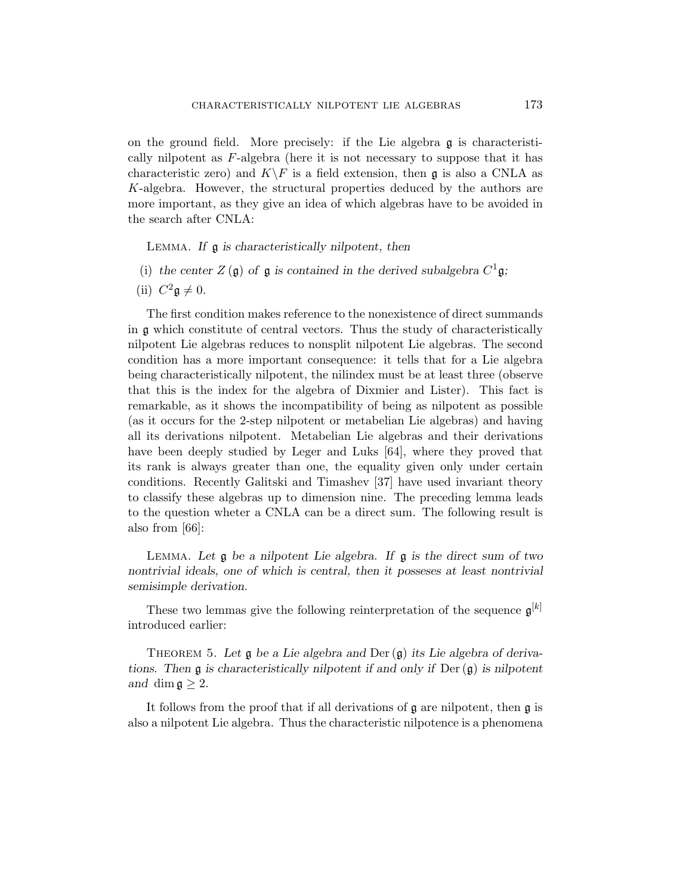on the ground field. More precisely: if the Lie algebra g is characteristically nilpotent as F-algebra (here it is not necessary to suppose that it has characteristic zero) and  $K\backslash F$  is a field extension, then g is also a CNLA as K-algebra. However, the structural properties deduced by the authors are more important, as they give an idea of which algebras have to be avoided in the search after CNLA:

Lemma. If g is characteristically nilpotent, then

- (i) the center  $Z(\mathfrak{g})$  of  $\mathfrak{g}$  is contained in the derived subalgebra  $C^1\mathfrak{g}$ ;
- (ii)  $C^2 \mathfrak{g} \neq 0$ .

The first condition makes reference to the nonexistence of direct summands in g which constitute of central vectors. Thus the study of characteristically nilpotent Lie algebras reduces to nonsplit nilpotent Lie algebras. The second condition has a more important consequence: it tells that for a Lie algebra being characteristically nilpotent, the nilindex must be at least three (observe that this is the index for the algebra of Dixmier and Lister). This fact is remarkable, as it shows the incompatibility of being as nilpotent as possible (as it occurs for the 2-step nilpotent or metabelian Lie algebras) and having all its derivations nilpotent. Metabelian Lie algebras and their derivations have been deeply studied by Leger and Luks [64], where they proved that its rank is always greater than one, the equality given only under certain conditions. Recently Galitski and Timashev [37] have used invariant theory to classify these algebras up to dimension nine. The preceding lemma leads to the question wheter a CNLA can be a direct sum. The following result is also from [66]:

LEMMA. Let  $\mathfrak g$  be a nilpotent Lie algebra. If  $\mathfrak g$  is the direct sum of two nontrivial ideals, one of which is central, then it posseses at least nontrivial semisimple derivation.

These two lemmas give the following reinterpretation of the sequence  $\mathfrak{g}^{[k]}$ introduced earlier:

THEOREM 5. Let  $\mathfrak g$  be a Lie algebra and Der  $(\mathfrak g)$  its Lie algebra of derivations. Then  $\mathfrak g$  is characteristically nilpotent if and only if Der  $(\mathfrak g)$  is nilpotent and dim  $\mathfrak{g} \geq 2$ .

It follows from the proof that if all derivations of g are nilpotent, then g is also a nilpotent Lie algebra. Thus the characteristic nilpotence is a phenomena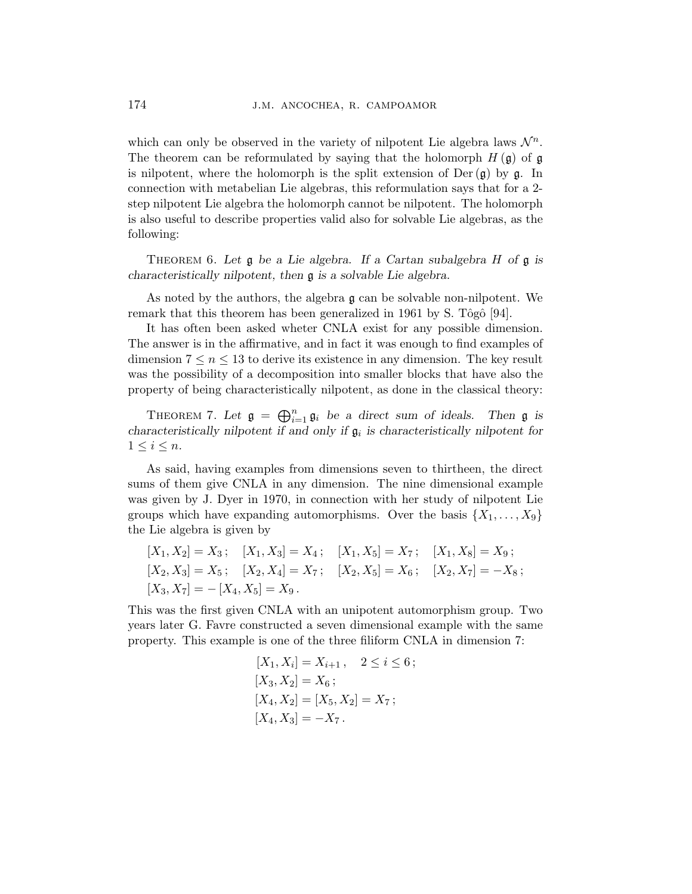which can only be observed in the variety of nilpotent Lie algebra laws  $\mathcal{N}^n$ . The theorem can be reformulated by saying that the holomorph  $H(\mathfrak{g})$  of  $\mathfrak{g}$ is nilpotent, where the holomorph is the split extension of  $Der(g)$  by g. In connection with metabelian Lie algebras, this reformulation says that for a 2 step nilpotent Lie algebra the holomorph cannot be nilpotent. The holomorph is also useful to describe properties valid also for solvable Lie algebras, as the following:

THEOREM 6. Let  $\mathfrak g$  be a Lie algebra. If a Cartan subalgebra H of  $\mathfrak g$  is characteristically nilpotent, then g is a solvable Lie algebra.

As noted by the authors, the algebra g can be solvable non-nilpotent. We remark that this theorem has been generalized in 1961 by S. Tôgô [94].

It has often been asked wheter CNLA exist for any possible dimension. The answer is in the affirmative, and in fact it was enough to find examples of dimension  $7 \leq n \leq 13$  to derive its existence in any dimension. The key result was the possibility of a decomposition into smaller blocks that have also the property of being characteristically nilpotent, as done in the classical theory:

THEOREM 7. Let  $\mathfrak{g} = \bigoplus_{i=1}^n$  $\sum_{i=1}^{n} \mathfrak{g}_i$  be a direct sum of ideals. Then  $\mathfrak{g}$  is characteristically nilpotent if and only if  $\mathfrak{g}_i$  is characteristically nilpotent for  $1 \leq i \leq n$ .

As said, having examples from dimensions seven to thirtheen, the direct sums of them give CNLA in any dimension. The nine dimensional example was given by J. Dyer in 1970, in connection with her study of nilpotent Lie groups which have expanding automorphisms. Over the basis  $\{X_1, \ldots, X_9\}$ the Lie algebra is given by

$$
[X_1, X_2] = X_3; \quad [X_1, X_3] = X_4; \quad [X_1, X_5] = X_7; \quad [X_1, X_8] = X_9; [X_2, X_3] = X_5; \quad [X_2, X_4] = X_7; \quad [X_2, X_5] = X_6; \quad [X_2, X_7] = -X_8; [X_3, X_7] = -[X_4, X_5] = X_9.
$$

This was the first given CNLA with an unipotent automorphism group. Two years later G. Favre constructed a seven dimensional example with the same property. This example is one of the three filiform CNLA in dimension 7:

$$
[X_1, X_i] = X_{i+1}, \quad 2 \le i \le 6;
$$
  
\n
$$
[X_3, X_2] = X_6;
$$
  
\n
$$
[X_4, X_2] = [X_5, X_2] = X_7;
$$
  
\n
$$
[X_4, X_3] = -X_7.
$$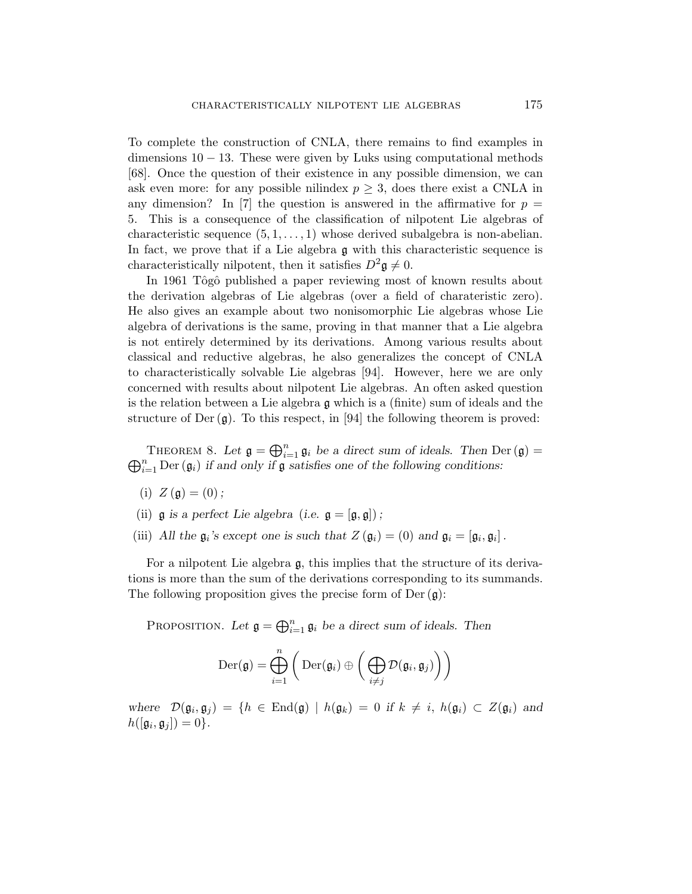To complete the construction of CNLA, there remains to find examples in dimensions  $10 - 13$ . These were given by Luks using computational methods [68]. Once the question of their existence in any possible dimension, we can ask even more: for any possible nilindex  $p \geq 3$ , does there exist a CNLA in any dimension? In [7] the question is answered in the affirmative for  $p =$ 5. This is a consequence of the classification of nilpotent Lie algebras of characteristic sequence  $(5, 1, \ldots, 1)$  whose derived subalgebra is non-abelian. In fact, we prove that if a Lie algebra g with this characteristic sequence is characteristically nilpotent, then it satisfies  $D^2 \mathfrak{g} \neq 0$ .

In 1961 Tôgô published a paper reviewing most of known results about the derivation algebras of Lie algebras (over a field of charateristic zero). He also gives an example about two nonisomorphic Lie algebras whose Lie algebra of derivations is the same, proving in that manner that a Lie algebra is not entirely determined by its derivations. Among various results about classical and reductive algebras, he also generalizes the concept of CNLA to characteristically solvable Lie algebras [94]. However, here we are only concerned with results about nilpotent Lie algebras. An often asked question is the relation between a Lie algebra g which is a (finite) sum of ideals and the structure of Der  $(g)$ . To this respect, in [94] the following theorem is proved:

THEOREM 8. Let  $\mathfrak{g} = \bigoplus_{i=1}^n$  $_{i=1}^{n}$   $\mathfrak{g}_{i}$  be a direct sum of ideals. Then Der  $(\mathfrak{g}) =$ I HEOREM 8. Let  $\mathfrak{g} = \bigoplus_{i=1}^n \mathfrak{g}_i$  be a direct sum of ideals. Then Depth  $\bigoplus_{i=1}^n \text{Der}(\mathfrak{g}_i)$  if and only if  $\mathfrak{g}$  satisfies one of the following conditions:

- (i)  $Z(\mathfrak{g}) = (0);$
- (ii)  $\mathfrak g$  is a perfect Lie algebra (i.e.  $\mathfrak g = [\mathfrak g, \mathfrak g]$ );
- (iii) All the  $\mathfrak{g}_i$ 's except one is such that  $Z(\mathfrak{g}_i) = (0)$  and  $\mathfrak{g}_i = [\mathfrak{g}_i, \mathfrak{g}_i]$ .

For a nilpotent Lie algebra  $\mathfrak{g}$ , this implies that the structure of its derivations is more than the sum of the derivations corresponding to its summands. The following proposition gives the precise form of  $Der(g)$ :

Proposition. Let  $\mathfrak{g} = \bigoplus_{i=1}^n$  $i=1 \, \mathfrak{g}_i$  be a direct sum of ideals. Then

$$
\mathrm{Der}(\mathfrak{g}) = \bigoplus_{i=1}^n \bigg( \mathrm{Der}(\mathfrak{g}_i) \oplus \bigg( \bigoplus_{i \neq j} \mathcal{D}(\mathfrak{g}_i, \mathfrak{g}_j) \bigg) \bigg)
$$

where  $\mathcal{D}(\mathfrak{g}_i, \mathfrak{g}_j) = \{h \in \text{End}(\mathfrak{g}) \mid h(\mathfrak{g}_k) = 0 \text{ if } k \neq i, h(\mathfrak{g}_i) \subset Z(\mathfrak{g}_i) \text{ and }$  $h([\mathfrak{g}_i, \mathfrak{g}_j]) = 0\}.$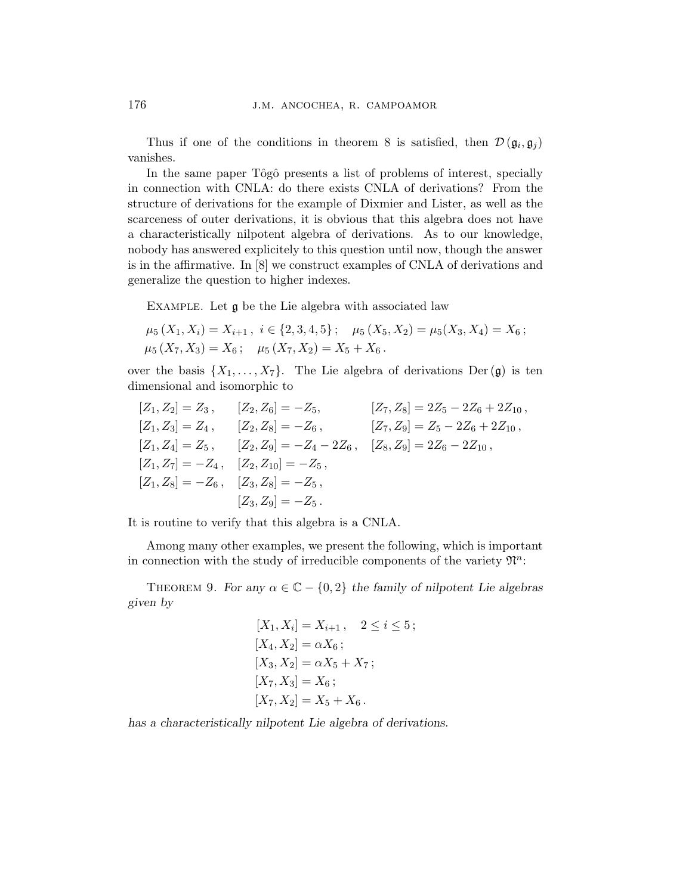Thus if one of the conditions in theorem 8 is satisfied, then  $\mathcal{D}(\mathfrak{g}_i, \mathfrak{g}_j)$ vanishes.

In the same paper Tôgô presents a list of problems of interest, specially in connection with CNLA: do there exists CNLA of derivations? From the structure of derivations for the example of Dixmier and Lister, as well as the scarceness of outer derivations, it is obvious that this algebra does not have a characteristically nilpotent algebra of derivations. As to our knowledge, nobody has answered explicitely to this question until now, though the answer is in the affirmative. In [8] we construct examples of CNLA of derivations and generalize the question to higher indexes.

Example. Let g be the Lie algebra with associated law

$$
\mu_5(X_1, X_i) = X_{i+1}, \ i \in \{2, 3, 4, 5\}; \quad \mu_5(X_5, X_2) = \mu_5(X_3, X_4) = X_6; \n\mu_5(X_7, X_3) = X_6; \quad \mu_5(X_7, X_2) = X_5 + X_6.
$$

over the basis  $\{X_1, \ldots, X_7\}$ . The Lie algebra of derivations Der(g) is ten dimensional and isomorphic to

$$
[Z_1, Z_2] = Z_3, \t [Z_2, Z_6] = -Z_5, \t [Z_7, Z_8] = 2Z_5 - 2Z_6 + 2Z_{10},
$$
  
\n
$$
[Z_1, Z_3] = Z_4, \t [Z_2, Z_8] = -Z_6, \t [Z_7, Z_9] = Z_5 - 2Z_6 + 2Z_{10},
$$
  
\n
$$
[Z_1, Z_4] = Z_5, \t [Z_2, Z_9] = -Z_4 - 2Z_6, \t [Z_8, Z_9] = 2Z_6 - 2Z_{10},
$$
  
\n
$$
[Z_1, Z_7] = -Z_4, \t [Z_2, Z_{10}] = -Z_5,
$$
  
\n
$$
[Z_3, Z_9] = -Z_5,
$$
  
\n
$$
[Z_3, Z_9] = -Z_5.
$$

It is routine to verify that this algebra is a CNLA.

Among many other examples, we present the following, which is important in connection with the study of irreducible components of the variety  $\mathfrak{N}^n$ :

THEOREM 9. For any  $\alpha \in \mathbb{C} - \{0, 2\}$  the family of nilpotent Lie algebras given by

$$
[X_1, X_i] = X_{i+1}, \quad 2 \le i \le 5;
$$
  
\n
$$
[X_4, X_2] = \alpha X_6;
$$
  
\n
$$
[X_3, X_2] = \alpha X_5 + X_7;
$$
  
\n
$$
[X_7, X_3] = X_6;
$$
  
\n
$$
[X_7, X_2] = X_5 + X_6.
$$

has a characteristically nilpotent Lie algebra of derivations.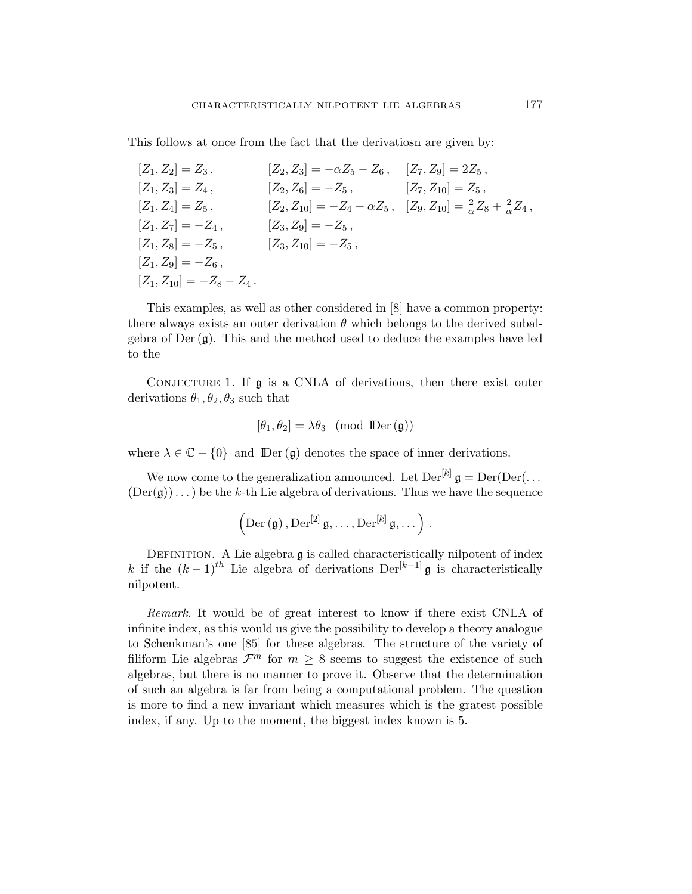This follows at once from the fact that the derivatiosn are given by:

| $[Z_1, Z_2] = Z_3$ ,           | $[Z_2,Z_3]=-\alpha Z_5-Z_6\,,\quad [Z_7,Z_9]=2Z_5\,,$                                           |                         |
|--------------------------------|-------------------------------------------------------------------------------------------------|-------------------------|
| $[Z_1, Z_3] = Z_4$ ,           | $[Z_2,Z_6]=-Z_5\,,$                                                                             | $[Z_7, Z_{10}] = Z_5$ , |
| $[Z_1, Z_4] = Z_5$ ,           | $[Z_2,Z_{10}]=-Z_4-\alpha Z_5\, ,\;\; [Z_9,Z_{10}]=\frac{2}{\alpha}Z_8+\frac{2}{\alpha}Z_4\, ,$ |                         |
| $ Z_1, Z_7  = -Z_4$ ,          | $[Z_3, Z_9] = -Z_5$ ,                                                                           |                         |
| $ Z_1, Z_8  = -Z_5,$           | $ Z_3,Z_{10} =-Z_5$ ,                                                                           |                         |
| $ Z_1, Z_9  = -Z_6,$           |                                                                                                 |                         |
| $ Z_1, Z_{10}  = -Z_8 - Z_4$ . |                                                                                                 |                         |

This examples, as well as other considered in [8] have a common property: there always exists an outer derivation  $\theta$  which belongs to the derived subalgebra of  $Der(g)$ . This and the method used to deduce the examples have led to the

CONJECTURE 1. If  $\mathfrak g$  is a CNLA of derivations, then there exist outer derivations  $\theta_1, \theta_2, \theta_3$  such that

$$
[\theta_1, \theta_2] = \lambda \theta_3 \pmod{\text{Der}(\mathfrak{g})}
$$

where  $\lambda \in \mathbb{C} - \{0\}$  and  $\mathbb{D}\mathrm{er}(\mathfrak{g})$  denotes the space of inner derivations.

We now come to the generalization announced. Let  $\text{Der}^{[k]}$   $\mathfrak{g} = \text{Der}(\text{Der}(\dots))$  $(Der(\mathfrak{g}))\dots$  be the k-th Lie algebra of derivations. Thus we have the sequence

$$
\left(\mathrm{Der}\left(\mathfrak{g}\right),\mathrm{Der}^{\left[2\right]}\mathfrak{g},\ldots,\mathrm{Der}^{\left[k\right]}\mathfrak{g},\ldots\right)\,.
$$

DEFINITION. A Lie algebra  $\frak g$  is called characteristically nilpotent of index k if the  $(k-1)^{th}$  Lie algebra of derivations Der<sup>[k-1]</sup> g is characteristically nilpotent.

Remark. It would be of great interest to know if there exist CNLA of infinite index, as this would us give the possibility to develop a theory analogue to Schenkman's one [85] for these algebras. The structure of the variety of filiform Lie algebras  $\mathcal{F}^m$  for  $m \geq 8$  seems to suggest the existence of such algebras, but there is no manner to prove it. Observe that the determination of such an algebra is far from being a computational problem. The question is more to find a new invariant which measures which is the gratest possible index, if any. Up to the moment, the biggest index known is 5.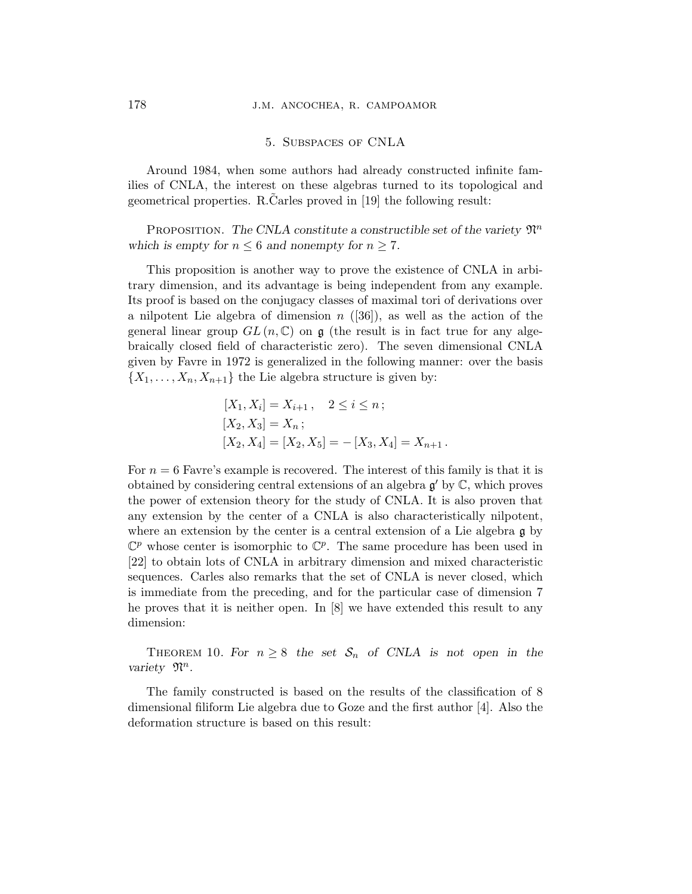#### 5. Subspaces of CNLA

Around 1984, when some authors had already constructed infinite families of CNLA, the interest on these algebras turned to its topological and geometrical properties. R.Carles proved in [19] the following result:

PROPOSITION. The CNLA constitute a constructible set of the variety  $\mathfrak{N}^n$ which is empty for  $n \leq 6$  and nonempty for  $n \geq 7$ .

This proposition is another way to prove the existence of CNLA in arbitrary dimension, and its advantage is being independent from any example. Its proof is based on the conjugacy classes of maximal tori of derivations over a nilpotent Lie algebra of dimension  $n$  ([36]), as well as the action of the general linear group  $GL(n, \mathbb{C})$  on  $\mathfrak{g}$  (the result is in fact true for any algebraically closed field of characteristic zero). The seven dimensional CNLA given by Favre in 1972 is generalized in the following manner: over the basis  $\{X_1, \ldots, X_n, X_{n+1}\}\$ the Lie algebra structure is given by:

$$
[X_1, X_i] = X_{i+1}, \quad 2 \le i \le n;
$$
  
\n
$$
[X_2, X_3] = X_n;
$$
  
\n
$$
[X_2, X_4] = [X_2, X_5] = -[X_3, X_4] = X_{n+1}.
$$

For  $n = 6$  Favre's example is recovered. The interest of this family is that it is obtained by considering central extensions of an algebra  $g'$  by  $\mathbb{C}$ , which proves the power of extension theory for the study of CNLA. It is also proven that any extension by the center of a CNLA is also characteristically nilpotent, where an extension by the center is a central extension of a Lie algebra  $\mathfrak g$  by  $\mathbb{C}^p$  whose center is isomorphic to  $\mathbb{C}^p$ . The same procedure has been used in [22] to obtain lots of CNLA in arbitrary dimension and mixed characteristic sequences. Carles also remarks that the set of CNLA is never closed, which is immediate from the preceding, and for the particular case of dimension 7 he proves that it is neither open. In [8] we have extended this result to any dimension:

THEOREM 10. For  $n \geq 8$  the set  $S_n$  of CNLA is not open in the variety  $\mathfrak{N}^n$ .

The family constructed is based on the results of the classification of 8 dimensional filiform Lie algebra due to Goze and the first author [4]. Also the deformation structure is based on this result: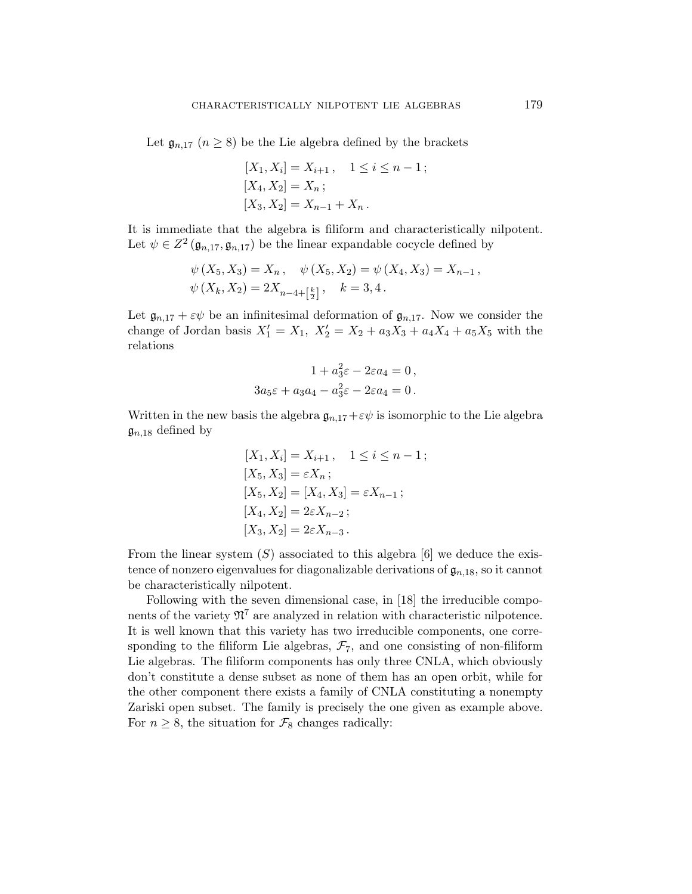Let  $\mathfrak{g}_{n,17}$   $(n \geq 8)$  be the Lie algebra defined by the brackets

$$
[X_1, X_i] = X_{i+1}, \quad 1 \le i \le n-1;
$$
  
\n
$$
[X_4, X_2] = X_n;
$$
  
\n
$$
[X_3, X_2] = X_{n-1} + X_n.
$$

It is immediate that the algebra is filiform and characteristically nilpotent. Let  $\psi \in Z^2(\mathfrak{g}_{n,17}, \mathfrak{g}_{n,17})$  be the linear expandable cocycle defined by

$$
\psi(X_5, X_3) = X_n, \quad \psi(X_5, X_2) = \psi(X_4, X_3) = X_{n-1},
$$
  

$$
\psi(X_k, X_2) = 2X_{n-4 + \left[\frac{k}{2}\right]}, \quad k = 3, 4.
$$

Let  $\mathfrak{g}_{n,17} + \varepsilon \psi$  be an infinitesimal deformation of  $\mathfrak{g}_{n,17}$ . Now we consider the change of Jordan basis  $X'_1 = X_1, X'_2 = X_2 + a_3X_3 + a_4X_4 + a_5X_5$  with the relations

$$
1 + a_3^2 \varepsilon - 2\varepsilon a_4 = 0,
$$
  

$$
3a_5 \varepsilon + a_3 a_4 - a_3^2 \varepsilon - 2\varepsilon a_4 = 0.
$$

Written in the new basis the algebra  $\mathfrak{g}_{n,17}+\varepsilon\psi$  is isomorphic to the Lie algebra  $\mathfrak{g}_{n,18}$  defined by

$$
[X_1, X_i] = X_{i+1}, \quad 1 \le i \le n-1;
$$
  
\n
$$
[X_5, X_3] = \varepsilon X_n;
$$
  
\n
$$
[X_5, X_2] = [X_4, X_3] = \varepsilon X_{n-1};
$$
  
\n
$$
[X_4, X_2] = 2\varepsilon X_{n-2};
$$
  
\n
$$
[X_3, X_2] = 2\varepsilon X_{n-3}.
$$

From the linear system  $(S)$  associated to this algebra  $[6]$  we deduce the existence of nonzero eigenvalues for diagonalizable derivations of  $\mathfrak{g}_{n,18}$ , so it cannot be characteristically nilpotent.

Following with the seven dimensional case, in [18] the irreducible components of the variety  $\mathfrak{N}^7$  are analyzed in relation with characteristic nilpotence. It is well known that this variety has two irreducible components, one corresponding to the filiform Lie algebras,  $\mathcal{F}_7$ , and one consisting of non-filiform Lie algebras. The filiform components has only three CNLA, which obviously don't constitute a dense subset as none of them has an open orbit, while for the other component there exists a family of CNLA constituting a nonempty Zariski open subset. The family is precisely the one given as example above. For  $n \geq 8$ , the situation for  $\mathcal{F}_8$  changes radically: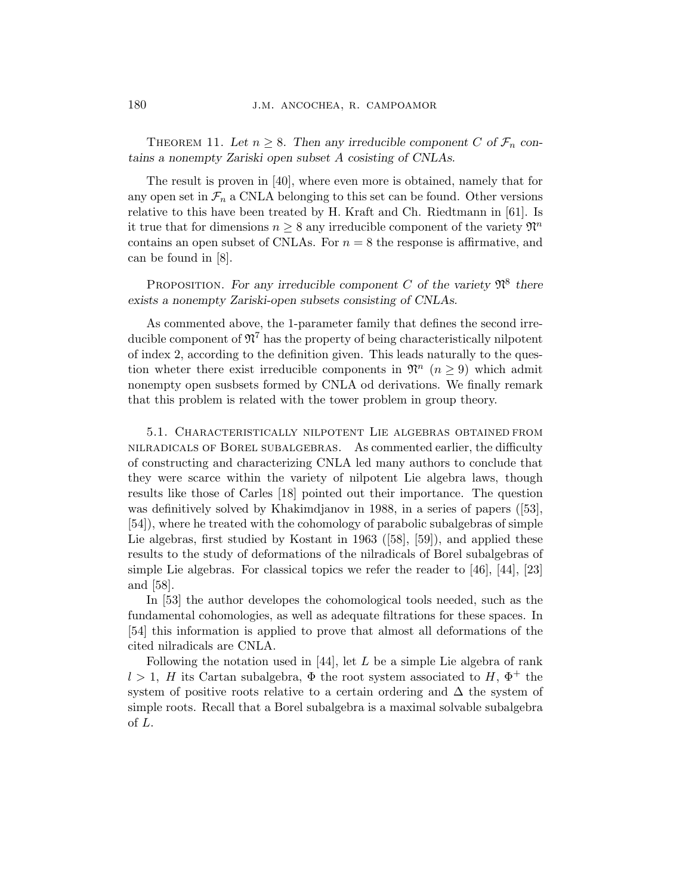THEOREM 11. Let  $n \geq 8$ . Then any irreducible component C of  $\mathcal{F}_n$  contains a nonempty Zariski open subset A cosisting of CNLAs.

The result is proven in [40], where even more is obtained, namely that for any open set in  $\mathcal{F}_n$  a CNLA belonging to this set can be found. Other versions relative to this have been treated by H. Kraft and Ch. Riedtmann in [61]. Is it true that for dimensions  $n \geq 8$  any irreducible component of the variety  $\mathfrak{N}^n$ contains an open subset of CNLAs. For  $n = 8$  the response is affirmative, and can be found in [8].

PROPOSITION. For any irreducible component C of the variety  $\mathfrak{N}^8$  there exists a nonempty Zariski-open subsets consisting of CNLAs.

As commented above, the 1-parameter family that defines the second irreducible component of  $\mathfrak{N}^7$  has the property of being characteristically nilpotent of index 2, according to the definition given. This leads naturally to the question wheter there exist irreducible components in  $\mathfrak{N}^n$   $(n \geq 9)$  which admit nonempty open susbsets formed by CNLA od derivations. We finally remark that this problem is related with the tower problem in group theory.

5.1. Characteristically nilpotent Lie algebras obtained from nilradicals of Borel subalgebras. As commented earlier, the difficulty of constructing and characterizing CNLA led many authors to conclude that they were scarce within the variety of nilpotent Lie algebra laws, though results like those of Carles [18] pointed out their importance. The question was definitively solved by Khakimdjanov in 1988, in a series of papers ([53], [54]), where he treated with the cohomology of parabolic subalgebras of simple Lie algebras, first studied by Kostant in 1963 ([58], [59]), and applied these results to the study of deformations of the nilradicals of Borel subalgebras of simple Lie algebras. For classical topics we refer the reader to [46], [44], [23] and [58].

In [53] the author developes the cohomological tools needed, such as the fundamental cohomologies, as well as adequate filtrations for these spaces. In [54] this information is applied to prove that almost all deformations of the cited nilradicals are CNLA.

Following the notation used in  $[44]$ , let L be a simple Lie algebra of rank  $l > 1$ , H its Cartan subalgebra,  $\Phi$  the root system associated to H,  $\Phi^+$  the system of positive roots relative to a certain ordering and  $\Delta$  the system of simple roots. Recall that a Borel subalgebra is a maximal solvable subalgebra of L.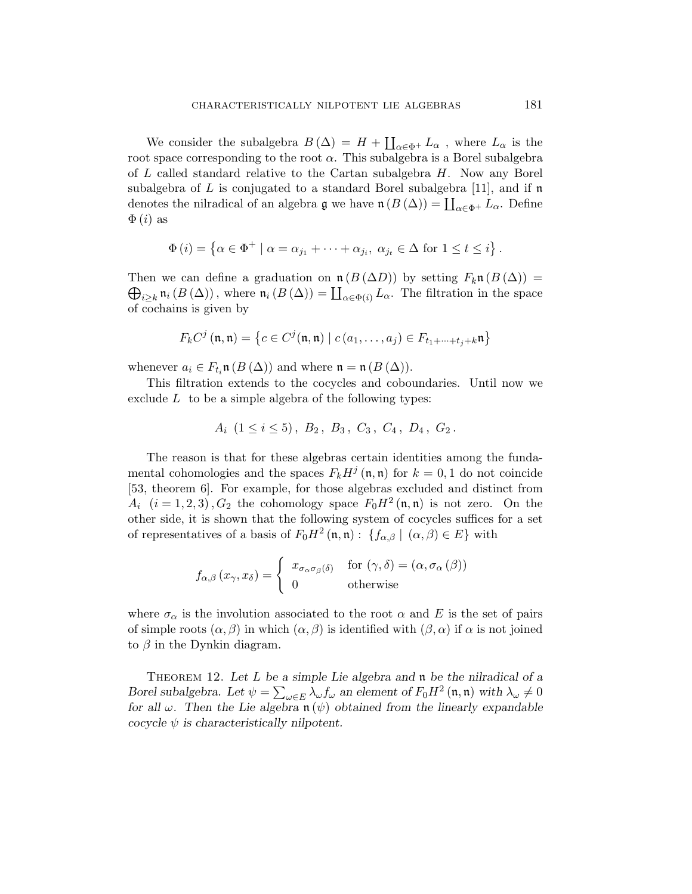We consider the subalgebra  $B(\Delta) = H +$  $\overline{\mathbf{r}}$  $\alpha \in \Phi^+$   $L_\alpha$ , where  $L_\alpha$  is the root space corresponding to the root  $\alpha$ . This subalgebra is a Borel subalgebra of  $L$  called standard relative to the Cartan subalgebra  $H$ . Now any Borel subalgebra of L is conjugated to a standard Borel subalgebra [11], and if  $\mathfrak n$ denotes the nilradical of an algebra  $\mathfrak g$  we have  $\mathfrak n(B(\Delta)) = \coprod_{\alpha \in \Phi^+} L_\alpha$ . Define  $\Phi(i)$  as

$$
\Phi(i) = \left\{ \alpha \in \Phi^+ \mid \alpha = \alpha_{j_1} + \dots + \alpha_{j_i}, \ \alpha_{j_t} \in \Delta \text{ for } 1 \leq t \leq i \right\}.
$$

Then we can define a graduation on  $\mathfrak{n}(B(\Delta))$  by setting  $F_k\mathfrak{n}(B(\Delta)) =$ ien we can denie a graduation on  $\mathfrak{m}(B(\Delta))$  by setting  $F_k \mathfrak{n}(B(\Delta)) = i_{\geq k} \mathfrak{n}_i(B(\Delta))$ , where  $\mathfrak{n}_i(B(\Delta)) = \coprod_{\alpha \in \Phi(i)} L_\alpha$ . The filtration in the space of cochains is given by

$$
F_k C^j (\mathfrak{n}, \mathfrak{n}) = \left\{ c \in C^j (\mathfrak{n}, \mathfrak{n}) \mid c (a_1, \dots, a_j) \in F_{t_1 + \dots + t_j + k} \mathfrak{n} \right\}
$$

whenever  $a_i \in F_{t_i}$ **n**  $(B(\Delta))$  and where  $\mathfrak{n} = \mathfrak{n}(B(\Delta))$ .

This filtration extends to the cocycles and coboundaries. Until now we exclude  $L$  to be a simple algebra of the following types:

$$
A_i \ (1 \leq i \leq 5), \ B_2, \ B_3, \ C_3, \ C_4, \ D_4, \ G_2.
$$

The reason is that for these algebras certain identities among the fundamental cohomologies and the spaces  $F_k H^j(\mathfrak{n}, \mathfrak{n})$  for  $k = 0, 1$  do not coincide [53, theorem 6]. For example, for those algebras excluded and distinct from  $A_i$   $(i = 1, 2, 3)$ ,  $G_2$  the cohomology space  $F_0 H^2(\mathfrak{n}, \mathfrak{n})$  is not zero. On the other side, it is shown that the following system of cocycles suffices for a set of representatives of a basis of  $F_0 H^2(\mathfrak{n}, \mathfrak{n}) : \{f_{\alpha,\beta} \mid (\alpha,\beta) \in E\}$  with

$$
f_{\alpha,\beta}(x_{\gamma},x_{\delta}) = \begin{cases} x_{\sigma_{\alpha}\sigma_{\beta}(\delta)} & \text{for } (\gamma,\delta) = (\alpha,\sigma_{\alpha}(\beta)) \\ 0 & \text{otherwise} \end{cases}
$$

where  $\sigma_{\alpha}$  is the involution associated to the root  $\alpha$  and E is the set of pairs of simple roots  $(\alpha, \beta)$  in which  $(\alpha, \beta)$  is identified with  $(\beta, \alpha)$  if  $\alpha$  is not joined to  $\beta$  in the Dynkin diagram.

THEOREM 12. Let L be a simple Lie algebra and  $\mathfrak n$  be the nilradical of a Borel subalgebra. Let  $\psi = \sum_{\omega \in E} \lambda_{\omega} f_{\omega}$  an element of  $F_0 H^2(\mathfrak{n}, \mathfrak{n})$  with  $\lambda_{\omega} \neq 0$ for all  $\omega$ . Then the Lie algebra  $\mathfrak{n}(\psi)$  obtained from the linearly expandable cocycle  $\psi$  is characteristically nilpotent.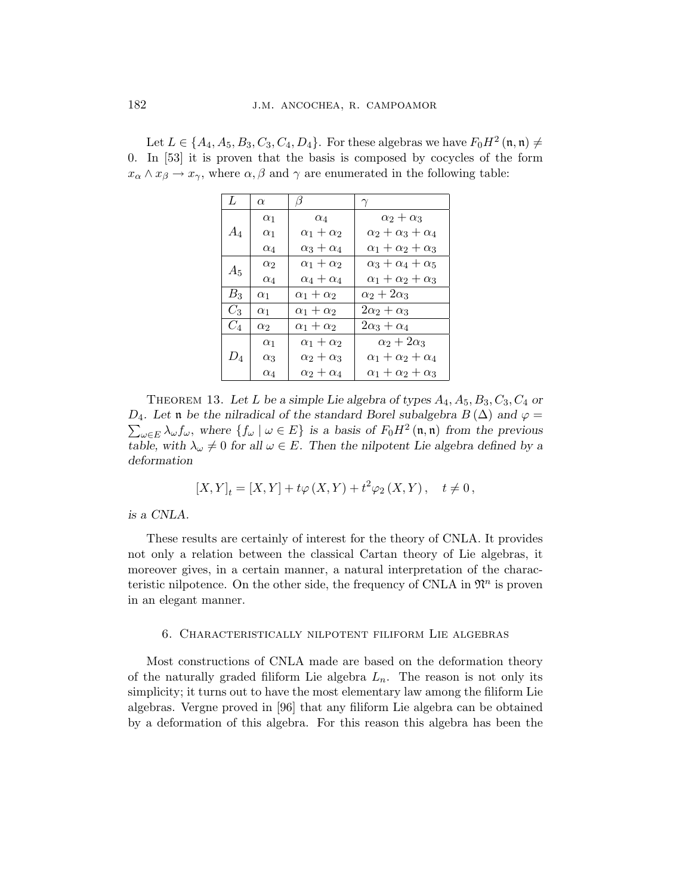| Let $L \in \{A_4, A_5, B_3, C_3, C_4, D_4\}$ . For these algebras we have $F_0 H^2(\mathfrak{n}, \mathfrak{n}) \neq$             |
|----------------------------------------------------------------------------------------------------------------------------------|
| 0. In $[53]$ it is proven that the basis is composed by cocycles of the form                                                     |
| $x_{\alpha} \wedge x_{\beta} \rightarrow x_{\gamma}$ , where $\alpha, \beta$ and $\gamma$ are enumerated in the following table: |

| L     | $\alpha$   | B                     |                                  |
|-------|------------|-----------------------|----------------------------------|
|       | $\alpha_1$ | $\alpha_4$            | $\alpha_2+\alpha_3$              |
| $A_4$ | $\alpha_1$ | $\alpha_1+\alpha_2$   | $\alpha_2 + \alpha_3 + \alpha_4$ |
|       | $\alpha_4$ | $\alpha_3+\alpha_4$   | $\alpha_1 + \alpha_2 + \alpha_3$ |
|       | $\alpha_2$ | $\alpha_1 + \alpha_2$ | $\alpha_3+\alpha_4+\alpha_5$     |
| $A_5$ | $\alpha_4$ | $\alpha_4+\alpha_4$   | $\alpha_1 + \alpha_2 + \alpha_3$ |
| $B_3$ | $\alpha_1$ | $\alpha_1+\alpha_2$   | $\alpha_2+2\alpha_3$             |
| $C_3$ | $\alpha_1$ | $\alpha_1+\alpha_2$   | $2\alpha_2+\alpha_3$             |
| $C_4$ | $\alpha_2$ | $\alpha_1+\alpha_2$   | $2\alpha_3+\alpha_4$             |
|       | $\alpha_1$ | $\alpha_1 + \alpha_2$ | $\alpha_2+2\alpha_3$             |
| $D_4$ | $\alpha_3$ | $\alpha_2+\alpha_3$   | $\alpha_1 + \alpha_2 + \alpha_4$ |
|       | $\alpha_4$ | $\alpha_2+\alpha_4$   | $\alpha_1+\alpha_2+\alpha_3$     |

THEOREM 13. Let L be a simple Lie algebra of types  $A_4, A_5, B_3, C_3, C_4$  or  $D_4$ . Let n be the nilradical of the standard Borel subalgebra  $B(\Delta)$  and  $\varphi =$  $\omega \in E \lambda \omega f \omega$ , where  $\{f_\omega \mid \omega \in E\}$  is a basis of  $F_0 H^2(\mathfrak{n}, \mathfrak{n})$  from the previous table, with  $\lambda_{\omega} \neq 0$  for all  $\omega \in E$ . Then the nilpotent Lie algebra defined by a deformation

$$
[X,Y]_t=[X,Y]+t\varphi\left(X,Y\right)+t^2\varphi_2\left(X,Y\right),\quad t\neq 0\,,
$$

is a CNLA.

These results are certainly of interest for the theory of CNLA. It provides not only a relation between the classical Cartan theory of Lie algebras, it moreover gives, in a certain manner, a natural interpretation of the characteristic nilpotence. On the other side, the frequency of CNLA in  $\mathfrak{N}^n$  is proven in an elegant manner.

#### 6. Characteristically nilpotent filiform Lie algebras

Most constructions of CNLA made are based on the deformation theory of the naturally graded filiform Lie algebra  $L_n$ . The reason is not only its simplicity; it turns out to have the most elementary law among the filiform Lie algebras. Vergne proved in [96] that any filiform Lie algebra can be obtained by a deformation of this algebra. For this reason this algebra has been the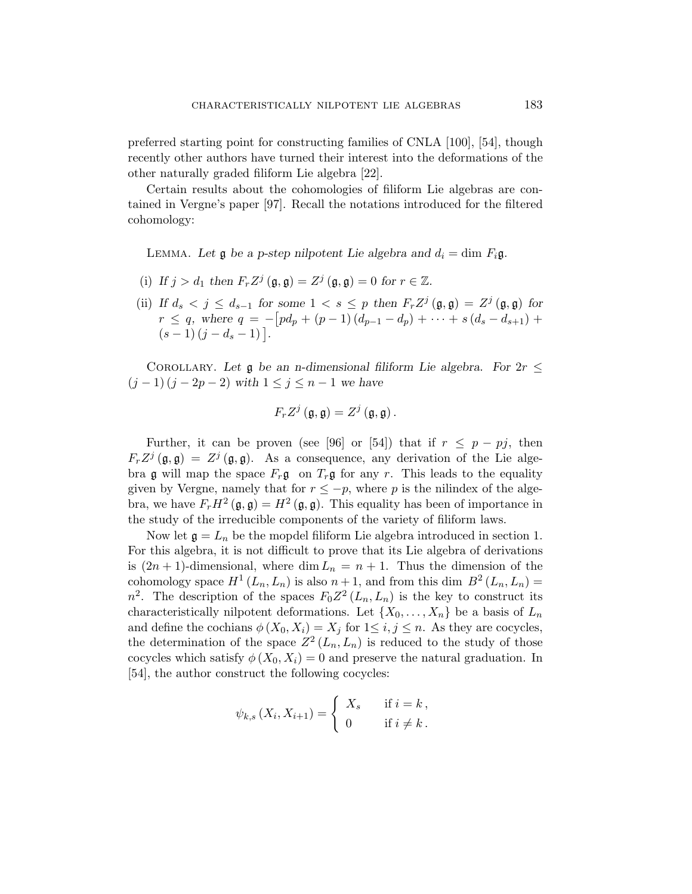preferred starting point for constructing families of CNLA [100], [54], though recently other authors have turned their interest into the deformations of the other naturally graded filiform Lie algebra [22].

Certain results about the cohomologies of filiform Lie algebras are contained in Vergne's paper [97]. Recall the notations introduced for the filtered cohomology:

LEMMA. Let  $\mathfrak g$  be a p-step nilpotent Lie algebra and  $d_i = \dim F_i \mathfrak g$ .

- (i) If  $j > d_1$  then  $F_r Z^j (\mathfrak{g}, \mathfrak{g}) = Z^j (\mathfrak{g}, \mathfrak{g}) = 0$  for  $r \in \mathbb{Z}$ .
- (ii) If  $d_s < j \leq d_{s-1}$  for some  $1 < s \leq p$  then  $F_r Z^j(\mathfrak{g}, \mathfrak{g}) = Z^j(\mathfrak{g}, \mathfrak{g})$  for  $r \leq q$ , where  $q = -[pd_p + (p-1)(d_{p-1} - d_p) + \cdots + s(d_s - d_{s+1}) +$  $r \leq q$ , where  $q = -1$ <br> $(s-1)(j-d_s-1)$ .

COROLLARY. Let  $\mathfrak g$  be an n-dimensional filiform Lie algebra. For  $2r \leq$  $(j-1)(j-2p-2)$  with  $1 \leq j \leq n-1$  we have

$$
F_r Z^j \left( \mathfrak{g}, \mathfrak{g} \right) = Z^j \left( \mathfrak{g}, \mathfrak{g} \right).
$$

Further, it can be proven (see [96] or [54]) that if  $r \leq p - pj$ , then  $F_r Z^j(\mathfrak{g}, \mathfrak{g}) = Z^j(\mathfrak{g}, \mathfrak{g}).$  As a consequence, any derivation of the Lie algebra g will map the space  $F_r$ g on  $T_r$ g for any r. This leads to the equality given by Vergne, namely that for  $r \leq -p$ , where p is the nilindex of the algebra, we have  $F_r H^2(\mathfrak{g}, \mathfrak{g}) = H^2(\mathfrak{g}, \mathfrak{g})$ . This equality has been of importance in the study of the irreducible components of the variety of filiform laws.

Now let  $\mathfrak{g} = L_n$  be the mopdel filiform Lie algebra introduced in section 1. For this algebra, it is not difficult to prove that its Lie algebra of derivations is  $(2n + 1)$ -dimensional, where dim  $L_n = n + 1$ . Thus the dimension of the cohomology space  $H^1(L_n, L_n)$  is also  $n+1$ , and from this dim  $B^2(L_n, L_n) =$  $n^2$ . The description of the spaces  $F_0 Z^2(L_n, L_n)$  is the key to construct its characteristically nilpotent deformations. Let  $\{X_0, \ldots, X_n\}$  be a basis of  $L_n$ and define the cochians  $\phi(X_0, X_i) = X_j$  for  $1 \leq i, j \leq n$ . As they are cocycles, the determination of the space  $Z^2(L_n, L_n)$  is reduced to the study of those cocycles which satisfy  $\phi(X_0, X_i) = 0$  and preserve the natural graduation. In [54], the author construct the following cocycles:

$$
\psi_{k,s}(X_i, X_{i+1}) = \begin{cases} X_s & \text{if } i = k, \\ 0 & \text{if } i \neq k. \end{cases}
$$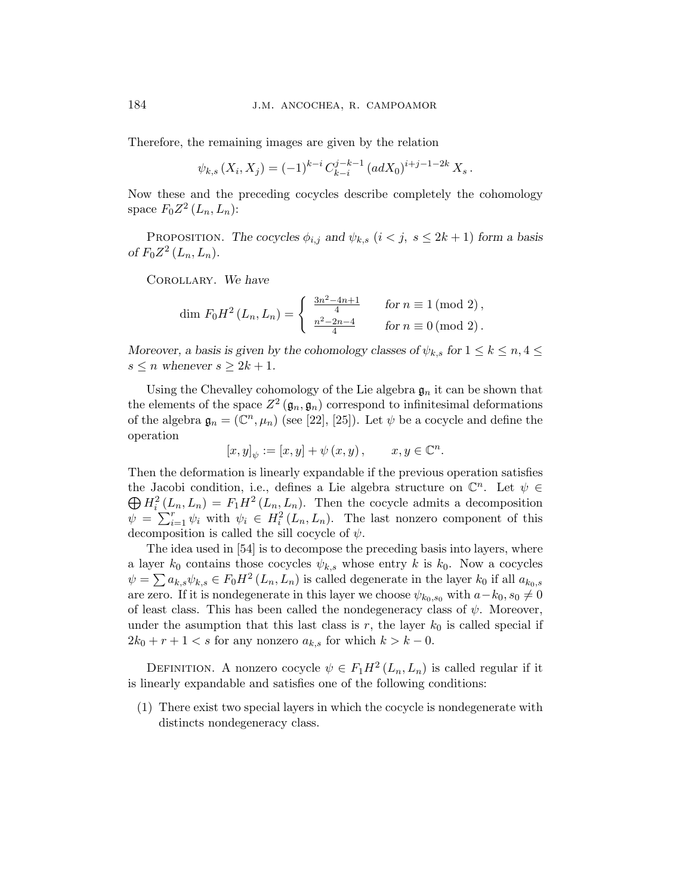Therefore, the remaining images are given by the relation

$$
\psi_{k,s}(X_i, X_j) = (-1)^{k-i} C_{k-i}^{j-k-1} (adX_0)^{i+j-1-2k} X_s.
$$

Now these and the preceding cocycles describe completely the cohomology space  $F_0 Z^2(L_n, L_n)$ :

PROPOSITION. The cocycles  $\phi_{i,j}$  and  $\psi_{k,s}$   $(i < j, s \leq 2k+1)$  form a basis of  $F_0 Z^2 (L_n, L_n)$ .

Corollary. We have

dim 
$$
F_0 H^2(L_n, L_n) = \begin{cases} \frac{3n^2 - 4n + 1}{4} & \text{for } n \equiv 1 \pmod{2}, \\ \frac{n^2 - 2n - 4}{4} & \text{for } n \equiv 0 \pmod{2}. \end{cases}
$$

Moreover, a basis is given by the cohomology classes of  $\psi_{k,s}$  for  $1 \leq k \leq n, 4 \leq$  $s \leq n$  whenever  $s \geq 2k + 1$ .

Using the Chevalley cohomology of the Lie algebra  $\mathfrak{g}_n$  it can be shown that the elements of the space  $Z^2(\mathfrak{g}_n, \mathfrak{g}_n)$  correspond to infinitesimal deformations of the algebra  $\mathfrak{g}_n = (\mathbb{C}^n, \mu_n)$  (see [22], [25]). Let  $\psi$  be a cocycle and define the operation

$$
[x, y]_{\psi} := [x, y] + \psi(x, y), \qquad x, y \in \mathbb{C}^n.
$$

Then the deformation is linearly expandable if the previous operation satisfies the Jacobi condition, i.e., defines a Lie algebra structure on  $\mathbb{C}^n$ . Let  $\psi \in$ the Jacobi condition, i.e., denies a Lie algebra structure on  $\mathbb{C}$ . Let  $\psi \in \bigoplus H_i^2(L_n, L_n) = F_1 H^2(L_n, L_n)$ . Then the cocycle admits a decomposition  $\begin{aligned} \nabla^{H_i}(E_n, E_n) - F_1 H_{i}(E_n, E_n). \n\end{aligned}$  Then the cocycle admits a decomposition  $\psi = \sum_{i=1}^r \psi_i$  with  $\psi_i \in H_i^2(L_n, E_n).$  The last nonzero component of this decomposition is called the sill cocycle of  $\psi$ .

The idea used in [54] is to decompose the preceding basis into layers, where a layer  $k_0$  contains those cocycles  $\psi_{k,s}$  whose entry k is  $k_0$ . Now a cocycles  $\psi = \sum a_{k,s} \psi_{k,s} \in F_0 H^2(L_n, L_n)$  is called degenerate in the layer  $k_0$  if all  $a_{k_0,s}$ are zero. If it is nondegenerate in this layer we choose  $\psi_{k_0,s_0}$  with  $a-k_0$ ,  $s_0 \neq 0$ of least class. This has been called the nondegeneracy class of  $\psi$ . Moreover, under the asumption that this last class is r, the layer  $k_0$  is called special if  $2k_0 + r + 1 < s$  for any nonzero  $a_{k,s}$  for which  $k > k - 0$ .

DEFINITION. A nonzero cocycle  $\psi \in F_1 H^2(L_n, L_n)$  is called regular if it is linearly expandable and satisfies one of the following conditions:

(1) There exist two special layers in which the cocycle is nondegenerate with distincts nondegeneracy class.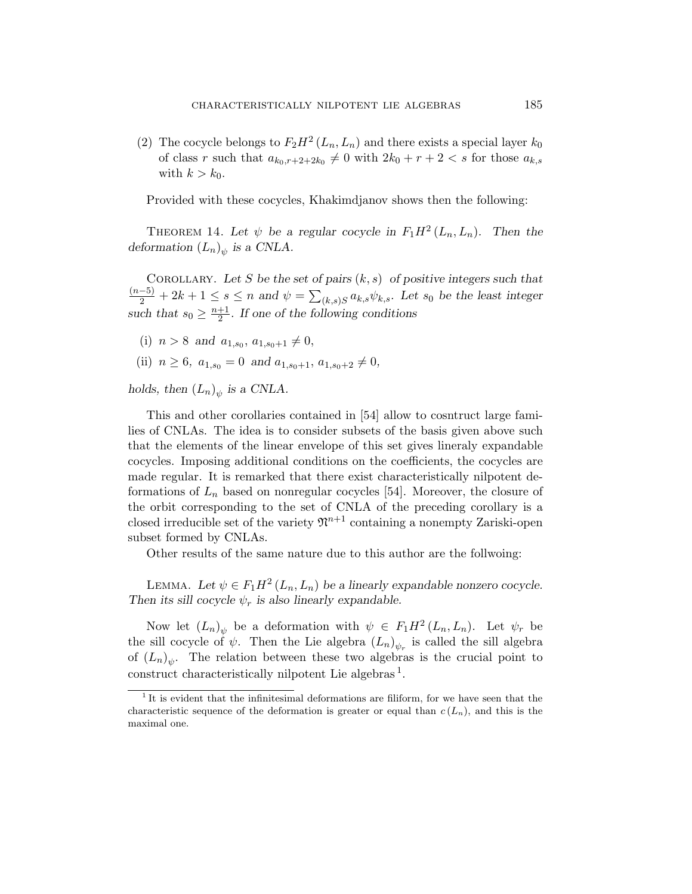(2) The cocycle belongs to  $F_2H^2(L_n, L_n)$  and there exists a special layer  $k_0$ of class r such that  $a_{k_0,r+2+2k_0} \neq 0$  with  $2k_0 + r + 2 < s$  for those  $a_{k,s}$ with  $k > k_0$ .

Provided with these cocycles, Khakimdjanov shows then the following:

THEOREM 14. Let  $\psi$  be a regular cocycle in  $F_1H^2(L_n, L_n)$ . Then the deformation  $(L_n)_{\psi}$  is a CNLA.

COROLLARY. Let S be the set of pairs  $(k, s)$  of positive integers such that  $\frac{(n-5)}{2} + 2k + 1 \leq s \leq n$  and  $\psi =$  $\overline{ }$  $(k,s)S\,a_{k,s}\psi_{k,s}$ . Let  $s_0$  be the least integer such that  $s_0 \geq \frac{n+1}{2}$  $\frac{+1}{2}$ . If one of the following conditions

- (i)  $n > 8$  and  $a_{1,s_0}, a_{1,s_0+1} \neq 0$ ,
- (ii)  $n \geq 6$ ,  $a_{1,s_0} = 0$  and  $a_{1,s_0+1}, a_{1,s_0+2} \neq 0$ ,

holds, then  $(L_n)_{\psi}$  is a CNLA.

This and other corollaries contained in [54] allow to cosntruct large families of CNLAs. The idea is to consider subsets of the basis given above such that the elements of the linear envelope of this set gives lineraly expandable cocycles. Imposing additional conditions on the coefficients, the cocycles are made regular. It is remarked that there exist characteristically nilpotent deformations of  $L_n$  based on nonregular cocycles [54]. Moreover, the closure of the orbit corresponding to the set of CNLA of the preceding corollary is a closed irreducible set of the variety  $\mathfrak{N}^{n+1}$  containing a nonempty Zariski-open subset formed by CNLAs.

Other results of the same nature due to this author are the follwoing:

LEMMA. Let  $\psi \in F_1 H^2(L_n, L_n)$  be a linearly expandable nonzero cocycle. Then its sill cocycle  $\psi_r$  is also linearly expandable.

Now let  $(L_n)_{\psi}$  be a deformation with  $\psi \in F_1 H^2(L_n, L_n)$ . Let  $\psi_r$  be the sill cocycle of  $\psi$ . Then the Lie algebra  $(L_n)_{\psi_r}$  is called the sill algebra of  $(L_n)_{\psi}$ . The relation between these two algebras is the crucial point to construct characteristically nilpotent Lie algebras<sup>1</sup>.

<sup>&</sup>lt;sup>1</sup>It is evident that the infinitesimal deformations are filiform, for we have seen that the characteristic sequence of the deformation is greater or equal than  $c(L_n)$ , and this is the maximal one.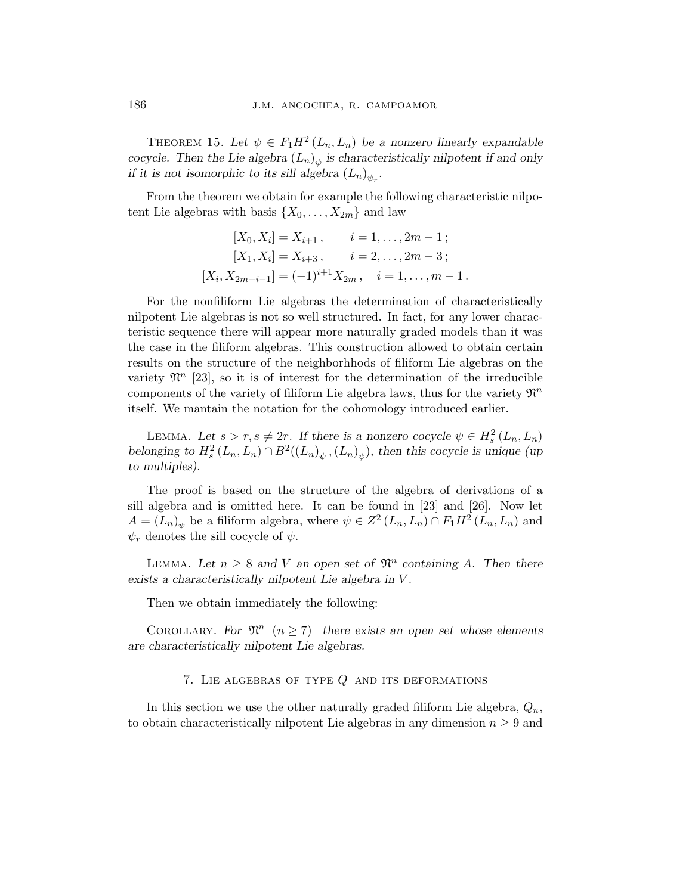THEOREM 15. Let  $\psi \in F_1 H^2(L_n, L_n)$  be a nonzero linearly expandable cocycle. Then the Lie algebra  $(L_n)_{\psi}$  is characteristically nilpotent if and only if it is not isomorphic to its sill algebra  $(L_n)_{\psi_r}$ .

From the theorem we obtain for example the following characteristic nilpotent Lie algebras with basis  $\{X_0, \ldots, X_{2m}\}\$ and law

$$
[X_0, X_i] = X_{i+1}, \t i = 1, ..., 2m - 1;
$$
  
\n
$$
[X_1, X_i] = X_{i+3}, \t i = 2, ..., 2m - 3;
$$
  
\n
$$
[X_i, X_{2m-i-1}] = (-1)^{i+1} X_{2m}, \t i = 1, ..., m - 1.
$$

For the nonfiliform Lie algebras the determination of characteristically nilpotent Lie algebras is not so well structured. In fact, for any lower characteristic sequence there will appear more naturally graded models than it was the case in the filiform algebras. This construction allowed to obtain certain results on the structure of the neighborhhods of filiform Lie algebras on the variety  $\mathfrak{N}^n$  [23], so it is of interest for the determination of the irreducible components of the variety of filiform Lie algebra laws, thus for the variety  $\mathfrak{N}^n$ itself. We mantain the notation for the cohomology introduced earlier.

LEMMA. Let  $s > r, s \neq 2r$ . If there is a nonzero cocycle  $\psi \in H_s^2(L_n, L_n)$ belonging to  $H_s^2(L_n, L_n) \cap B^2((L_n)_{\psi}, (L_n)_{\psi})$ , then this cocycle is unique (up to multiples).

The proof is based on the structure of the algebra of derivations of a sill algebra and is omitted here. It can be found in [23] and [26]. Now let  $A = (L_n)_{\psi}$  be a filiform algebra, where  $\psi \in Z^2(L_n, L_n) \cap F_1 H^2(L_n, L_n)$  and  $\psi_r$  denotes the sill cocycle of  $\psi$ .

LEMMA. Let  $n \geq 8$  and V an open set of  $\mathfrak{N}^n$  containing A. Then there exists a characteristically nilpotent Lie algebra in V .

Then we obtain immediately the following:

COROLLARY. For  $\mathfrak{N}^n$   $(n \geq 7)$  there exists an open set whose elements are characteristically nilpotent Lie algebras.

# 7. LIE ALGEBRAS OF TYPE  $Q$  AND ITS DEFORMATIONS

In this section we use the other naturally graded filiform Lie algebra,  $Q_n$ , to obtain characteristically nilpotent Lie algebras in any dimension  $n \geq 9$  and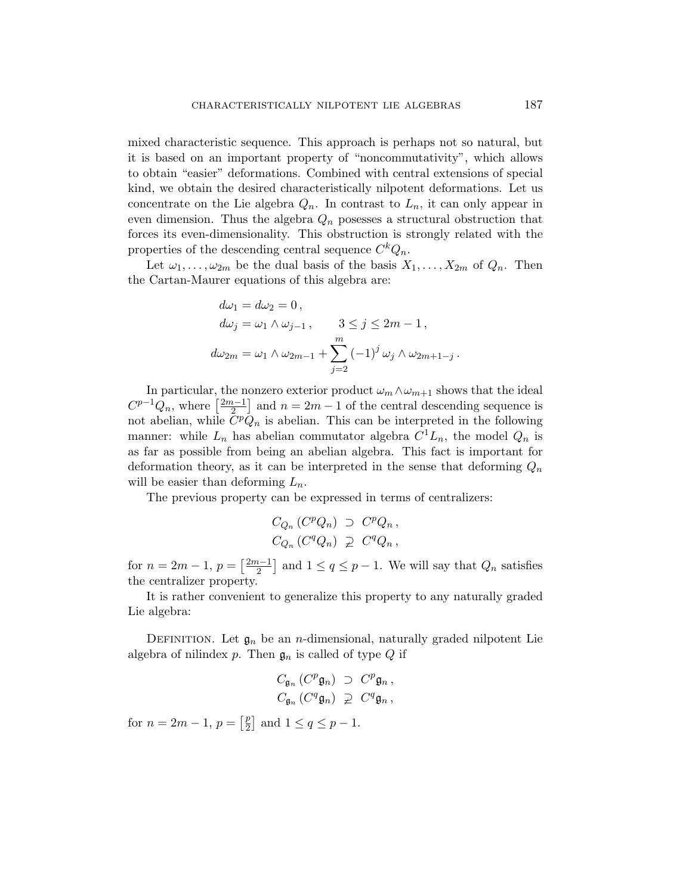mixed characteristic sequence. This approach is perhaps not so natural, but it is based on an important property of "noncommutativity", which allows to obtain "easier" deformations. Combined with central extensions of special kind, we obtain the desired characteristically nilpotent deformations. Let us concentrate on the Lie algebra  $Q_n$ . In contrast to  $L_n$ , it can only appear in even dimension. Thus the algebra  $Q_n$  posesses a structural obstruction that forces its even-dimensionality. This obstruction is strongly related with the properties of the descending central sequence  $C^k Q_n$ .

Let  $\omega_1, \ldots, \omega_{2m}$  be the dual basis of the basis  $X_1, \ldots, X_{2m}$  of  $Q_n$ . Then the Cartan-Maurer equations of this algebra are:

$$
d\omega_1 = d\omega_2 = 0,
$$
  
\n
$$
d\omega_j = \omega_1 \wedge \omega_{j-1}, \qquad 3 \le j \le 2m - 1,
$$
  
\n
$$
d\omega_{2m} = \omega_1 \wedge \omega_{2m-1} + \sum_{j=2}^m (-1)^j \omega_j \wedge \omega_{2m+1-j}.
$$

In particular, the nonzero exterior product  $\omega_m \wedge \omega_{m+1}$  shows that the ideal In particular, the n<br> $C^{p-1}Q_n$ , where  $\left[\frac{2m-1}{2}\right]$  $\lfloor \frac{n-1}{2} \rfloor$  and  $n = 2m - 1$  of the central descending sequence is not abelian, while  $\tilde{C}^p \tilde{Q}_n$  is abelian. This can be interpreted in the following manner: while  $L_n$  has abelian commutator algebra  $C^1L_n$ , the model  $Q_n$  is as far as possible from being an abelian algebra. This fact is important for deformation theory, as it can be interpreted in the sense that deforming  $Q_n$ will be easier than deforming  $L_n$ .

The previous property can be expressed in terms of centralizers:

$$
C_{Q_n} (C^p Q_n) \supset C^p Q_n ,
$$
  
\n
$$
C_{Q_n} (C^q Q_n) \supsetneq C^q Q_n ,
$$

for  $n = 2m - 1$ ,  $p =$  $\lceil 2m-1 \rceil$ 2 l<br>E and  $1 \le q \le p-1$ . We will say that  $Q_n$  satisfies the centralizer property.

It is rather convenient to generalize this property to any naturally graded Lie algebra:

DEFINITION. Let  $\mathfrak{g}_n$  be an *n*-dimensional, naturally graded nilpotent Lie algebra of nilindex p. Then  $\mathfrak{g}_n$  is called of type Q if

$$
C_{\mathfrak{g}_n} (C^p \mathfrak{g}_n) \supset C^p \mathfrak{g}_n ,
$$
  

$$
C_{\mathfrak{g}_n} (C^q \mathfrak{g}_n) \supsetneq C^q \mathfrak{g}_n ,
$$

for  $n = 2m - 1$ ,  $p =$  $\lceil p \rceil$  $\overline{2}$ ¤ and  $1 \leq q \leq p-1$ .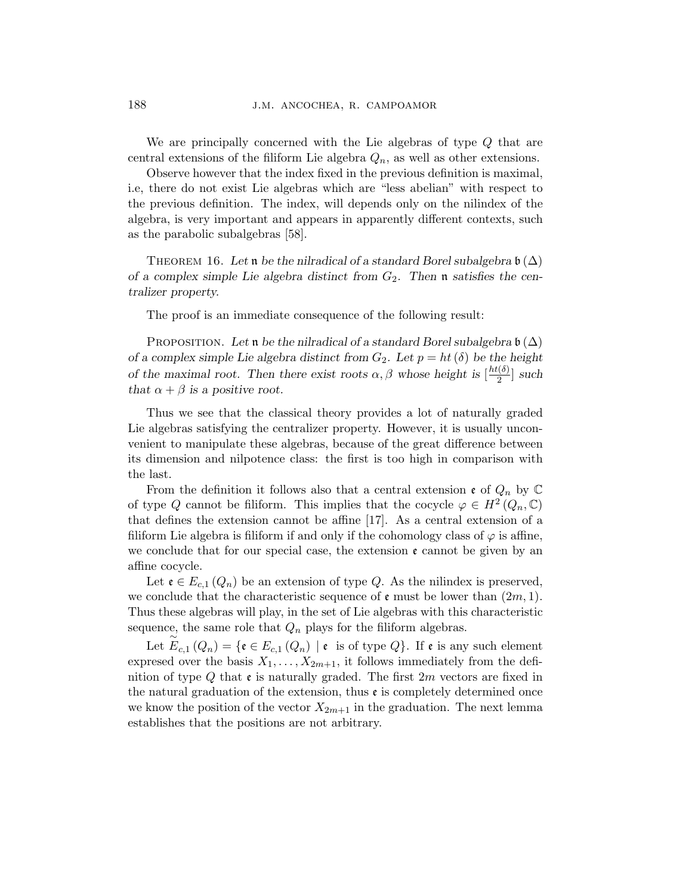We are principally concerned with the Lie algebras of type Q that are central extensions of the filiform Lie algebra  $Q_n$ , as well as other extensions.

Observe however that the index fixed in the previous definition is maximal, i.e, there do not exist Lie algebras which are "less abelian" with respect to the previous definition. The index, will depends only on the nilindex of the algebra, is very important and appears in apparently different contexts, such as the parabolic subalgebras [58].

THEOREM 16. Let n be the nilradical of a standard Borel subalgebra  $\mathfrak{b}(\Delta)$ of a complex simple Lie algebra distinct from  $G_2$ . Then **n** satisfies the centralizer property.

The proof is an immediate consequence of the following result:

PROPOSITION. Let n be the nilradical of a standard Borel subalgebra  $\mathfrak{b}(\Delta)$ of a complex simple Lie algebra distinct from  $G_2$ . Let  $p = ht(\delta)$  be the height of the maximal root. Then there exist roots  $\alpha, \beta$  whose height is  $\frac{ht(\delta)}{2}$  $\frac{z(\delta)}{2}$  such that  $\alpha + \beta$  is a positive root.

Thus we see that the classical theory provides a lot of naturally graded Lie algebras satisfying the centralizer property. However, it is usually unconvenient to manipulate these algebras, because of the great difference between its dimension and nilpotence class: the first is too high in comparison with the last.

From the definition it follows also that a central extension  $\mathfrak{e}$  of  $Q_n$  by  $\mathbb C$ of type Q cannot be filiform. This implies that the cocycle  $\varphi \in H^2(Q_n, \mathbb{C})$ that defines the extension cannot be affine [17]. As a central extension of a filiform Lie algebra is filiform if and only if the cohomology class of  $\varphi$  is affine, we conclude that for our special case, the extension  $\epsilon$  cannot be given by an affine cocycle.

Let  $\mathfrak{e} \in E_{c,1}(Q_n)$  be an extension of type Q. As the nilindex is preserved, we conclude that the characteristic sequence of  $\mathfrak{e}$  must be lower than  $(2m, 1)$ . Thus these algebras will play, in the set of Lie algebras with this characteristic sequence, the same role that  $Q_n$  plays for the filiform algebras.

Let  $E_{c,1}(Q_n) = \{ \mathfrak{e} \in E_{c,1}(Q_n) \mid \mathfrak{e} \text{ is of type } Q \}.$  If  $\mathfrak{e} \text{ is any such element}$ expresed over the basis  $X_1, \ldots, X_{2m+1}$ , it follows immediately from the definition of type Q that  $\mathfrak{e}$  is naturally graded. The first  $2m$  vectors are fixed in the natural graduation of the extension, thus  $\epsilon$  is completely determined once we know the position of the vector  $X_{2m+1}$  in the graduation. The next lemma establishes that the positions are not arbitrary.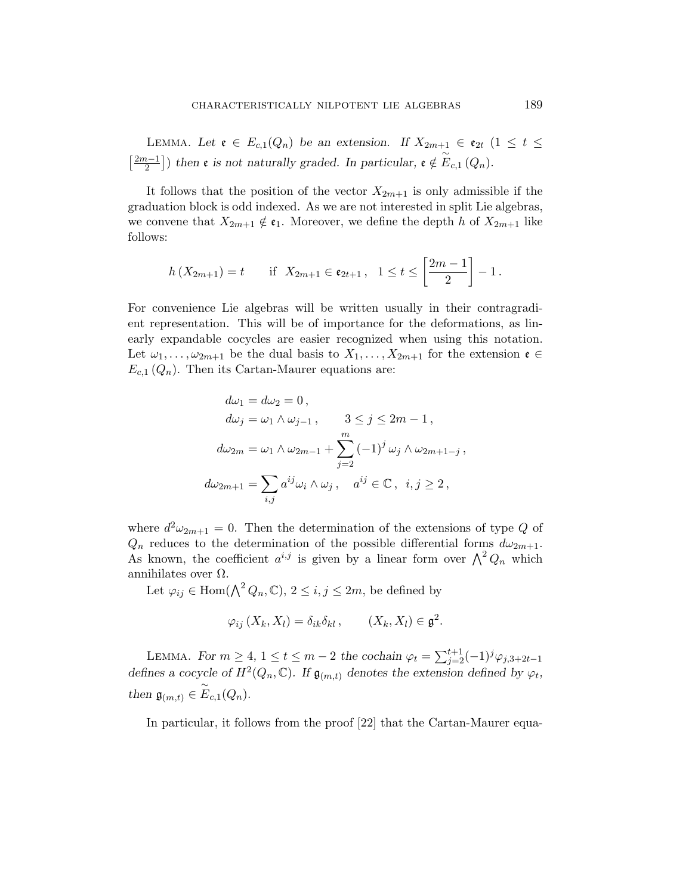LEMMA. Let  $\mathfrak{e} \in E_{c,1}(Q_n)$  be an extension. If  $X_{2m+1} \in \mathfrak{e}_{2t}$   $(1 \leq t \leq$  $\lceil 2m-1 \rceil$ 2 l<br>E ) then **e** is not naturally graded. In particular,  $e \notin \widetilde{E}_{c,1}(Q_n)$ .

It follows that the position of the vector  $X_{2m+1}$  is only admissible if the graduation block is odd indexed. As we are not interested in split Lie algebras, we convene that  $X_{2m+1} \notin \mathfrak{e}_1$ . Moreover, we define the depth h of  $X_{2m+1}$  like follows:

$$
h(X_{2m+1}) = t
$$
 if  $X_{2m+1} \in \mathfrak{e}_{2t+1}$ ,  $1 \le t \le \left[\frac{2m-1}{2}\right] - 1$ .

For convenience Lie algebras will be written usually in their contragradient representation. This will be of importance for the deformations, as linearly expandable cocycles are easier recognized when using this notation. Let  $\omega_1, \ldots, \omega_{2m+1}$  be the dual basis to  $X_1, \ldots, X_{2m+1}$  for the extension  $\mathfrak{e} \in$  $E_{c,1}(Q_n)$ . Then its Cartan-Maurer equations are:

$$
d\omega_1 = d\omega_2 = 0,
$$
  
\n
$$
d\omega_j = \omega_1 \wedge \omega_{j-1}, \qquad 3 \le j \le 2m - 1,
$$
  
\n
$$
d\omega_{2m} = \omega_1 \wedge \omega_{2m-1} + \sum_{j=2}^m (-1)^j \omega_j \wedge \omega_{2m+1-j},
$$
  
\n
$$
d\omega_{2m+1} = \sum_{i,j} a^{ij} \omega_i \wedge \omega_j, \quad a^{ij} \in \mathbb{C}, \quad i, j \ge 2,
$$

where  $d^2\omega_{2m+1} = 0$ . Then the determination of the extensions of type Q of  $Q_n$  reduces to the determination of the possible differential forms  $d\omega_{2m+1}$ .  $Q_n$  reduces to the determination of the possible differential forms  $a\omega_{2m+1}$ .<br>As known, the coefficient  $a^{i,j}$  is given by a linear form over  $\bigwedge^2 Q_n$  which annihilates over  $Ω$ .

Let  $\varphi_{ij} \in \text{Hom}(\bigwedge^2 Q_n, \mathbb{C}), 2 \leq i, j \leq 2m$ , be defined by

$$
\varphi_{ij}(X_k, X_l) = \delta_{ik}\delta_{kl}, \qquad (X_k, X_l) \in \mathfrak{g}^2.
$$

LEMMA. For  $m \geq 4$ ,  $1 \leq t \leq m-2$  the cochain  $\varphi_t = \sum_{j=2}^{t+1} (-1)^j \varphi_{j,3+2t-1}$ defines a cocycle of  $H^2(Q_n, \mathbb{C})$ . If  $\mathfrak{g}_{(m,t)}$  denotes the extension defined by  $\varphi_t$ , then  $\mathfrak{g}_{(m,t)} \in \widetilde{E}_{c,1}(Q_n)$ .

In particular, it follows from the proof [22] that the Cartan-Maurer equa-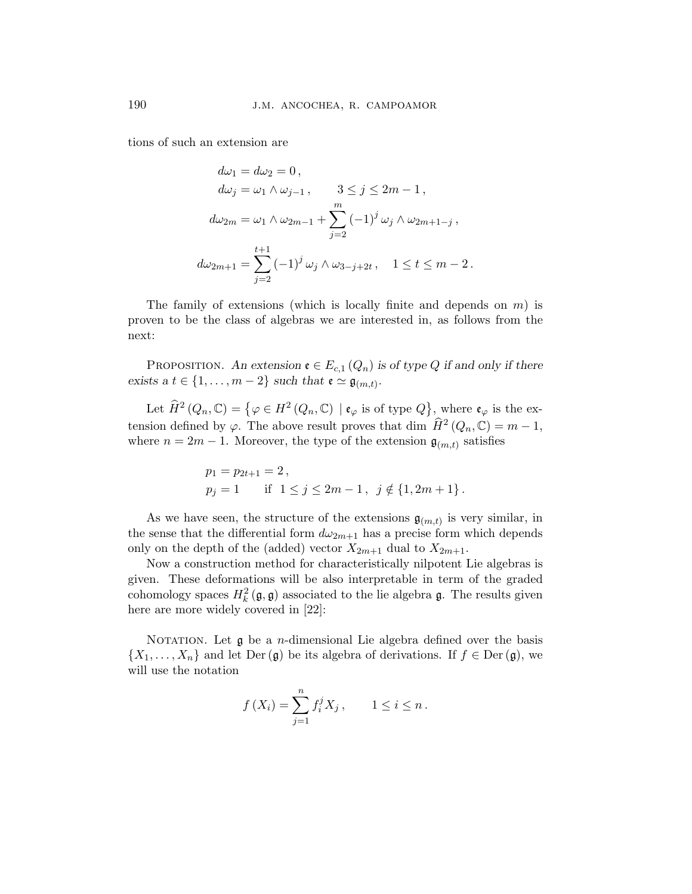tions of such an extension are

$$
d\omega_1 = d\omega_2 = 0,
$$
  
\n
$$
d\omega_j = \omega_1 \wedge \omega_{j-1}, \qquad 3 \le j \le 2m - 1,
$$
  
\n
$$
d\omega_{2m} = \omega_1 \wedge \omega_{2m-1} + \sum_{j=2}^m (-1)^j \omega_j \wedge \omega_{2m+1-j},
$$
  
\n
$$
d\omega_{2m+1} = \sum_{j=2}^{t+1} (-1)^j \omega_j \wedge \omega_{3-j+2t}, \quad 1 \le t \le m - 2.
$$

The family of extensions (which is locally finite and depends on  $m$ ) is proven to be the class of algebras we are interested in, as follows from the next:

PROPOSITION. An extension  $\mathfrak{e} \in E_{c,1}(Q_n)$  is of type Q if and only if there exists a  $t \in \{1, \ldots, m-2\}$  such that  $\mathfrak{e} \simeq \mathfrak{g}_{(m,t)}$ .

Let  $\widehat{H}^2(Q_n, \mathbb{C}) = \{ \varphi \in H^2(Q_n, \mathbb{C}) \mid \mathfrak{e}_{\varphi} \text{ is of type } Q \}$ ª , where  $\mathfrak{e}_{\varphi}$  is the extension defined by  $\varphi$ . The above result proves that dim  $\widehat{H}^2(Q_n,\mathbb{C}) = m-1$ , where  $n = 2m - 1$ . Moreover, the type of the extension  $\mathfrak{g}_{(m,t)}$  satisfies

$$
p_1 = p_{2t+1} = 2,
$$
  
\n
$$
p_j = 1 \quad \text{if } 1 \le j \le 2m - 1, \ j \notin \{1, 2m + 1\}.
$$

As we have seen, the structure of the extensions  $\mathfrak{g}_{(m,t)}$  is very similar, in the sense that the differential form  $d\omega_{2m+1}$  has a precise form which depends only on the depth of the (added) vector  $X_{2m+1}$  dual to  $X_{2m+1}$ .

Now a construction method for characteristically nilpotent Lie algebras is given. These deformations will be also interpretable in term of the graded cohomology spaces  $H_k^2(\mathfrak{g}, \mathfrak{g})$  associated to the lie algebra  $\mathfrak{g}$ . The results given here are more widely covered in [22]:

NOTATION. Let  $\mathfrak g$  be a *n*-dimensional Lie algebra defined over the basis  $\{X_1, \ldots, X_n\}$  and let Der  $(\mathfrak{g})$  be its algebra of derivations. If  $f \in \text{Der}(\mathfrak{g})$ , we will use the notation

$$
f(X_i) = \sum_{j=1}^{n} f_i^j X_j
$$
,  $1 \le i \le n$ .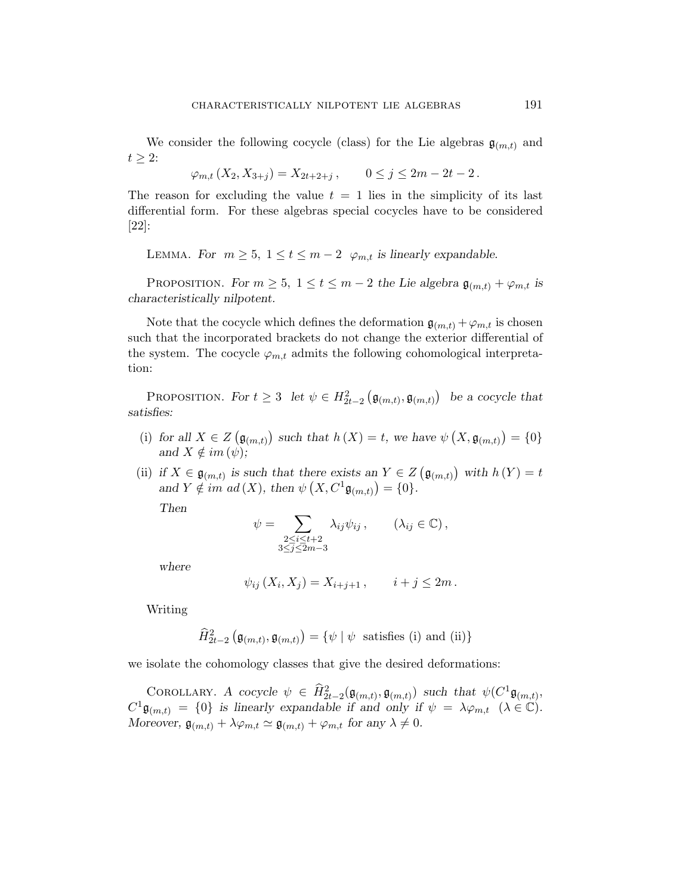We consider the following cocycle (class) for the Lie algebras  $\mathfrak{g}_{(m,t)}$  and  $t \geq 2$ :

$$
\varphi_{m,t}(X_2, X_{3+j}) = X_{2t+2+j}, \qquad 0 \le j \le 2m - 2t - 2.
$$

The reason for excluding the value  $t = 1$  lies in the simplicity of its last differential form. For these algebras special cocycles have to be considered [22]:

LEMMA. For  $m \geq 5$ ,  $1 \leq t \leq m-2$   $\varphi_{m,t}$  is linearly expandable.

PROPOSITION. For  $m \geq 5$ ,  $1 \leq t \leq m-2$  the Lie algebra  $\mathfrak{g}_{(m,t)} + \varphi_{m,t}$  is characteristically nilpotent.

Note that the cocycle which defines the deformation  $\mathfrak{g}_{(m,t)} + \varphi_{m,t}$  is chosen such that the incorporated brackets do not change the exterior differential of the system. The cocycle  $\varphi_{m,t}$  admits the following cohomological interpretation:

PROPOSITION. For  $t \geq 3$  let  $\psi \in H_{2t-2}^2$ ¡  $\mathfrak{g}_{(m,t)}, \mathfrak{g}_{(m,t)}$ ¢ be a cocycle that satisfies:

- (i) for all  $X \in Z$ ¡  $\mathfrak{g}_{(m,t)}$ ¢ such that  $h(X) = t$ , we have  $\psi$ ¡  $X, \mathfrak{g}_{(m,t)}$ ¢  $= \{0\}$ and  $X \notin im(\psi);$
- (ii) if  $X \in \mathfrak{g}_{(m,t)}$  is such that there exists an  $Y \in Z$ ¡  $\mathfrak{g}_{(m,t)}$ ¢ ere exists an  $Y \in Z(\mathfrak{g}_{(m,t)})$  with  $h(Y) = t$ and  $Y \notin \text{im} \text{ ad}(X)$ , then  $\psi(X, C^1 \mathfrak{g}_{(m,t)}) = \{0\}.$

Then

$$
\psi = \sum_{\substack{2 \le i \le t+2 \\ 3 \le j \le 2m-3}} \lambda_{ij} \psi_{ij}, \qquad (\lambda_{ij} \in \mathbb{C}),
$$

where

$$
\psi_{ij}(X_i, X_j) = X_{i+j+1}, \qquad i + j \leq 2m.
$$

Writing

$$
\widehat{H}_{2t-2}^{2}\left(\mathfrak{g}_{(m,t)},\mathfrak{g}_{(m,t)}\right)=\{\psi \mid \psi \text{ satisfies (i) and (ii)}\}
$$

we isolate the cohomology classes that give the desired deformations:

COROLLARY. A cocycle  $\psi \in \hat{H}^2_{2t-2}(\mathfrak{g}_{(m,t)}, \mathfrak{g}_{(m,t)})$  such that  $\psi(C^1\mathfrak{g}_{(m,t)},$  $C^1 \mathfrak{g}_{(m,t)} = \{0\}$  is linearly expandable if and only if  $\psi = \lambda \varphi_{m,t}$   $(\lambda \in \mathbb{C})$ . Moreover,  $\mathfrak{g}_{(m,t)} + \lambda \varphi_{m,t} \simeq \mathfrak{g}_{(m,t)} + \varphi_{m,t}$  for any  $\lambda \neq 0$ .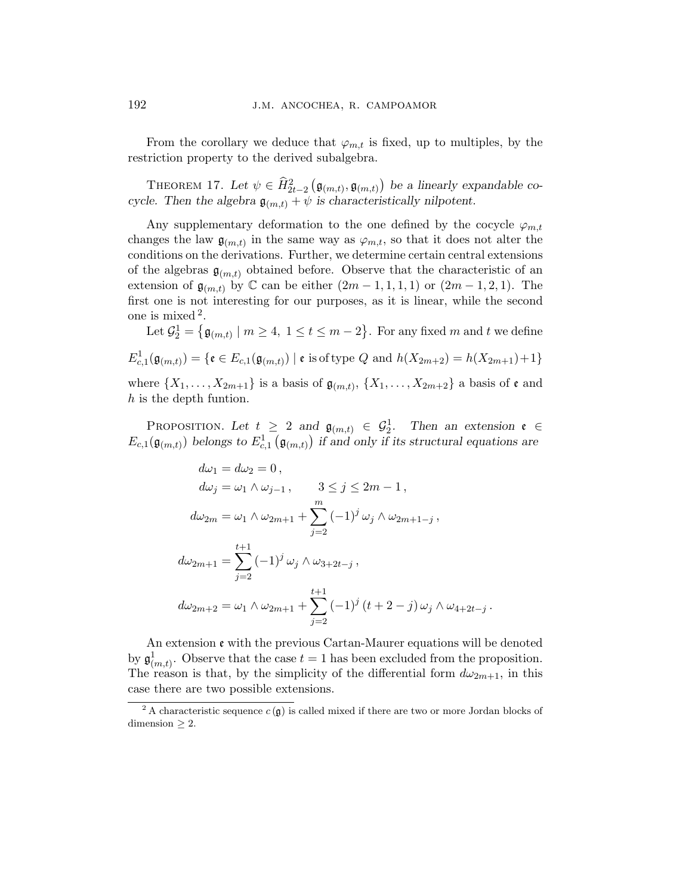From the corollary we deduce that  $\varphi_{m,t}$  is fixed, up to multiples, by the restriction property to the derived subalgebra.

THEOREM 17. Let  $\psi \in \widehat{H}_{2t-2}^2$ ¡  $\mathfrak{g}_{(m,t)}, \mathfrak{g}_{(m,t)}$ ¢ be a linearly expandable cocycle. Then the algebra  $\mathfrak{g}_{(m,t)} + \psi$  is characteristically nilpotent.

Any supplementary deformation to the one defined by the cocycle  $\varphi_{m,t}$ changes the law  $\mathfrak{g}_{(m,t)}$  in the same way as  $\varphi_{m,t}$ , so that it does not alter the conditions on the derivations. Further, we determine certain central extensions of the algebras  $\mathfrak{g}_{(m,t)}$  obtained before. Observe that the characteristic of an extension of  $\mathfrak{g}_{(m,t)}$  by  $\mathbb C$  can be either  $(2m-1,1,1,1)$  or  $(2m-1,2,1)$ . The first one is not interesting for our purposes, as it is linear, while the second one is mixed <sup>2</sup> . © ª

Let  $\mathcal{G}_2^1 =$  $\mathfrak{g}_{(m,t)} \mid m \geq 4, \ 1 \leq t \leq m-2$ . For any fixed  $m$  and  $t$  we define  $E_{c,1}^1(\mathfrak{g}_{(m,t)}) = \{ \mathfrak{e} \in E_{c,1}(\mathfrak{g}_{(m,t)}) \mid \mathfrak{e} \text{ is of type } Q \text{ and } h(X_{2m+2}) = h(X_{2m+1}) + 1 \}$ where  $\{X_1, \ldots, X_{2m+1}\}\$ is a basis of  $\mathfrak{g}_{(m,t)}, \{X_1, \ldots, X_{2m+2}\}\$ a basis of  $\mathfrak{e}$  and h is the depth funtion.

PROPOSITION. Let  $t \geq 2$  and  $\mathfrak{g}_{(m,t)} \in \mathcal{G}_2^1$ . Then an extension  $\mathfrak{e} \in$  $E_{c,1}(\mathfrak{g}_{(m,t)})$  belongs to  $E_{c,1}^1(\mathfrak{g}_{(m,t)})$  if and only if its structural equations are

$$
d\omega_1 = d\omega_2 = 0,
$$
  
\n
$$
d\omega_j = \omega_1 \wedge \omega_{j-1}, \qquad 3 \le j \le 2m - 1,
$$
  
\n
$$
d\omega_{2m} = \omega_1 \wedge \omega_{2m+1} + \sum_{j=2}^m (-1)^j \omega_j \wedge \omega_{2m+1-j},
$$
  
\n
$$
d\omega_{2m+1} = \sum_{j=2}^{t+1} (-1)^j \omega_j \wedge \omega_{3+2t-j},
$$
  
\n
$$
d\omega_{2m+2} = \omega_1 \wedge \omega_{2m+1} + \sum_{j=2}^{t+1} (-1)^j (t+2-j) \omega_j \wedge \omega_{4+2t-j}.
$$

An extension e with the previous Cartan-Maurer equations will be denoted by  $\mathfrak{g}^1_{(m,t)}$ . Observe that the case  $t=1$  has been excluded from the proposition. The reason is that, by the simplicity of the differential form  $d\omega_{2m+1}$ , in this case there are two possible extensions.

<sup>&</sup>lt;sup>2</sup> A characteristic sequence  $c(\mathfrak{g})$  is called mixed if there are two or more Jordan blocks of  $dimension > 2$ .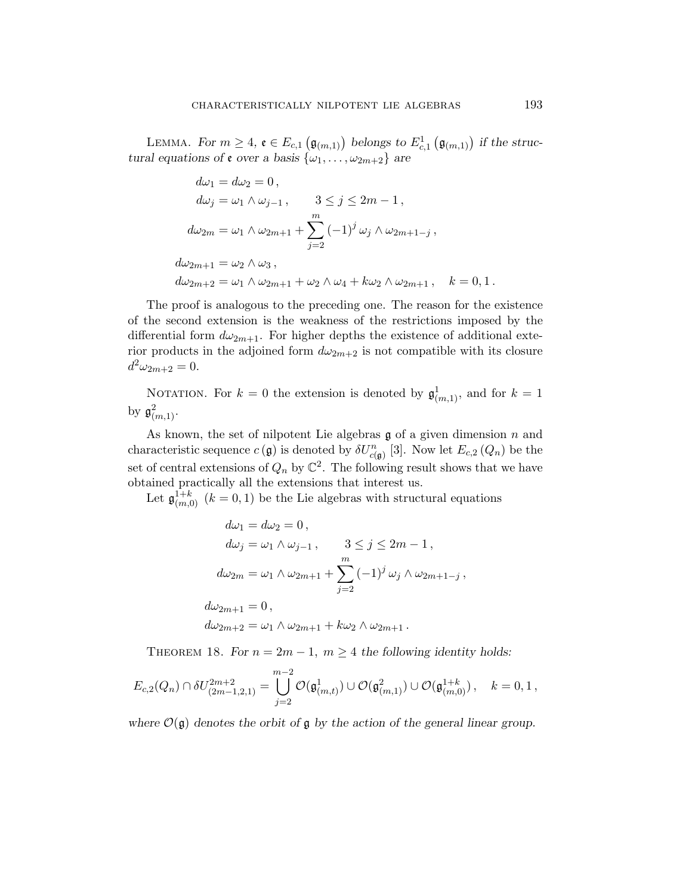LEMMA. For  $m \geq 4$ ,  $\mathfrak{e} \in E_{c,1}$  $(\mathfrak{g}_{(m,1)})$  belongs to  $E^1_{c,1}$  $(\mathfrak{g}_{(m,1)})$  if the structural equations of  $\mathfrak{e}$  over a basis  $\{\omega_1, \ldots, \omega_{2m+2}\}$  are

$$
d\omega_1 = d\omega_2 = 0,
$$
  
\n
$$
d\omega_j = \omega_1 \wedge \omega_{j-1}, \qquad 3 \le j \le 2m - 1,
$$
  
\n
$$
d\omega_{2m} = \omega_1 \wedge \omega_{2m+1} + \sum_{j=2}^m (-1)^j \omega_j \wedge \omega_{2m+1-j},
$$
  
\n
$$
d\omega_{2m+1} = \omega_2 \wedge \omega_3,
$$
  
\n
$$
d\omega_{2m+2} = \omega_1 \wedge \omega_{2m+1} + \omega_2 \wedge \omega_4 + k\omega_2 \wedge \omega_{2m+1}, \quad k = 0, 1.
$$

The proof is analogous to the preceding one. The reason for the existence of the second extension is the weakness of the restrictions imposed by the differential form  $d\omega_{2m+1}$ . For higher depths the existence of additional exterior products in the adjoined form  $d\omega_{2m+2}$  is not compatible with its closure  $d^2\omega_{2m+2} = 0.$ 

NOTATION. For  $k = 0$  the extension is denoted by  $\mathfrak{g}^1_{(m,1)}$ , and for  $k = 1$ by  $\mathfrak{g}^2_{(m,1)}$ .

As known, the set of nilpotent Lie algebras  $\mathfrak g$  of a given dimension n and characteristic sequence  $c(\mathfrak{g})$  is denoted by  $\delta U_{c(\mathfrak{g})}^n$  [3]. Now let  $E_{c,2}(Q_n)$  be the set of central extensions of  $Q_n$  by  $\mathbb{C}^2$ . The following result shows that we have obtained practically all the extensions that interest us.

Let  $\mathfrak{g}_{(m,0)}^{1+k}$   $(k = 0,1)$  be the Lie algebras with structural equations

$$
d\omega_1 = d\omega_2 = 0,
$$
  
\n
$$
d\omega_j = \omega_1 \wedge \omega_{j-1}, \qquad 3 \le j \le 2m - 1,
$$
  
\n
$$
d\omega_{2m} = \omega_1 \wedge \omega_{2m+1} + \sum_{j=2}^m (-1)^j \omega_j \wedge \omega_{2m+1-j},
$$
  
\n
$$
d\omega_{2m+1} = 0,
$$
  
\n
$$
d\omega_{2m+2} = \omega_1 \wedge \omega_{2m+1} + k\omega_2 \wedge \omega_{2m+1}.
$$

THEOREM 18. For  $n = 2m - 1$ ,  $m \geq 4$  the following identity holds:

$$
E_{c,2}(Q_n) \cap \delta U_{(2m-1,2,1)}^{2m+2} = \bigcup_{j=2}^{m-2} \mathcal{O}(\mathfrak{g}_{(m,t)}^1) \cup \mathcal{O}(\mathfrak{g}_{(m,1)}^{2}) \cup \mathcal{O}(\mathfrak{g}_{(m,0)}^{1+k}), \quad k=0,1,
$$

where  $\mathcal{O}(\mathfrak{g})$  denotes the orbit of  $\mathfrak{g}$  by the action of the general linear group.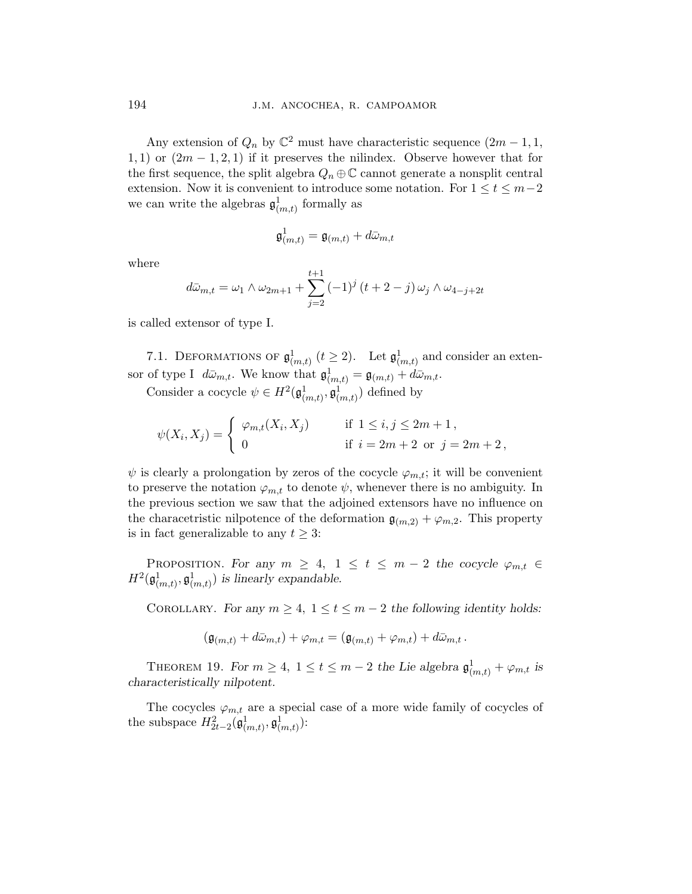Any extension of  $Q_n$  by  $\mathbb{C}^2$  must have characteristic sequence  $(2m-1,1,$ 1, 1) or  $(2m-1, 2, 1)$  if it preserves the nilindex. Observe however that for the first sequence, the split algebra  $Q_n \oplus \mathbb{C}$  cannot generate a nonsplit central extension. Now it is convenient to introduce some notation. For  $1 \le t \le m-2$ we can write the algebras  $\mathfrak{g}^1_{(m,t)}$  formally as

$$
\mathfrak{g}^1_{(m,t)}=\mathfrak{g}_{(m,t)}+d\bar{\omega}_{m,t}
$$

where

$$
d\bar{\omega}_{m,t} = \omega_1 \wedge \omega_{2m+1} + \sum_{j=2}^{t+1} (-1)^j (t+2-j) \omega_j \wedge \omega_{4-j+2t}
$$

is called extensor of type I.

7.1. DEFORMATIONS OF  $\mathfrak{g}^1_{(m,t)}$   $(t \geq 2)$ . Let  $\mathfrak{g}^1_{(m,t)}$  and consider an extensor of type I  $d\bar{\omega}_{m,t}$ . We know that  $\mathfrak{g}^1_{(m,t)} = \mathfrak{g}_{(m,t)} + d\bar{\omega}_{m,t}$ .

Consider a cocycle  $\psi \in H^2(\mathfrak{g}^1_{(m,t)}, \mathfrak{g}^1_{(m,t)})$  defined by

$$
\psi(X_i, X_j) = \begin{cases} \varphi_{m,t}(X_i, X_j) & \text{if } 1 \le i, j \le 2m + 1, \\ 0 & \text{if } i = 2m + 2 \text{ or } j = 2m + 2, \end{cases}
$$

 $\psi$  is clearly a prolongation by zeros of the cocycle  $\varphi_{m,t}$ ; it will be convenient to preserve the notation  $\varphi_{m,t}$  to denote  $\psi$ , whenever there is no ambiguity. In the previous section we saw that the adjoined extensors have no influence on the characetristic nilpotence of the deformation  $\mathfrak{g}_{(m,2)} + \varphi_{m,2}$ . This property is in fact generalizable to any  $t \geq 3$ :

PROPOSITION. For any  $m \geq 4$ ,  $1 \leq t \leq m-2$  the cocycle  $\varphi_{m,t} \in$  $H^2(\mathfrak{g}^1_{(m,t)}, \mathfrak{g}^1_{(m,t)})$  is linearly expandable.

COROLLARY. For any  $m \geq 4$ ,  $1 \leq t \leq m-2$  the following identity holds:

$$
(\mathfrak{g}_{(m,t)} + d\bar{\omega}_{m,t}) + \varphi_{m,t} = (\mathfrak{g}_{(m,t)} + \varphi_{m,t}) + d\bar{\omega}_{m,t}.
$$

THEOREM 19. For  $m \geq 4$ ,  $1 \leq t \leq m-2$  the Lie algebra  $\mathfrak{g}^1_{(m,t)} + \varphi_{m,t}$  is characteristically nilpotent.

The cocycles  $\varphi_{m,t}$  are a special case of a more wide family of cocycles of the subspace  $H_{2t-2}^2(\mathfrak{g}^1_{(m,t)}, \mathfrak{g}^1_{(m,t)})$ :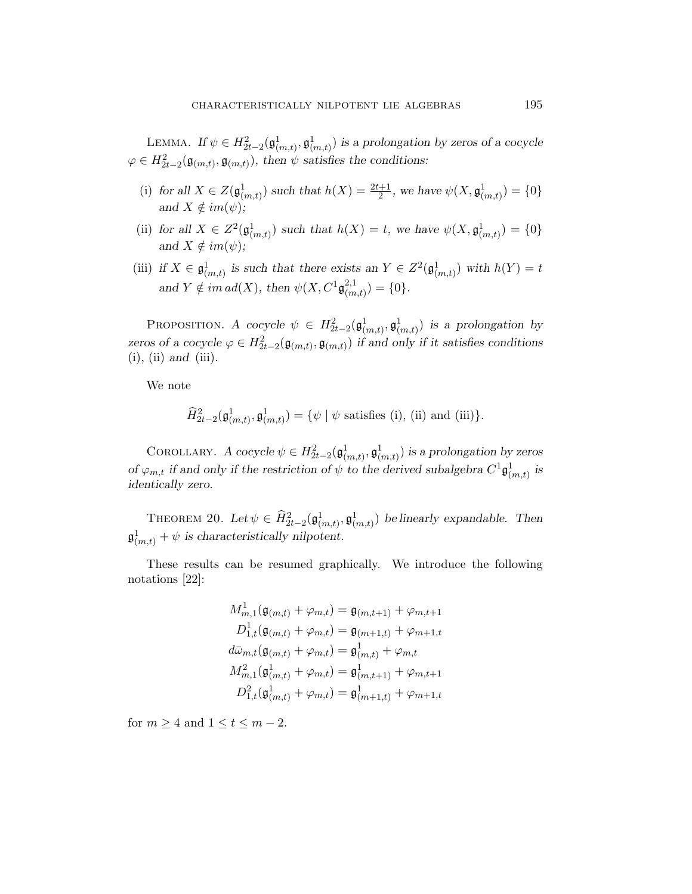LEMMA. If  $\psi \in H^2_{2t-2}(\mathfrak{g}^1_{(m,t)}, \mathfrak{g}^1_{(m,t)})$  is a prolongation by zeros of a cocycle  $\varphi \in H^2_{2t-2}(\mathfrak{g}_{(m,t)}, \mathfrak{g}_{(m,t)}),$  then  $\psi$  satisfies the conditions:

- (i) for all  $X \in Z(\mathfrak{g}^1_{(m,t)})$  such that  $h(X) = \frac{2t+1}{2}$ , we have  $\psi(X, \mathfrak{g}^1_{(m,t)}) = \{0\}$ and  $X \notin im(\psi);$
- (ii) for all  $X \in Z^2(\mathfrak{g}^1_{(m,t)})$  such that  $h(X) = t$ , we have  $\psi(X, \mathfrak{g}^1_{(m,t)}) = \{0\}$ and  $X \notin im(\psi);$
- (iii) if  $X \in \mathfrak{g}^1_{(m,t)}$  is such that there exists an  $Y \in Z^2(\mathfrak{g}^1_{(m,t)})$  with  $h(Y) = t$ and  $Y \notin im \, ad(X)$ , then  $\psi(X, C^1 \mathfrak{g}_{cm}^{2,1})$  $_{(m,t)}^{2,1}$ ) = {0}.

PROPOSITION. A cocycle  $\psi \in H_{2t-2}^2(\mathfrak{g}^1_{(m,t)}, \mathfrak{g}^1_{(m,t)})$  is a prolongation by zeros of a cocycle  $\varphi \in H_{2t-2}^2(\mathfrak{g}_{(m,t)}, \mathfrak{g}_{(m,t)})$  if and only if it satisfies conditions  $(i)$ ,  $(ii)$  and  $(iii)$ .

We note

$$
\widehat{H}_{2t-2}^2(\mathfrak{g}^1_{(m,t)}, \mathfrak{g}^1_{(m,t)}) = \{ \psi \mid \psi \text{ satisfies (i), (ii) and (iii)} \}.
$$

COROLLARY. A cocycle  $\psi \in H_{2t-2}^2(\mathfrak{g}^1_{(m,t)}, \mathfrak{g}^1_{(m,t)})$  is a prolongation by zeros of  $\varphi_{m,t}$  if and only if the restriction of  $\psi$  to the derived subalgebra  $C^1 \mathfrak{g}^1_{(m,t)}$  is identically zero.

THEOREM 20. Let  $\psi \in \hat{H}_{2t-2}^2(\mathfrak{g}^1_{(m,t)}, \mathfrak{g}^1_{(m,t)})$  be linearly expandable. Then  $\mathfrak{g}^1_{(m,t)} + \psi$  is characteristically nilpotent.

These results can be resumed graphically. We introduce the following notations [22]:

$$
M_{m,1}^1(\mathfrak{g}_{(m,t)} + \varphi_{m,t}) = \mathfrak{g}_{(m,t+1)} + \varphi_{m,t+1}
$$
  
\n
$$
D_{1,t}^1(\mathfrak{g}_{(m,t)} + \varphi_{m,t}) = \mathfrak{g}_{(m+1,t)} + \varphi_{m+1,t}
$$
  
\n
$$
d\bar{\omega}_{m,t}(\mathfrak{g}_{(m,t)} + \varphi_{m,t}) = \mathfrak{g}_{(m,t)}^1 + \varphi_{m,t}
$$
  
\n
$$
M_{m,1}^2(\mathfrak{g}_{(m,t)}^1 + \varphi_{m,t}) = \mathfrak{g}_{(m,t+1)}^1 + \varphi_{m,t+1}
$$
  
\n
$$
D_{1,t}^2(\mathfrak{g}_{(m,t)}^1 + \varphi_{m,t}) = \mathfrak{g}_{(m+1,t)}^1 + \varphi_{m+1,t}
$$

for  $m \geq 4$  and  $1 \leq t \leq m-2$ .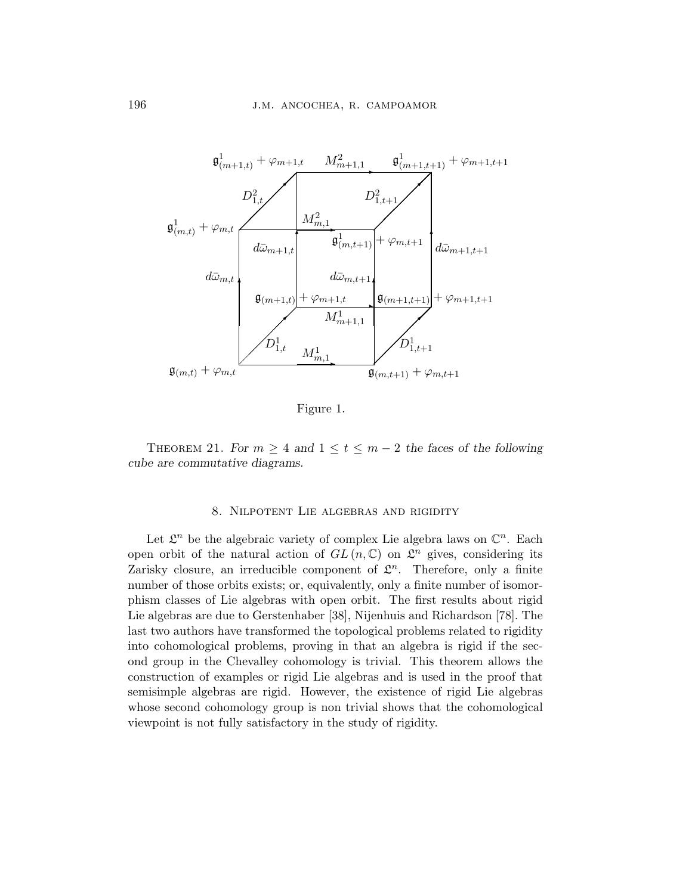

Figure 1.

THEOREM 21. For  $m \geq 4$  and  $1 \leq t \leq m-2$  the faces of the following cube are commutative diagrams.

# 8. Nilpotent Lie algebras and rigidity

Let  $\mathcal{L}^n$  be the algebraic variety of complex Lie algebra laws on  $\mathbb{C}^n$ . Each open orbit of the natural action of  $GL(n,\mathbb{C})$  on  $\mathcal{L}^n$  gives, considering its Zarisky closure, an irreducible component of  $\mathcal{L}^n$ . Therefore, only a finite number of those orbits exists; or, equivalently, only a finite number of isomorphism classes of Lie algebras with open orbit. The first results about rigid Lie algebras are due to Gerstenhaber [38], Nijenhuis and Richardson [78]. The last two authors have transformed the topological problems related to rigidity into cohomological problems, proving in that an algebra is rigid if the second group in the Chevalley cohomology is trivial. This theorem allows the construction of examples or rigid Lie algebras and is used in the proof that semisimple algebras are rigid. However, the existence of rigid Lie algebras whose second cohomology group is non trivial shows that the cohomological viewpoint is not fully satisfactory in the study of rigidity.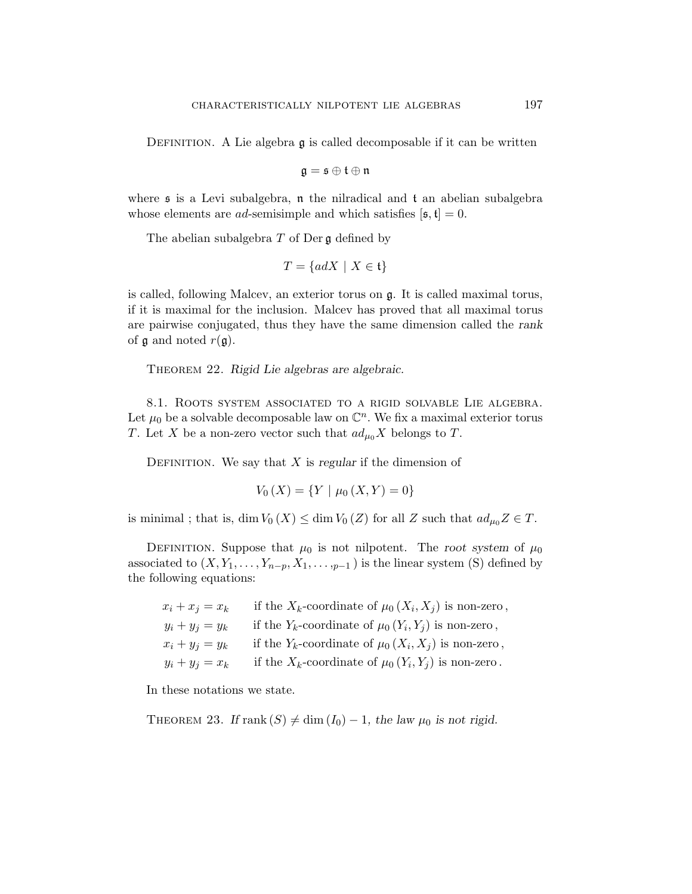DEFINITION. A Lie algebra  $\mathfrak g$  is called decomposable if it can be written

$$
\mathfrak{g}=\mathfrak{s}\oplus\mathfrak{t}\oplus\mathfrak{n}
$$

where  $\mathfrak s$  is a Levi subalgebra,  $\mathfrak n$  the nilradical and  $\mathfrak t$  an abelian subalgebra whose elements are *ad*-semisimple and which satisfies  $[\mathfrak{s}, \mathfrak{t}] = 0$ .

The abelian subalgebra  $T$  of Der  $\mathfrak g$  defined by

$$
T = \{adX \mid X \in \mathfrak{t}\}
$$

is called, following Malcev, an exterior torus on g. It is called maximal torus, if it is maximal for the inclusion. Malcev has proved that all maximal torus are pairwise conjugated, thus they have the same dimension called the rank of  $\mathfrak g$  and noted  $r(\mathfrak g)$ .

THEOREM 22. Rigid Lie algebras are algebraic.

8.1. Roots system associated to a rigid solvable Lie algebra. Let  $\mu_0$  be a solvable decomposable law on  $\mathbb{C}^n$ . We fix a maximal exterior torus T. Let X be a non-zero vector such that  $ad_{\mu_0}X$  belongs to T.

DEFINITION. We say that  $X$  is regular if the dimension of

$$
V_0(X) = \{ Y \mid \mu_0(X, Y) = 0 \}
$$

is minimal ; that is, dim  $V_0(X) \le \dim V_0(Z)$  for all Z such that  $ad_{\mu_0}Z \in T$ .

DEFINITION. Suppose that  $\mu_0$  is not nilpotent. The root system of  $\mu_0$ associated to  $(X, Y_1, \ldots, Y_{n-p}, X_1, \ldots, Y_{p-1})$  is the linear system (S) defined by the following equations:

| $x_i + x_j = x_k$ | if the $X_k$ -coordinate of $\mu_0(X_i, X_j)$ is non-zero, |
|-------------------|------------------------------------------------------------|
| $y_i + y_j = y_k$ | if the $Y_k$ -coordinate of $\mu_0(Y_i, Y_j)$ is non-zero, |
| $x_i + y_j = y_k$ | if the $Y_k$ -coordinate of $\mu_0(X_i, X_j)$ is non-zero, |
| $y_i + y_j = x_k$ | if the $X_k$ -coordinate of $\mu_0(Y_i, Y_j)$ is non-zero. |

In these notations we state.

THEOREM 23. If rank  $(S) \neq \dim (I_0) - 1$ , the law  $\mu_0$  is not rigid.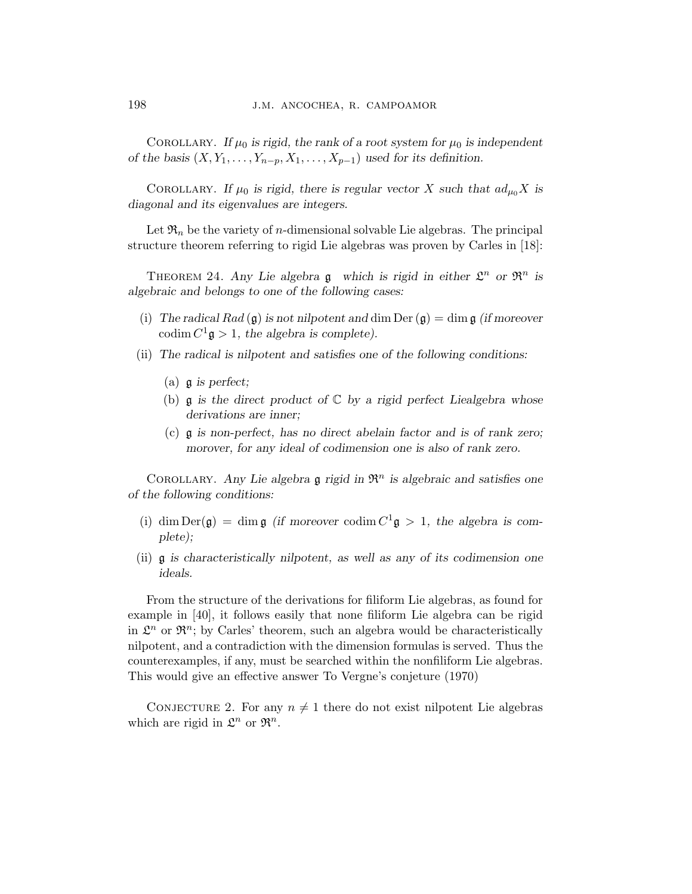COROLLARY. If  $\mu_0$  is rigid, the rank of a root system for  $\mu_0$  is independent of the basis  $(X, Y_1, \ldots, Y_{n-p}, X_1, \ldots, X_{p-1})$  used for its definition.

COROLLARY. If  $\mu_0$  is rigid, there is regular vector X such that  $ad_{\mu_0}X$  is diagonal and its eigenvalues are integers.

Let  $\mathfrak{R}_n$  be the variety of *n*-dimensional solvable Lie algebras. The principal structure theorem referring to rigid Lie algebras was proven by Carles in [18]:

THEOREM 24. Any Lie algebra  $\mathfrak g$  which is rigid in either  $\mathfrak L^n$  or  $\mathfrak R^n$  is algebraic and belongs to one of the following cases:

- (i) The radical Rad  $(g)$  is not nilpotent and dim Der  $(g)$  = dim g (if moreover codim  $C^1$ **g** > 1, the algebra is complete).
- (ii) The radical is nilpotent and satisfies one of the following conditions:
	- (a)  $\mathfrak g$  is perfect;
	- (b)  $\mathfrak g$  is the direct product of  $\mathbb C$  by a rigid perfect Liealgebra whose derivations are inner;
	- (c) g is non-perfect, has no direct abelain factor and is of rank zero; morover, for any ideal of codimension one is also of rank zero.

COROLLARY. Any Lie algebra  $\mathfrak g$  rigid in  $\mathfrak{R}^n$  is algebraic and satisfies one of the following conditions:

- (i) dim  $Der(\mathfrak{g}) = \dim \mathfrak{g}$  (if moreover codim  $C^1 \mathfrak{g} > 1$ , the algebra is complete);
- (ii) g is characteristically nilpotent, as well as any of its codimension one ideals.

From the structure of the derivations for filiform Lie algebras, as found for example in [40], it follows easily that none filiform Lie algebra can be rigid in  $\mathcal{L}^n$  or  $\mathfrak{R}^n$ ; by Carles' theorem, such an algebra would be characteristically nilpotent, and a contradiction with the dimension formulas is served. Thus the counterexamples, if any, must be searched within the nonfiliform Lie algebras. This would give an effective answer To Vergne's conjeture (1970)

CONJECTURE 2. For any  $n \neq 1$  there do not exist nilpotent Lie algebras which are rigid in  $\mathfrak{L}^n$  or  $\mathfrak{R}^n$ .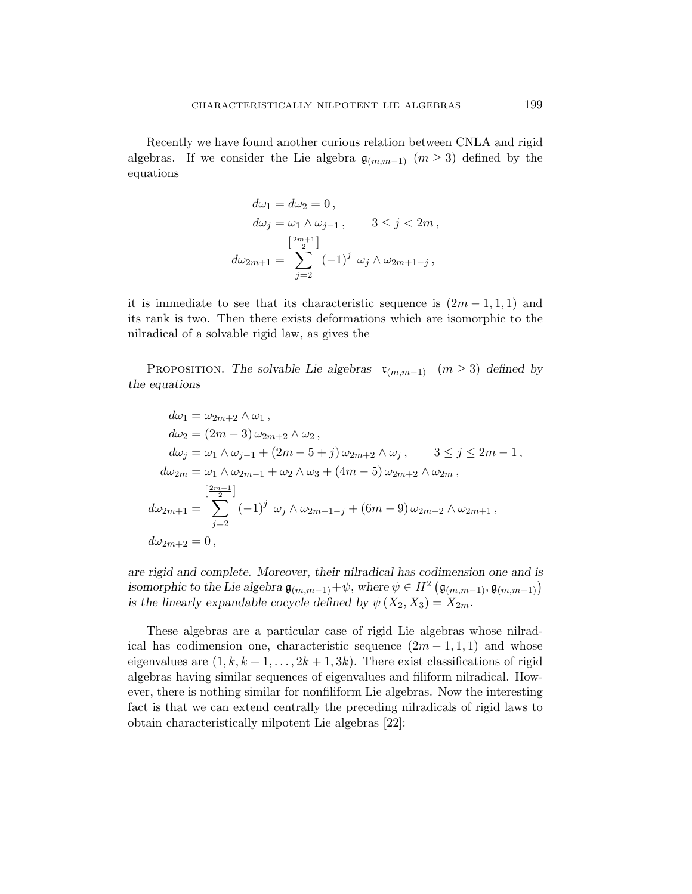Recently we have found another curious relation between CNLA and rigid algebras. If we consider the Lie algebra  $\mathfrak{g}_{(m,m-1)}$   $(m \geq 3)$  defined by the equations

$$
d\omega_1 = d\omega_2 = 0,
$$
  
\n
$$
d\omega_j = \omega_1 \wedge \omega_{j-1}, \qquad 3 \le j < 2m,
$$
  
\n
$$
d\omega_{2m+1} = \sum_{j=2}^{\left[\frac{2m+1}{2}\right]} (-1)^j \omega_j \wedge \omega_{2m+1-j},
$$

it is immediate to see that its characteristic sequence is  $(2m-1,1,1)$  and its rank is two. Then there exists deformations which are isomorphic to the nilradical of a solvable rigid law, as gives the

PROPOSITION. The solvable Lie algebras  $\mathfrak{r}_{(m,m-1)}$   $(m \geq 3)$  defined by the equations

$$
d\omega_1 = \omega_{2m+2} \wedge \omega_1 ,
$$
  
\n
$$
d\omega_2 = (2m-3) \omega_{2m+2} \wedge \omega_2 ,
$$
  
\n
$$
d\omega_j = \omega_1 \wedge \omega_{j-1} + (2m-5+j) \omega_{2m+2} \wedge \omega_j , \qquad 3 \le j \le 2m-1 ,
$$
  
\n
$$
d\omega_{2m} = \omega_1 \wedge \omega_{2m-1} + \omega_2 \wedge \omega_3 + (4m-5) \omega_{2m+2} \wedge \omega_{2m} ,
$$
  
\n
$$
\left[\frac{2m+1}{2}\right]
$$
  
\n
$$
d\omega_{2m+1} = \sum_{j=2}^{\left[\frac{2m+1}{2}\right]} (-1)^j \omega_j \wedge \omega_{2m+1-j} + (6m-9) \omega_{2m+2} \wedge \omega_{2m+1} ,
$$
  
\n
$$
d\omega_{2m+2} = 0 ,
$$

are rigid and complete. Moreover, their nilradical has codimension one and is are rigid and complete. Moreover, their infradical has codimension one and is<br>isomorphic to the Lie algebra  $\mathfrak{g}_{(m,m-1)} + \psi$ , where  $\psi \in H^2(\mathfrak{g}_{(m,m-1)}, \mathfrak{g}_{(m,m-1)})$ is the linearly expandable cocycle defined by  $\psi(X_2, X_3) = X_{2m}$ .

These algebras are a particular case of rigid Lie algebras whose nilradical has codimension one, characteristic sequence  $(2m-1,1,1)$  and whose eigenvalues are  $(1, k, k+1, \ldots, 2k+1, 3k)$ . There exist classifications of rigid algebras having similar sequences of eigenvalues and filiform nilradical. However, there is nothing similar for nonfiliform Lie algebras. Now the interesting fact is that we can extend centrally the preceding nilradicals of rigid laws to obtain characteristically nilpotent Lie algebras [22]: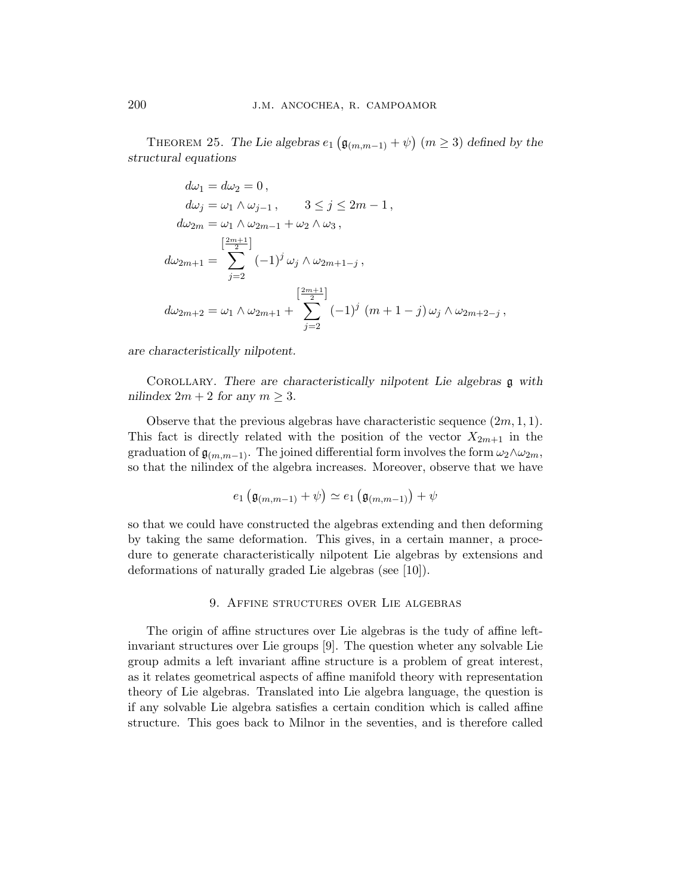THEOREM 25. The Lie algebras  $e_1$ ¡  $\mathfrak{g}_{(m,m-1)} + \psi$ ¢  $(m \geq 3)$  defined by the structural equations

$$
d\omega_1 = d\omega_2 = 0,
$$
  
\n
$$
d\omega_j = \omega_1 \wedge \omega_{j-1}, \qquad 3 \le j \le 2m - 1,
$$
  
\n
$$
d\omega_{2m} = \omega_1 \wedge \omega_{2m-1} + \omega_2 \wedge \omega_3,
$$
  
\n
$$
[ \frac{2m+1}{2} ]
$$
  
\n
$$
d\omega_{2m+1} = \sum_{j=2}^{\left[\frac{2m+1}{2}\right]} (-1)^j \omega_j \wedge \omega_{2m+1-j},
$$
  
\n
$$
d\omega_{2m+2} = \omega_1 \wedge \omega_{2m+1} + \sum_{j=2}^{\left[\frac{2m+1}{2}\right]} (-1)^j (m+1-j) \omega_j \wedge \omega_{2m+2-j},
$$

are characteristically nilpotent.

COROLLARY. There are characteristically nilpotent Lie algebras  $\mathfrak g$  with nilindex  $2m + 2$  for any  $m \geq 3$ .

Observe that the previous algebras have characteristic sequence  $(2m, 1, 1)$ . This fact is directly related with the position of the vector  $X_{2m+1}$  in the graduation of  $\mathfrak{g}_{(m,m-1)}$ . The joined differential form involves the form  $\omega_2 \wedge \omega_{2m}$ , so that the nilindex of the algebra increases. Moreover, observe that we have

$$
e_1\left(\mathfrak{g}_{(m,m-1)}+\psi\right)\simeq e_1\left(\mathfrak{g}_{(m,m-1)}\right)+\psi
$$

so that we could have constructed the algebras extending and then deforming by taking the same deformation. This gives, in a certain manner, a procedure to generate characteristically nilpotent Lie algebras by extensions and deformations of naturally graded Lie algebras (see [10]).

# 9. Affine structures over Lie algebras

The origin of affine structures over Lie algebras is the tudy of affine leftinvariant structures over Lie groups [9]. The question wheter any solvable Lie group admits a left invariant affine structure is a problem of great interest, as it relates geometrical aspects of affine manifold theory with representation theory of Lie algebras. Translated into Lie algebra language, the question is if any solvable Lie algebra satisfies a certain condition which is called affine structure. This goes back to Milnor in the seventies, and is therefore called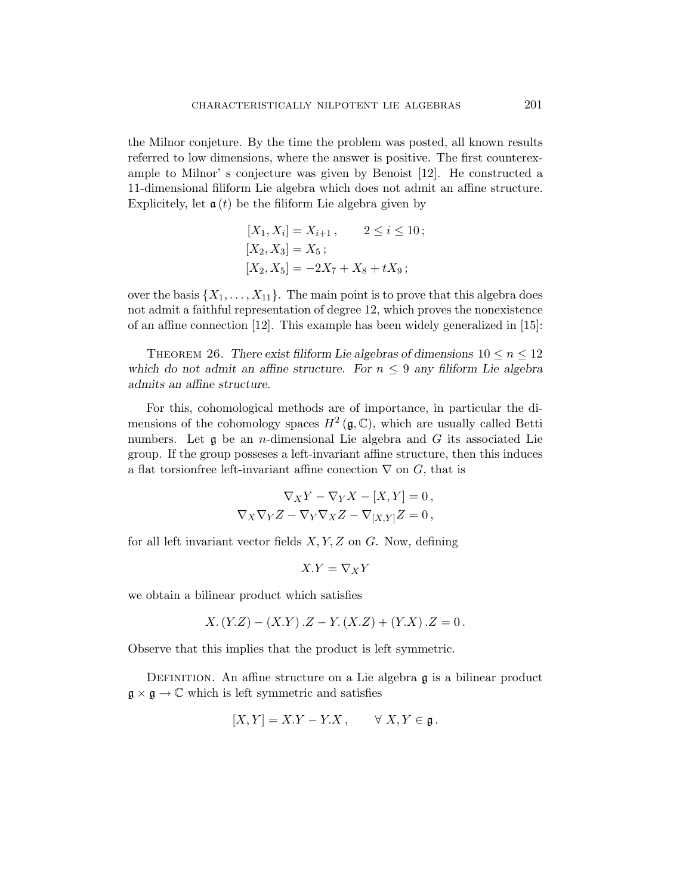the Milnor conjeture. By the time the problem was posted, all known results referred to low dimensions, where the answer is positive. The first counterexample to Milnor' s conjecture was given by Benoist [12]. He constructed a 11-dimensional filiform Lie algebra which does not admit an affine structure. Explicitely, let  $a(t)$  be the filiform Lie algebra given by

$$
[X_1, X_i] = X_{i+1}, \qquad 2 \le i \le 10;
$$
  
\n
$$
[X_2, X_3] = X_5;
$$
  
\n
$$
[X_2, X_5] = -2X_7 + X_8 + tX_9;
$$

over the basis  $\{X_1, \ldots, X_{11}\}$ . The main point is to prove that this algebra does not admit a faithful representation of degree 12, which proves the nonexistence of an affine connection [12]. This example has been widely generalized in [15]:

THEOREM 26. There exist filiform Lie algebras of dimensions  $10 \le n \le 12$ which do not admit an affine structure. For  $n \leq 9$  any filiform Lie algebra admits an affine structure.

For this, cohomological methods are of importance, in particular the dimensions of the cohomology spaces  $H^2(\mathfrak{g},\mathbb{C})$ , which are usually called Betti numbers. Let  $\mathfrak g$  be an *n*-dimensional Lie algebra and  $G$  its associated Lie group. If the group posseses a left-invariant affine structure, then this induces a flat torsionfree left-invariant affine conection  $\nabla$  on  $G$ , that is

$$
\nabla_X Y - \nabla_Y X - [X, Y] = 0,
$$
  

$$
\nabla_X \nabla_Y Z - \nabla_Y \nabla_X Z - \nabla_{[X, Y]} Z = 0,
$$

for all left invariant vector fields  $X, Y, Z$  on  $G$ . Now, defining

$$
X.Y=\nabla_X Y
$$

we obtain a bilinear product which satisfies

$$
X. (Y.Z) – (X.Y) .Z – Y. (X.Z) + (Y.X) .Z = 0.
$$

Observe that this implies that the product is left symmetric.

DEFINITION. An affine structure on a Lie algebra  $\mathfrak g$  is a bilinear product  $\mathfrak{g} \times \mathfrak{g} \to \mathbb{C}$  which is left symmetric and satisfies

$$
[X,Y] = X.Y - Y.X, \qquad \forall X,Y \in \mathfrak{g}.
$$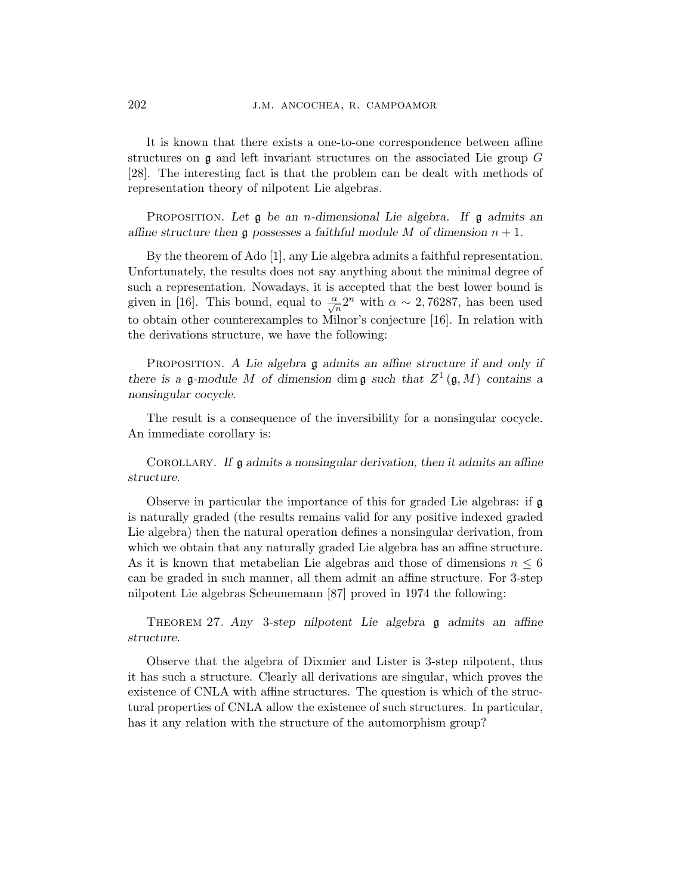It is known that there exists a one-to-one correspondence between affine structures on  $\mathfrak g$  and left invariant structures on the associated Lie group  $G$ [28]. The interesting fact is that the problem can be dealt with methods of representation theory of nilpotent Lie algebras.

PROPOSITION. Let  $\mathfrak g$  be an *n*-dimensional Lie algebra. If  $\mathfrak g$  admits an affine structure then g possesses a faithful module M of dimension  $n + 1$ .

By the theorem of Ado [1], any Lie algebra admits a faithful representation. Unfortunately, the results does not say anything about the minimal degree of such a representation. Nowadays, it is accepted that the best lower bound is given in [16]. This bound, equal to  $\frac{\alpha}{\sqrt{n}} 2^n$  with  $\alpha \sim 2,76287$ , has been used to obtain other counterexamples to Milnor's conjecture [16]. In relation with the derivations structure, we have the following:

PROPOSITION. A Lie algebra  $\mathfrak g$  admits an affine structure if and only if there is a g-module M of dimension dim g such that  $Z^1(\mathfrak{g},M)$  contains a nonsingular cocycle.

The result is a consequence of the inversibility for a nonsingular cocycle. An immediate corollary is:

COROLLARY. If  $\mathfrak g$  admits a nonsingular derivation, then it admits an affine structure.

Observe in particular the importance of this for graded Lie algebras: if g is naturally graded (the results remains valid for any positive indexed graded Lie algebra) then the natural operation defines a nonsingular derivation, from which we obtain that any naturally graded Lie algebra has an affine structure. As it is known that metabelian Lie algebras and those of dimensions  $n \leq 6$ can be graded in such manner, all them admit an affine structure. For 3-step nilpotent Lie algebras Scheunemann [87] proved in 1974 the following:

THEOREM 27. Any 3-step nilpotent Lie algebra  $\mathfrak g$  admits an affine structure.

Observe that the algebra of Dixmier and Lister is 3-step nilpotent, thus it has such a structure. Clearly all derivations are singular, which proves the existence of CNLA with affine structures. The question is which of the structural properties of CNLA allow the existence of such structures. In particular, has it any relation with the structure of the automorphism group?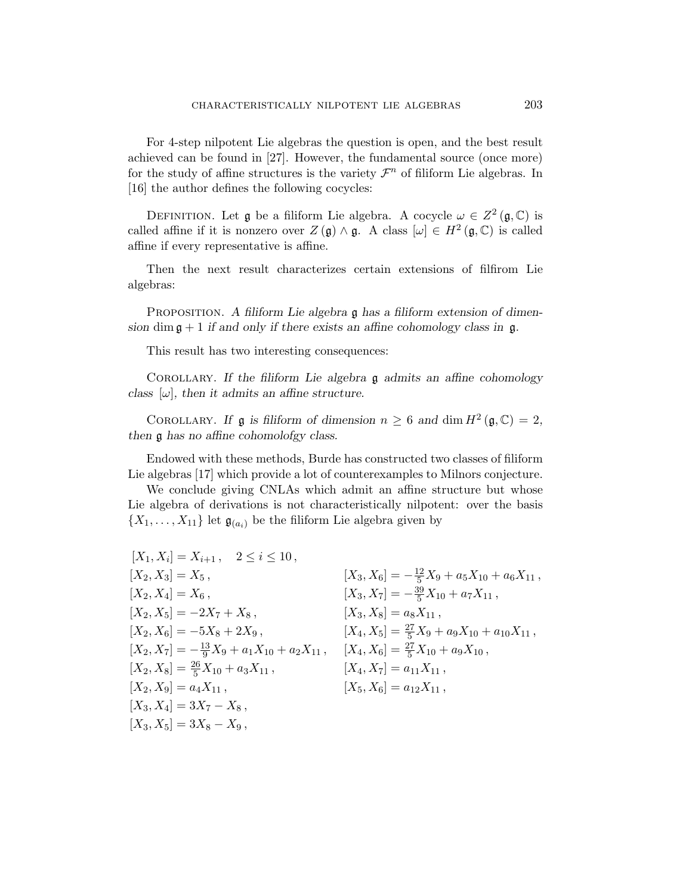For 4-step nilpotent Lie algebras the question is open, and the best result achieved can be found in [27]. However, the fundamental source (once more) for the study of affine structures is the variety  $\mathcal{F}^n$  of filiform Lie algebras. In [16] the author defines the following cocycles:

DEFINITION. Let  $\mathfrak g$  be a filiform Lie algebra. A cocycle  $\omega \in Z^2(\mathfrak g,\mathbb{C})$  is called affine if it is nonzero over  $Z(\mathfrak{g}) \wedge \mathfrak{g}$ . A class  $[\omega] \in H^2(\mathfrak{g}, \mathbb{C})$  is called affine if every representative is affine.

Then the next result characterizes certain extensions of filfirom Lie algebras:

PROPOSITION. A filiform Lie algebra  $\mathfrak g$  has a filiform extension of dimension dim  $\mathfrak{g} + 1$  if and only if there exists an affine cohomology class in  $\mathfrak{g}$ .

This result has two interesting consequences:

COROLLARY. If the filiform Lie algebra  $\mathfrak g$  admits an affine cohomology class  $[\omega]$ , then it admits an affine structure.

COROLLARY. If **g** is filiform of dimension  $n \geq 6$  and dim  $H^2(\mathfrak{g}, \mathbb{C}) = 2$ , then g has no affine cohomolofgy class.

Endowed with these methods, Burde has constructed two classes of filiform Lie algebras [17] which provide a lot of counterexamples to Milnors conjecture.

We conclude giving CNLAs which admit an affine structure but whose Lie algebra of derivations is not characteristically nilpotent: over the basis  $\{X_1, \ldots, X_{11}\}\$ let  $\mathfrak{g}_{(a_i)}$  be the filiform Lie algebra given by

 $[X_1, X_i] = X_{i+1}$ ,  $2 \le i \le 10$ ,  $[X_2, X_3] = X_5$ ,  $[X_2, X_4] = X_6$ ,  $[X_2, X_5] = -2X_7 + X_8$  $[X_2, X_6] = -5X_8 + 2X_9$ ,  $[X_2, X_7] = -\frac{13}{9}X_9 + a_1X_{10} + a_2X_{11}$ ,  $[X_4, X_6] = \frac{27}{5}X_{10} + a_9X_{10}$ ,  $[X_2, X_8] = \frac{26}{5}X_{10} + a_3X_{11}$ ,  $[X_2, X_9] = a_4 X_{11}$ ,  $[X_3, X_4] = 3X_7 - X_8$ ,  $[X_3, X_5] = 3X_8 - X_9$  $[X_3, X_6] = -\frac{12}{5}X_9 + a_5X_{10} + a_6X_{11}$ ,  $[X_3, X_7] = -\frac{39}{5}X_{10} + a_7X_{11}$ ,  $[X_3, X_8] = a_8 X_{11}$ ,  $[X_4, X_5] = \frac{27}{5}X_9 + a_9X_{10} + a_{10}X_{11}$ ,  $[X_4, X_7] = a_{11}X_{11}$ ,  $[X_5, X_6] = a_{12}X_{11}$ ,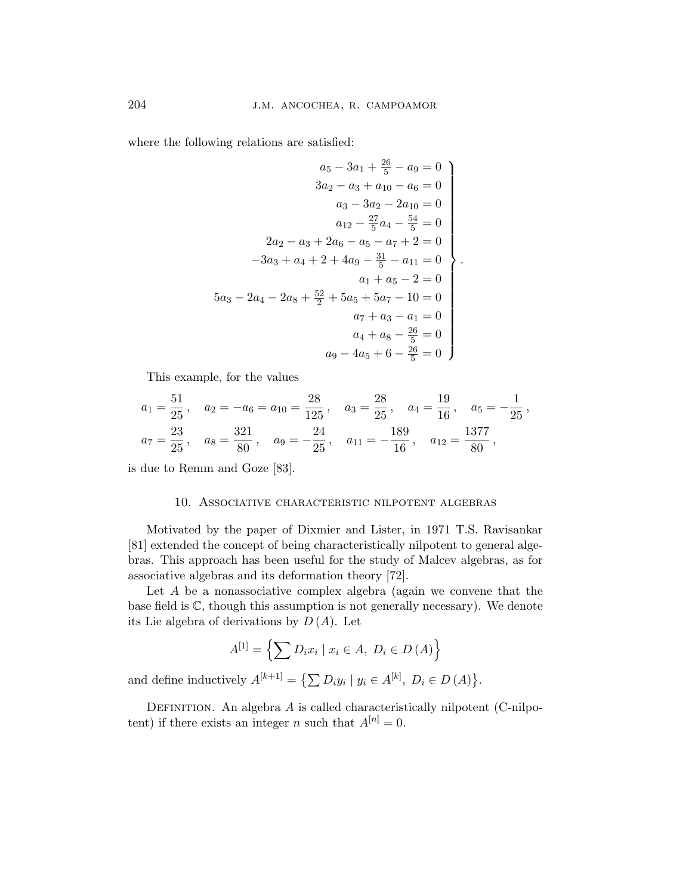where the following relations are satisfied:

$$
a_5 - 3a_1 + \frac{26}{5} - a_9 = 0
$$
  
\n
$$
3a_2 - a_3 + a_{10} - a_6 = 0
$$
  
\n
$$
a_3 - 3a_2 - 2a_{10} = 0
$$
  
\n
$$
a_{12} - \frac{27}{5}a_4 - \frac{54}{5} = 0
$$
  
\n
$$
2a_2 - a_3 + 2a_6 - a_5 - a_7 + 2 = 0
$$
  
\n
$$
-3a_3 + a_4 + 2 + 4a_9 - \frac{31}{5} - a_{11} = 0
$$
  
\n
$$
a_1 + a_5 - 2 = 0
$$
  
\n
$$
a_3 - 2a_4 - 2a_8 + \frac{52}{2} + 5a_5 + 5a_7 - 10 = 0
$$
  
\n
$$
a_7 + a_3 - a_1 = 0
$$
  
\n
$$
a_4 + a_8 - \frac{26}{5} = 0
$$
  
\n
$$
a_9 - 4a_5 + 6 - \frac{26}{5} = 0
$$

This example, for the values

$$
a_1 = \frac{51}{25}
$$
,  $a_2 = -a_6 = a_{10} = \frac{28}{125}$ ,  $a_3 = \frac{28}{25}$ ,  $a_4 = \frac{19}{16}$ ,  $a_5 = -\frac{1}{25}$ ,  
 $a_7 = \frac{23}{25}$ ,  $a_8 = \frac{321}{80}$ ,  $a_9 = -\frac{24}{25}$ ,  $a_{11} = -\frac{189}{16}$ ,  $a_{12} = \frac{1377}{80}$ ,

is due to Remm and Goze [83].

## 10. Associative characteristic nilpotent algebras

Motivated by the paper of Dixmier and Lister, in 1971 T.S. Ravisankar [81] extended the concept of being characteristically nilpotent to general algebras. This approach has been useful for the study of Malcev algebras, as for associative algebras and its deformation theory [72].

Let A be a nonassociative complex algebra (again we convene that the base field is  $\mathbb{C}$ , though this assumption is not generally necessary). We denote its Lie algebra of derivations by  $D(A)$ . Let

$$
A^{[1]} = \left\{ \sum D_i x_i \mid x_i \in A, \ D_i \in D(A) \right\}
$$

and define inductively  $A^{[k+1]} = \{ \sum D_i y_i \mid y_i \in A^{[k]}, D_i \in D(A) \}$ ª .

DEFINITION. An algebra  $A$  is called characteristically nilpotent (C-nilpotent) if there exists an integer n such that  $A^{[n]} = 0$ .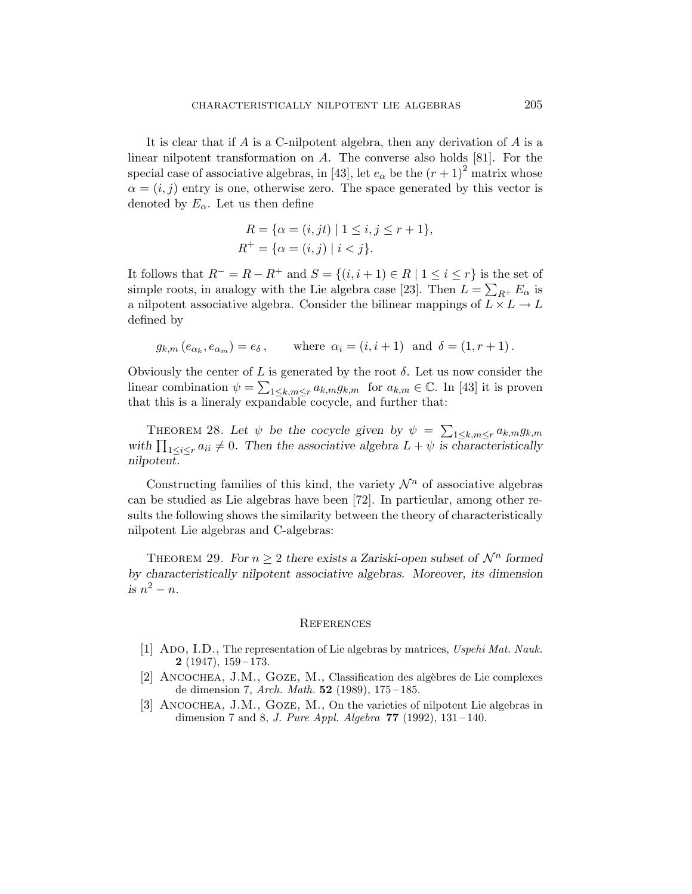It is clear that if  $A$  is a C-nilpotent algebra, then any derivation of  $A$  is a linear nilpotent transformation on A. The converse also holds [81]. For the special case of associative algebras, in [43], let  $e_{\alpha}$  be the  $(r + 1)^2$  matrix whose  $\alpha = (i, j)$  entry is one, otherwise zero. The space generated by this vector is denoted by  $E_{\alpha}$ . Let us then define

$$
R = \{ \alpha = (i, jt) \mid 1 \le i, j \le r + 1 \},\
$$
  

$$
R^+ = \{ \alpha = (i, j) \mid i < j \}.
$$

It follows that  $R^- = R - R^+$  and  $S = \{(i, i + 1) \in R \mid 1 \le i \le r\}$  is the set of simple roots, in analogy with the Lie algebra case [23]. Then  $L = \sum_{R^+} E_{\alpha}$  is a nilpotent associative algebra. Consider the bilinear mappings of  $L \times L \rightarrow L$ defined by

$$
g_{k,m}(e_{\alpha_k}, e_{\alpha_m}) = e_{\delta}
$$
, where  $\alpha_i = (i, i + 1)$  and  $\delta = (1, r + 1)$ .

Obviously the center of L is generated by the root  $\delta$ . Let us now consider the linear combination  $\psi = \sum_{1 \leq k,m \leq r} a_{k,m} g_{k,m}$  for  $a_{k,m} \in \mathbb{C}$ . In [43] it is proven that this is a lineraly expandable cocycle, and further that:

THEOREM 28. Let  $\psi$  be the cocycle given by  $\psi =$  $\overline{ }$ THEOREM 28. Let  $\psi$  be the cocycle given by  $\psi = \sum_{1 \leq k,m \leq r} a_{k,m} g_{k,m}$ <br>with  $\prod_{1 \leq i \leq r} a_{ii} \neq 0$ . Then the associative algebra  $L + \psi$  is characteristically nilpotent.

Constructing families of this kind, the variety  $\mathcal{N}^n$  of associative algebras can be studied as Lie algebras have been [72]. In particular, among other results the following shows the similarity between the theory of characteristically nilpotent Lie algebras and C-algebras:

THEOREM 29. For  $n \geq 2$  there exists a Zariski-open subset of  $\mathcal{N}^n$  formed by characteristically nilpotent associative algebras. Moreover, its dimension is  $n^2 - n$ .

#### **REFERENCES**

- [1] ADO, I.D., The representation of Lie algebras by matrices, Uspehi Mat. Nauk.  $2(1947), 159-173.$
- [2] ANCOCHEA, J.M., GOZE, M., Classification des algèbres de Lie complexes de dimension 7, Arch. Math.  $52$  (1989), 175-185.
- [3] Ancochea, J.M., Goze, M., On the varieties of nilpotent Lie algebras in dimension 7 and 8, *J. Pure Appl. Algebra*  $77$  (1992), 131-140.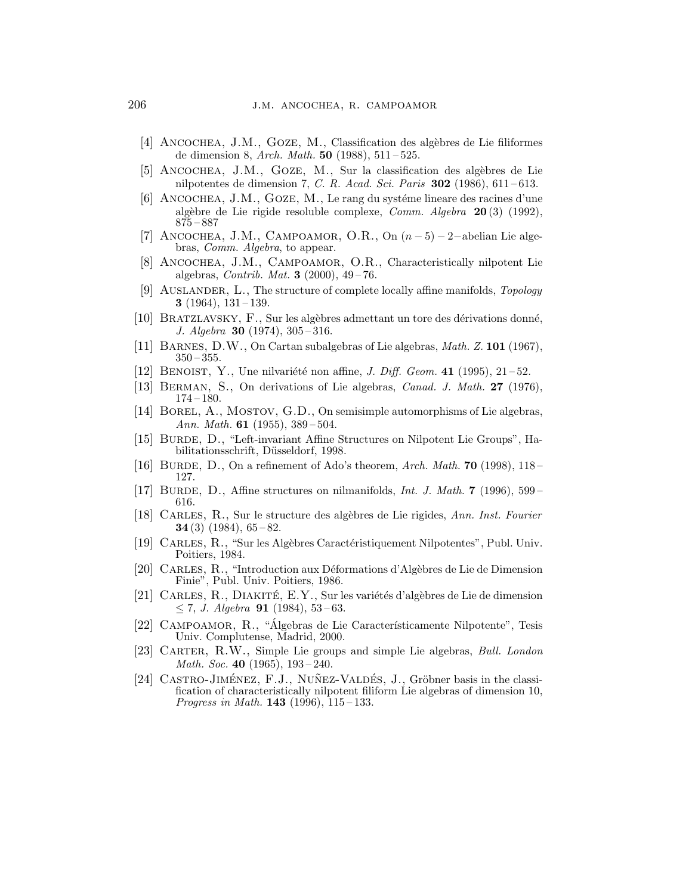- [4] ANCOCHEA, J.M., GOZE, M., Classification des algèbres de Lie filiformes de dimension 8, Arch. Math.  $50$  (1988),  $511 - 525$ .
- [5] ANCOCHEA, J.M., GOZE, M., Sur la classification des algèbres de Lie nilpotentes de dimension 7, C. R. Acad. Sci. Paris  $302$  (1986), 611-613.
- $[6]$  ANCOCHEA, J.M., GOZE, M., Le rang du système lineare des racines d'une algèbre de Lie rigide resoluble complexe, Comm. Algebra  $20(3)$  (1992), 875 – 887
- [7] ANCOCHEA, J.M., CAMPOAMOR, O.R., On  $(n-5)-2$ –abelian Lie algebras, Comm. Algebra, to appear.
- [8] Ancochea, J.M., Campoamor, O.R., Characteristically nilpotent Lie algebras, *Contrib. Mat.* **3** (2000),  $49-76$ .
- [9] Auslander, L., The structure of complete locally affine manifolds, Topology 3 (1964),  $131 - 139$ .
- [10] Bratzlavsky, F., Sur les alg`ebres admettant un tore des d´erivations donn´e, J. Algebra 30 (1974), 305 – 316.
- [11] Barnes, D.W., On Cartan subalgebras of Lie algebras, Math. Z. 101 (1967),  $350 - 355.$
- [12] BENOIST, Y., Une nilvariété non affine, *J. Diff. Geom.* 41 (1995),  $21-52$ .
- [13] BERMAN, S., On derivations of Lie algebras, *Canad. J. Math.* 27 (1976),  $174 - 180.$
- [14] Borel, A., Mostov, G.D., On semisimple automorphisms of Lie algebras, Ann. Math. **61** (1955),  $389-504$ .
- [15] BURDE, D., "Left-invariant Affine Structures on Nilpotent Lie Groups", Habilitationsschrift, Düsseldorf, 1998.
- [16] BURDE, D., On a refinement of Ado's theorem, Arch. Math. 70 (1998), 118– 127.
- [17] BURDE, D., Affine structures on nilmanifolds, Int. J. Math. 7 (1996),  $599-$ 616.
- [18] CARLES, R., Sur le structure des algèbres de Lie rigides, Ann. Inst. Fourier 34 $(3)$   $(1984)$ ,  $65 - 82$ .
- [19] CARLES, R., "Sur les Algèbres Caractéristiquement Nilpotentes", Publ. Univ. Poitiers, 1984.
- [20] Carles, R., "Introduction aux D´eformations d'Alg`ebres de Lie de Dimension Finie", Publ. Univ. Poitiers, 1986.
- [21] CARLES,  $R_{\cdot}$ , DIAKITÉ,  $E.Y_{\cdot}$ , Sur les variétés d'algèbres de Lie de dimension  $\leq$  7, *J. Algebra* **91** (1984), 53-63.
- [22] CAMPOAMOR, R., "Algebras de Lie Característicamente Nilpotente", Tesis Univ. Complutense, Madrid, 2000.
- [23] CARTER, R.W., Simple Lie groups and simple Lie algebras, Bull. London Math. Soc. 40 (1965),  $193-240$ .
- [24] CASTRO-JIMÉNEZ, F.J., NUÑEZ-VALDÉS, J., Gröbner basis in the classification of characteristically nilpotent filiform Lie algebras of dimension 10, *Progress in Math.* **143** (1996),  $115-133$ .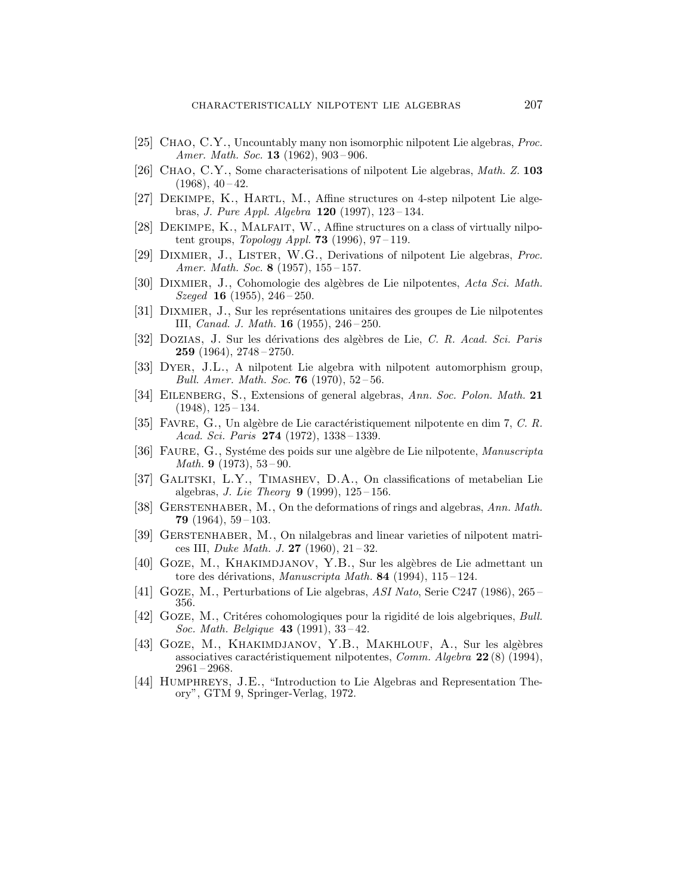- [25] Chao, C.Y., Uncountably many non isomorphic nilpotent Lie algebras, Proc. Amer. Math. Soc. **13** (1962), 903-906.
- [26] CHAO, C.Y., Some characterisations of nilpotent Lie algebras, *Math. Z.* **103**  $(1968), 40 - 42.$
- [27] Dekimpe, K., Hartl, M., Affine structures on 4-step nilpotent Lie algebras, *J. Pure Appl. Algebra* **120** (1997), 123-134.
- [28] Dekimpe, K., Malfait, W., Affine structures on a class of virtually nilpotent groups, Topology Appl. **73** (1996),  $97-119$ .
- [29] DIXMIER, J., LISTER, W.G., Derivations of nilpotent Lie algebras, Proc. Amer. Math. Soc. 8 (1957), 155 – 157.
- [30] Dixmier, J., Cohomologie des alg`ebres de Lie nilpotentes, Acta Sci. Math.  $Szeged$  **16** (1955), 246 – 250.
- [31] DIXMIER, J., Sur les représentations unitaires des groupes de Lie nilpotentes III, Canad. J. Math. 16 (1955), 246 – 250.
- [32] Dozias, J. Sur les d´erivations des alg`ebres de Lie, C. R. Acad. Sci. Paris 259 (1964), 2748 – 2750.
- [33] Dyer, J.L., A nilpotent Lie algebra with nilpotent automorphism group, Bull. Amer. Math. Soc. **76** (1970),  $52-56$ .
- [34] EILENBERG, S., Extensions of general algebras, Ann. Soc. Polon. Math. 21  $(1948), 125 - 134.$
- [35] FAVRE,  $G_{\cdot}$ , Un algèbre de Lie caractéristiquement nilpotente en dim 7, C. R. Acad. Sci. Paris 274 (1972), 1338-1339.
- [36] FAURE, G., Systéme des poids sur une algèbre de Lie nilpotente, Manuscripta *Math.* **9** (1973),  $53-90$ .
- [37] Galitski, L.Y., Timashev, D.A., On classifications of metabelian Lie algebras, *J. Lie Theory* **9** (1999),  $125 - 156$ .
- [38] GERSTENHABER, M., On the deformations of rings and algebras, Ann. Math. **79** (1964),  $59-103$ .
- [39] Gerstenhaber, M., On nilalgebras and linear varieties of nilpotent matrices III, *Duke Math. J.* **27** (1960),  $21-32$ .
- [40] GOZE, M., KHAKIMDJANOV, Y.B., Sur les algèbres de Lie admettant un tore des dérivations, Manuscripta Math. 84 (1994), 115-124.
- [41] Goze, M., Perturbations of Lie algebras, ASI Nato, Serie C247 (1986), 265 356.
- [42] GOZE, M., Critéres cohomologiques pour la rigidité de lois algebriques, Bull. Soc. Math. Belgique 43 (1991), 33 – 42.
- [43] GOZE, M., KHAKIMDJANOV, Y.B., MAKHLOUF, A., Sur les algèbres associatives caractéristiquement nilpotentes, Comm. Algebra  $22(8)$  (1994),  $2961 - 2968.$
- [44] Humphreys, J.E., "Introduction to Lie Algebras and Representation Theory", GTM 9, Springer-Verlag, 1972.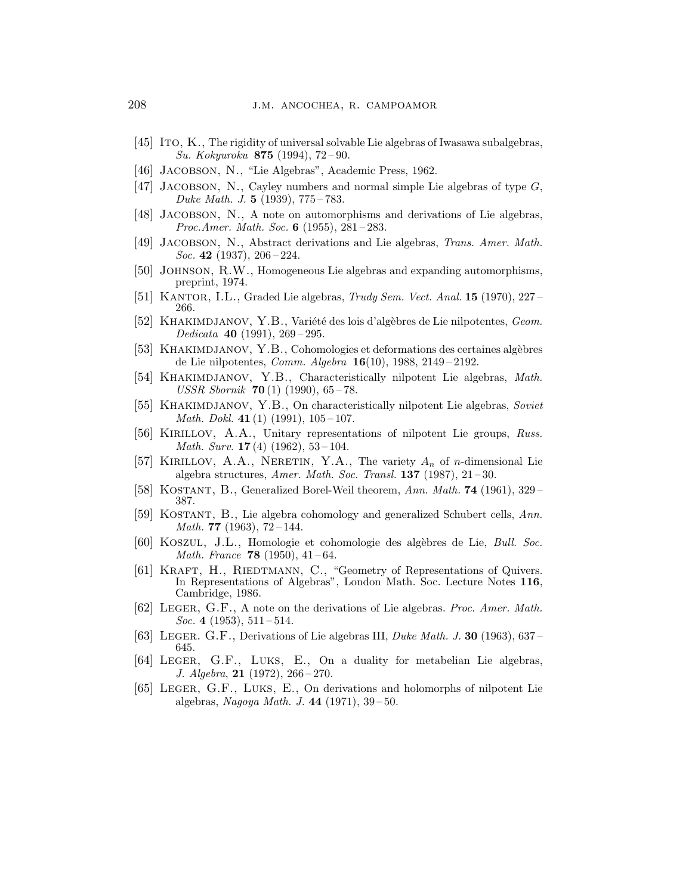- [45] Ito, K., The rigidity of universal solvable Lie algebras of Iwasawa subalgebras, Su. Kokyuroku 875 (1994), 72 – 90.
- [46] JACOBSON, N., "Lie Algebras", Academic Press, 1962.
- [47] JACOBSON, N., Cayley numbers and normal simple Lie algebras of type  $G$ , Duke Math. J. 5 (1939), 775 – 783.
- [48] Jacobson, N., A note on automorphisms and derivations of Lie algebras, *Proc.Amer. Math. Soc.* 6 (1955),  $281 - 283$ .
- [49] Jacobson, N., Abstract derivations and Lie algebras, Trans. Amer. Math. Soc. 42 (1937),  $206 - 224$ .
- [50] Johnson, R.W., Homogeneous Lie algebras and expanding automorphisms, preprint, 1974.
- [51] KANTOR, I.L., Graded Lie algebras, Trudy Sem. Vect. Anal.  $15$  (1970), 227– 266.
- [52] KHAKIMDJANOV, Y.B., Variété des lois d'algèbres de Lie nilpotentes, Geom. Dedicata 40 (1991), 269 – 295.
- [53] KHAKIMDJANOV, Y.B., Cohomologies et deformations des certaines algèbres de Lie nilpotentes, *Comm. Algebra*  $16(10)$ , 1988, 2149-2192.
- [54] KHAKIMDJANOV, Y.B., Characteristically nilpotent Lie algebras, Math. USSR Sbornik 70 $(1)$  (1990), 65-78.
- [55] KHAKIMDJANOV, Y.B., On characteristically nilpotent Lie algebras, Soviet *Math. Dokl.* 41 $(1)$   $(1991)$ ,  $105-107$ .
- [56] Kirillov, A.A., Unitary representations of nilpotent Lie groups, Russ. *Math. Surv.* **17** (4) (1962),  $53-104$ .
- [57] KIRILLOV, A.A., NERETIN, Y.A., The variety  $A_n$  of *n*-dimensional Lie algebra structures, Amer. Math. Soc. Transl.  $137$  (1987),  $21-30$ .
- [58] KOSTANT, B., Generalized Borel-Weil theorem, Ann. Math. 74 (1961), 329– 387.
- [59] Kostant, B., Lie algebra cohomology and generalized Schubert cells, Ann. Math. 77 (1963),  $72 - 144$ .
- [60] KOSZUL, J.L., Homologie et cohomologie des algèbres de Lie, Bull. Soc. Math. France  $78$  (1950), 41-64.
- [61] KRAFT, H., RIEDTMANN, C., "Geometry of Representations of Quivers. In Representations of Algebras", London Math. Soc. Lecture Notes 116, Cambridge, 1986.
- [62] LEGER, G.F., A note on the derivations of Lie algebras. Proc. Amer. Math. Soc. 4 (1953),  $511 - 514$ .
- [63] LEGER. G.F., Derivations of Lie algebras III, *Duke Math. J.* **30** (1963), 637– 645.
- [64] Leger, G.F., Luks, E., On a duality for metabelian Lie algebras, J. Algebra, 21 (1972), 266 – 270.
- [65] Leger, G.F., Luks, E., On derivations and holomorphs of nilpotent Lie algebras, Nagoya Math. J. 44 (1971), 39 – 50.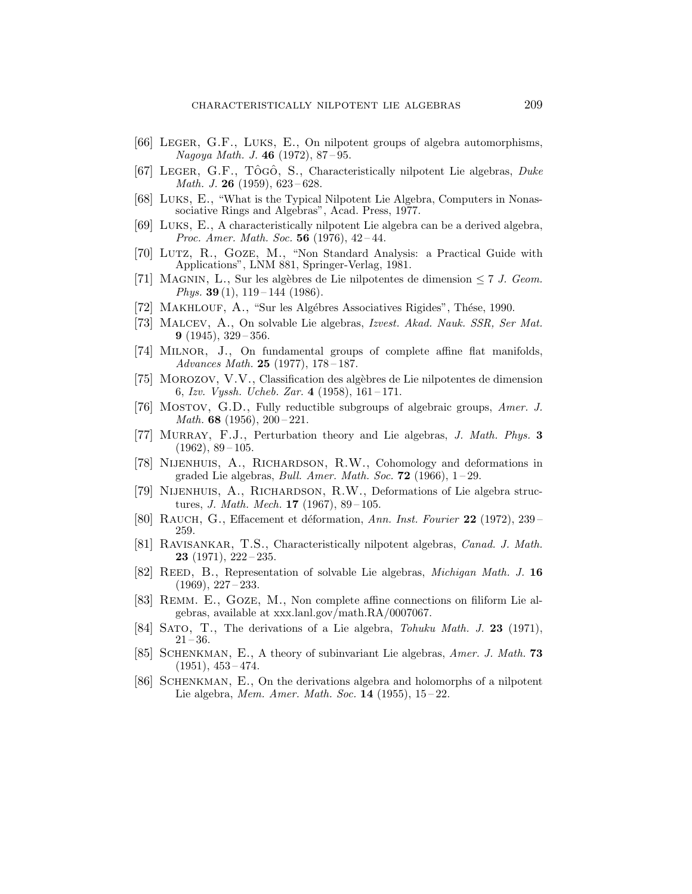- [66] Leger, G.F., Luks, E., On nilpotent groups of algebra automorphisms, Nagoya Math. J. 46 (1972), 87 – 95.
- [67] LEGER, G.F., TÔGÔ, S., Characteristically nilpotent Lie algebras,  $Duke$ *Math. J.* **26** (1959),  $623 - 628$ .
- [68] Luks, E., "What is the Typical Nilpotent Lie Algebra, Computers in Nonassociative Rings and Algebras", Acad. Press, 1977.
- [69] Luks, E., A characteristically nilpotent Lie algebra can be a derived algebra, *Proc. Amer. Math. Soc.* 56 (1976),  $42-44$ .
- [70] Lutz, R., Goze, M., "Non Standard Analysis: a Practical Guide with Applications", LNM 881, Springer-Verlag, 1981.
- [71] MAGNIN, L., Sur les algèbres de Lie nilpotentes de dimension  $\leq 7$  J. Geom. Phys. 39 $(1)$ , 119 – 144 $(1986)$ .
- [72] Makhlouf, A., "Sur les Alg´ebres Associatives Rigides", Th´ese, 1990.
- [73] Malcev, A., On solvable Lie algebras, Izvest. Akad. Nauk. SSR, Ser Mat. **9** (1945),  $329 - 356$ .
- [74] Milnor, J., On fundamental groups of complete affine flat manifolds, Advances Math.  $25$  (1977), 178-187.
- [75] Morozov, V.V., Classification des alg`ebres de Lie nilpotentes de dimension 6, Izv. Vyssh. Ucheb. Zar.  $4(1958)$ ,  $161-171$ .
- [76] MOSTOV, G.D., Fully reductible subgroups of algebraic groups, Amer. J. *Math.* 68 (1956),  $200 - 221$ .
- [77] Murray, F.J., Perturbation theory and Lie algebras, J. Math. Phys. 3  $(1962), 89-105.$
- [78] Nijenhuis, A., Richardson, R.W., Cohomology and deformations in graded Lie algebras, *Bull. Amer. Math. Soc.* **72** (1966),  $1-29$ .
- [79] Nijenhuis, A., Richardson, R.W., Deformations of Lie algebra structures, *J. Math. Mech.* **17** (1967), 89 – 105.
- [80] RAUCH, G., Effacement et déformation, Ann. Inst. Fourier  $22$  (1972), 239 259.
- [81] RAVISANKAR, T.S., Characteristically nilpotent algebras, *Canad. J. Math.* 23 (1971), 222 – 235.
- [82] REED, B., Representation of solvable Lie algebras, *Michigan Math. J.* 16  $(1969), 227 - 233.$
- [83] Remm. E., Goze, M., Non complete affine connections on filiform Lie algebras, available at xxx.lanl.gov/math.RA/0007067.
- [84] SATO, T., The derivations of a Lie algebra, *Tohuku Math. J.* 23 (1971),  $21 - 36.$
- [85] SCHENKMAN, E., A theory of subinvariant Lie algebras, Amer. J. Math. 73  $(1951), 453 - 474.$
- [86] SCHENKMAN, E., On the derivations algebra and holomorphs of a nilpotent Lie algebra, *Mem. Amer. Math. Soc.* **14** (1955), 15-22.